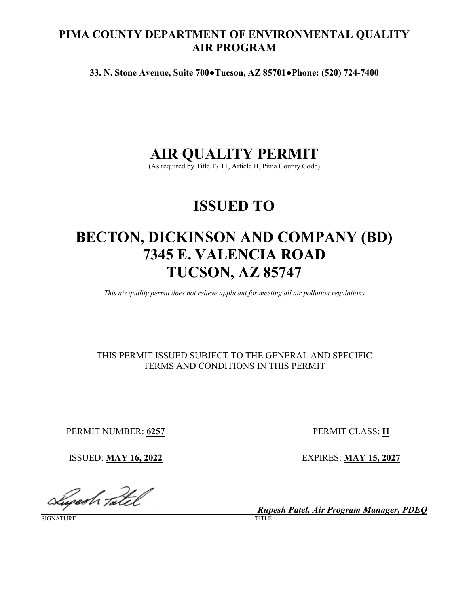## **PIMA COUNTY DEPARTMENT OF ENVIRONMENTAL QUALITY AIR PROGRAM**

**33. N. Stone Avenue, Suite 700●Tucson, AZ 85701●Phone: (520) 724-7400**

# **AIR QUALITY PERMIT**

(As required by Title 17.11, Article II, Pima County Code)

# **ISSUED TO**

# **BECTON, DICKINSON AND COMPANY (BD) 7345 E. VALENCIA ROAD TUCSON, AZ 85747**

*This air quality permit does not relieve applicant for meeting all air pollution regulations*

## THIS PERMIT ISSUED SUBJECT TO THE GENERAL AND SPECIFIC TERMS AND CONDITIONS IN THIS PERMIT

PERMIT NUMBER: **6257** PERMIT CLASS: **II**

Superh Tatel

SIGNATURE

ISSUED: **MAY 16, 2022** EXPIRES: **MAY 15, 2027**

*Rupesh Patel, Air Program Manager, PDEQ*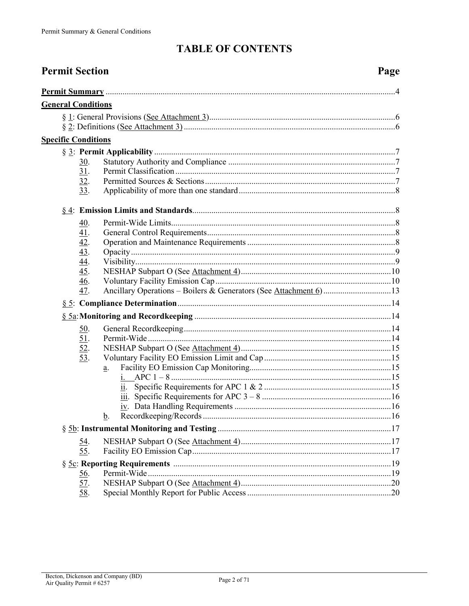# **TABLE OF CONTENTS**

| <b>Permit Section</b>                                       |    | Page |
|-------------------------------------------------------------|----|------|
|                                                             |    |      |
| <b>General Conditions</b>                                   |    |      |
|                                                             |    |      |
|                                                             |    |      |
| <b>Specific Conditions</b>                                  |    |      |
|                                                             |    |      |
| 30.                                                         |    |      |
| 31.                                                         |    |      |
| 32.                                                         |    |      |
| 33.                                                         |    |      |
|                                                             |    |      |
| <u>40</u> .                                                 |    |      |
|                                                             |    |      |
| $\frac{41}{42}$ .<br>$\frac{43}{44}$ .<br>$\frac{44}{45}$ . |    |      |
|                                                             |    |      |
|                                                             |    |      |
|                                                             |    |      |
| <u>46</u> .                                                 |    |      |
| 47.                                                         |    |      |
|                                                             |    |      |
|                                                             |    |      |
| <u>50</u> .                                                 |    |      |
| <u>51</u> .                                                 |    |      |
| $\overline{52}$ .                                           |    |      |
| 53.                                                         |    |      |
|                                                             | a. |      |
|                                                             |    |      |
|                                                             |    |      |
|                                                             |    |      |
|                                                             | b. |      |
|                                                             |    |      |
| <u>54.</u>                                                  |    |      |
| 55.                                                         |    |      |
|                                                             |    |      |
| <u>56</u> .                                                 |    |      |
| 57.                                                         |    |      |
| 58.                                                         |    |      |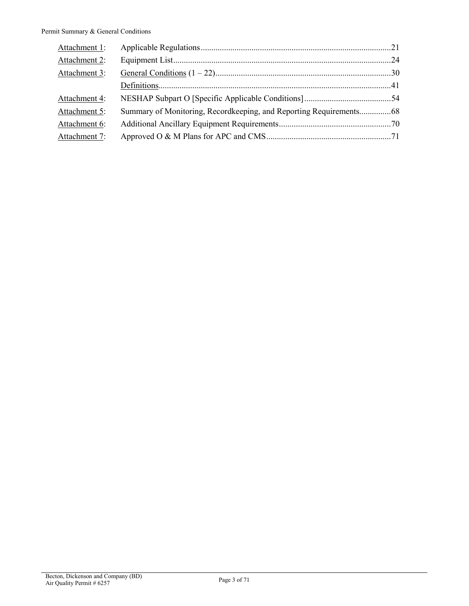<span id="page-2-0"></span>

| Attachment 1: |                                                                    |  |
|---------------|--------------------------------------------------------------------|--|
| Attachment 2: |                                                                    |  |
| Attachment 3: |                                                                    |  |
|               |                                                                    |  |
| Attachment 4: |                                                                    |  |
| Attachment 5: | Summary of Monitoring, Recordkeeping, and Reporting Requirements68 |  |
| Attachment 6: |                                                                    |  |
| Attachment 7: |                                                                    |  |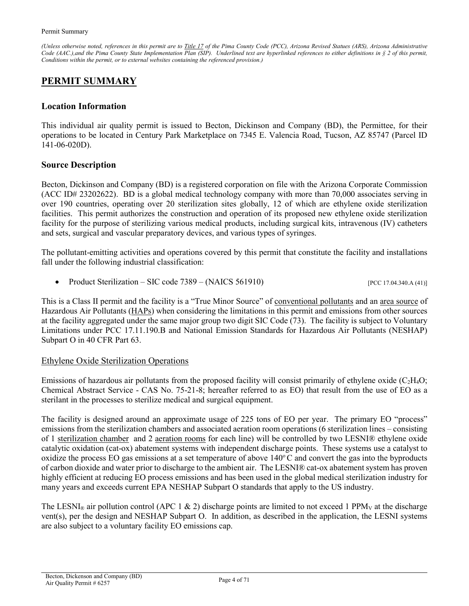*(Unless otherwise noted, references in this permit are t[o Title 17](https://tinyurl.com/PCC-17-00-00) of the Pima County Code (PCC), Arizona Revised Statues (ARS), Arizona Administrative Code (AAC.),and the Pima County State Implementation Plan (SIP). Underlined text are hyperlinked references to either definitions in § 2 of this permit, Conditions within the permit, or to external websites containing the referenced provision.)*

## **PERMIT SUMMARY**

#### **Location Information**

This individual air quality permit is issued to Becton, Dickinson and Company (BD), the Permittee, for their operations to be located in Century Park Marketplace on 7345 E. Valencia Road, Tucson, AZ 85747 (Parcel ID 141-06-020D).

#### **Source Description**

Becton, Dickinson and Company (BD) is a registered corporation on file with the Arizona Corporate Commission (ACC ID# 23202622). BD is a global medical technology company with more than 70,000 associates serving in over 190 countries, operating over 20 sterilization sites globally, 12 of which are ethylene oxide sterilization facilities. This permit authorizes the construction and operation of its proposed new ethylene oxide sterilization facility for the purpose of sterilizing various medical products, including surgical kits, intravenous (IV) catheters and sets, surgical and vascular preparatory devices, and various types of syringes.

The pollutant-emitting activities and operations covered by this permit that constitute the facility and installations fall under the following industrial classification:

• Product Sterilization – SIC code  $7389 - (NAICS 561910)$  [\[PCC 17.04.340.A \(41\)\]](https://tinyurl.com/y9gh9owd)

This is a Class II permit and the facility is a "True Minor Source" of [conventional pollutants](#page-50-0) and an [area source](#page-40-1) of Hazardous Air Pollutants [\(HAPs\)](#page-45-0) when considering the limitations in this permit and emissions from other sources at the facility aggregated under the same major group two digit SIC Code (73). The facility is subject to Voluntary Limitations under PCC 17.11.190.B and National Emission Standards for Hazardous Air Pollutants (NESHAP) Subpart O in 40 CFR Part 63.

#### Ethylene Oxide Sterilization Operations

Emissions of hazardous air pollutants from the proposed facility will consist primarily of ethylene oxide ( $C_2H_4O$ ; Chemical Abstract Service - CAS No. 75-21-8; hereafter referred to as EO) that result from the use of EO as a sterilant in the processes to sterilize medical and surgical equipment.

The facility is designed around an approximate usage of 225 tons of EO per year. The primary EO "process" emissions from the sterilization chambers and associated aeration room operations (6 sterilization lines – consisting of 1 [sterilization chamber a](#page-51-0)nd 2 [aeration rooms](#page-40-2) for each line) will be controlled by two LESNI® ethylene oxide catalytic oxidation (cat-ox) abatement systems with independent discharge points. These systems use a catalyst to oxidize the process EO gas emissions at a set temperature of above  $140^{\circ}$ C and convert the gas into the byproducts of carbon dioxide and water prior to discharge to the ambient air. The LESNI® cat-ox abatement system has proven highly efficient at reducing EO process emissions and has been used in the global medical sterilization industry for many years and exceeds current EPA NESHAP Subpart O standards that apply to the US industry.

The LESNI<sub>®</sub> air pollution control (APC 1 & 2) discharge points are limited to not exceed 1 PPM<sub>V</sub> at the discharge vent(s), per the design and NESHAP Subpart O. In addition, as described in the application, the LESNI systems are also subject to a voluntary facility EO emissions cap.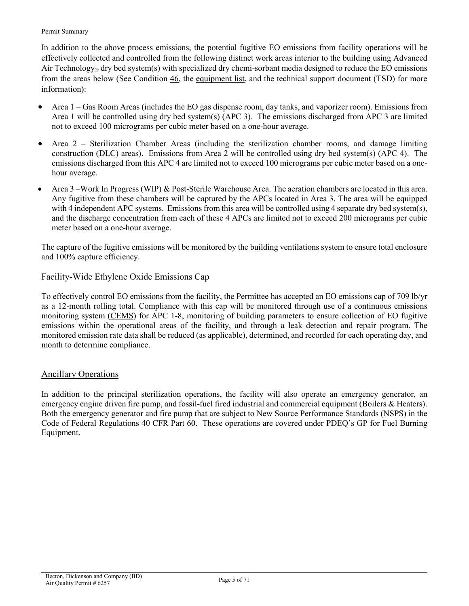#### Permit Summary

In addition to the above process emissions, the potential fugitive EO emissions from facility operations will be effectively collected and controlled from the following distinct work areas interior to the building using Advanced Air Technology<sup>®</sup> dry bed system(s) with specialized dry chemi-sorbant media designed to reduce the EO emissions from the areas below (See [Condition 46,](#page-9-1) the [equipment list,](#page-23-0) and the technical support document (TSD) for more information):

- Area 1 Gas Room Areas (includes the EO gas dispense room, day tanks, and vaporizer room). Emissions from Area 1 will be controlled using dry bed system(s) (APC 3). The emissions discharged from APC 3 are limited not to exceed 100 micrograms per cubic meter based on a one-hour average.
- Area 2 Sterilization Chamber Areas (including the sterilization chamber rooms, and damage limiting construction (DLC) areas). Emissions from Area 2 will be controlled using dry bed system(s) (APC 4). The emissions discharged from this APC 4 are limited not to exceed 100 micrograms per cubic meter based on a onehour average.
- Area 3 –Work In Progress (WIP) & Post-Sterile Warehouse Area. The aeration chambers are located in this area. Any fugitive from these chambers will be captured by the APCs located in Area 3. The area will be equipped with 4 independent APC systems. Emissions from this area will be controlled using 4 separate dry bed system(s), and the discharge concentration from each of these 4 APCs are limited not to exceed 200 micrograms per cubic meter based on a one-hour average.

The capture of the fugitive emissions will be monitored by the building ventilations system to ensure total enclosure and 100% capture efficiency.

#### Facility-Wide Ethylene Oxide Emissions Cap

To effectively control EO emissions from the facility, the Permittee has accepted an EO emissions cap of 709 lb/yr as a 12-month rolling total. Compliance with this cap will be monitored through use of a continuous emissions monitoring system [\(CEMS\)](#page-41-0) for APC 1-8, monitoring of building parameters to ensure collection of EO fugitive emissions within the operational areas of the facility, and through a leak detection and repair program. The monitored emission rate data shall be reduced (as applicable), determined, and recorded for each operating day, and month to determine compliance.

#### Ancillary Operations

In addition to the principal sterilization operations, the facility will also operate an emergency generator, an emergency engine driven fire pump, and fossil-fuel fired industrial and commercial equipment (Boilers & Heaters). Both the emergency generator and fire pump that are subject to New Source Performance Standards (NSPS) in the Code of Federal Regulations 40 CFR Part 60. These operations are covered under PDEQ's GP for Fuel Burning Equipment.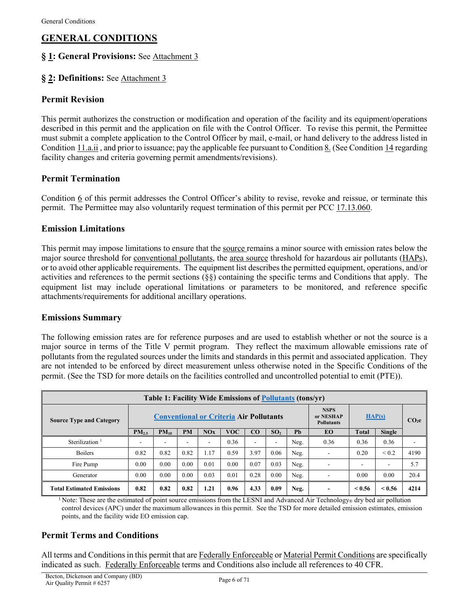## **GENERAL CONDITIONS**

## **§ [1:](#page-29-0) General Provisions:** [See Attachment 3](#page-70-0)

## **§ [2:](#page-29-0) Definitions:** [See Attachment 3](#page-70-0)

### **Permit Revision**

This permit authorizes the construction or modification and operation of the facility and its equipment/operations described in this permit and the application on file with the Control Officer. To revise this permit, the Permittee must submit a complete application to the Control Officer by mail, e-mail, or hand delivery to the address listed in [Condition](#page-34-0) 11.a.ii , and prior to issuance; pay the applicable fee pursuant t[o Condition 8.](#page-31-0) (See [Condition](#page-35-0) 14 regarding facility changes and criteria governing permit amendments/revisions).

### **Permit Termination**

[Condition 6](#page-30-0) of this permit addresses the Control Officer's ability to revise, revoke and reissue, or terminate this permit. The Permittee may also voluntarily request termination of this permit per PCC [17.13.060.](https://tinyurl.com/yypcqjop)

#### **Emission Limitations**

This permit may impose limitations to ensure that the [source](#page-51-1) remains a minor source with emission rates below the major source threshold for [conventional pollutants,](#page-50-0) the [area source](#page-40-1) threshold for hazardous air pollutants [\(HAPs\)](#page-45-0), or to avoid other applicable requirements. The equipment list describes the permitted equipment, operations, and/or activities and references to the permit sections (§§) containing the specific terms and Conditions that apply. The equipment list may include operational limitations or parameters to be monitored, and reference specific attachments/requirements for additional ancillary operations.

#### **Emissions Summary**

The following emission rates are for reference purposes and are used to establish whether or not the source is a major source in terms of the Title V permit program. They reflect the maximum allowable emissions rate of pollutants from the regulated sources under the limits and standards in this permit and associated application. They are not intended to be enforced by direct measurement unless otherwise noted in the Specific Conditions of the permit. (See the TSD for more details on the facilities controlled and uncontrolled potential to emit (PTE)).

| Table 1: Facility Wide Emissions of Pollutants (tons/yr) |                                                |           |           |      |            |          |                 |                                               |           |              |                 |      |
|----------------------------------------------------------|------------------------------------------------|-----------|-----------|------|------------|----------|-----------------|-----------------------------------------------|-----------|--------------|-----------------|------|
| <b>Source Type and Category</b>                          | <b>Conventional or Criteria Air Pollutants</b> |           |           |      |            |          |                 | <b>NSPS</b><br>or NESHAP<br><b>Pollutants</b> | HAP(s)    |              | CO <sub>2</sub> |      |
|                                                          | PM <sub>2.5</sub>                              | $PM_{10}$ | <b>PM</b> | NOx  | <b>VOC</b> | $\bf CO$ | SO <sub>2</sub> | Ph                                            | <b>EO</b> | <b>Total</b> | Single          |      |
| Sterilization                                            |                                                |           |           | ۰    | 0.36       | ۰        | ۰               | Neg.                                          | 0.36      | 0.36         | 0.36            |      |
| <b>Boilers</b>                                           | 0.82                                           | 0.82      | 0.82      | 1.17 | 0.59       | 3.97     | 0.06            | Neg.                                          |           | 0.20         | ${}< 0.2$       | 4190 |
| Fire Pump                                                | 0.00                                           | 0.00      | 0.00      | 0.01 | 0.00       | 0.07     | 0.03            | Neg.                                          |           |              | -               | 5.7  |
| Generator                                                | 0.00                                           | 0.00      | 0.00      | 0.03 | 0.01       | 0.28     | 0.00            | Neg.                                          |           | 0.00         | 0.00            | 20.4 |
| <b>Total Estimated Emissions</b>                         | 0.82                                           | 0.82      | 0.82      | 1.21 | 0.96       | 4.33     | 0.09            | Neg.                                          |           | < 0.56       | < 0.56          | 4214 |

<sup>1</sup> Note: These are the estimated of point source emissions from the LESNI and Advanced Air Technology® dry bed air pollution control devices (APC) under the maximum allowances in this permit. See the TSD for more detailed emission estimates, emission points, and the facility wide EO emission cap.

## **Permit Terms and Conditions**

All terms and Conditions in this permit that ar[e Federally Enforceable](#page-44-0) or [Material Permit Conditions](#page-47-0) are specifically indicated as such. Federally [Enforceable](#page-44-0) terms and Conditions also include all references to 40 CFR.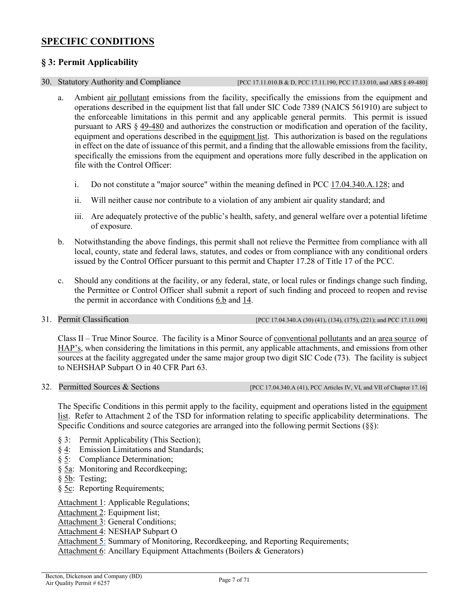## <span id="page-6-0"></span>**SPECIFIC CONDITIONS**

## **§ 3: Permit Applicability**

<span id="page-6-2"></span>

30. Statutory Authority and Compliance [\[PCC 17.11.010.B & D,](https://tinyurl.com/ybffu656) [PCC 17.11.190,](https://tinyurl.com/yat2yhct) [PCC 17.13.010,](https://tinyurl.com/ya23abh3) and ARS § [49-480\]](https://tinyurl.com/ARS49-480)

- <span id="page-6-1"></span>a. Ambient [air pollutant](#page-40-3) emissions from the facility, specifically the emissions from the equipment and operations described in the equipment list that fall under SIC Code 7389 (NAICS 561910) are subject to the enforceable limitations in this permit and any applicable general permits. This permit is issued pursuant to ARS § [49-480](https://tinyurl.com/ARS49-480) and authorizes the construction or modification and operation of the facility, equipment and operations described in the [equipment list.](#page-23-0) This authorization is based on the regulations in effect on the date of issuance of this permit, and a finding that the allowable emissions from the facility, specifically the emissions from the equipment and operations more fully described in the application on file with the Control Officer:
	- i. Do not constitute a "major source" within the meaning defined in PCC [17.04.340.A.128;](https://codelibrary.amlegal.com/codes/pimacounty/latest/pimacounty_az/0-0-0-11052) and
	- ii. Will neither cause nor contribute to a violation of any ambient air quality standard; and
	- iii. Are adequately protective of the public's health, safety, and general welfare over a potential lifetime of exposure.
- b. Notwithstanding the above findings, this permit shall not relieve the Permittee from compliance with all local, county, state and federal laws, statutes, and codes or from compliance with any conditional orders issued by the Control Officer pursuant to this permit and Chapter 17.28 of Title 17 of the PCC.
- c. Should any conditions at the facility, or any federal, state, or local rules or findings change such finding, the Permittee or Control Officer shall submit a report of such finding and proceed to reopen and revise the permit in accordance with Condition[s 6.b](#page-30-1) and [14.](#page-35-0)

<span id="page-6-3"></span>31. Permit Classification [\[PCC 17.04.340.A \(30\) \(41\), \(134\), \(175\), \(221\);](https://tinyurl.com/y9gh9owd) an[d PCC 17.11.090\]](https://tinyurl.com/yat2yhct)

<span id="page-6-4"></span>Class II – True Minor Source. The facility is a Minor Source of [conventional pollutants](#page-50-0) and an [area source](#page-40-1) of [HAP's,](#page-45-0) when considering the limitations in this permit, any applicable attachments, and emissions from other sources at the facility aggregated under the same major group two digit SIC Code (73). The facility is subject to NEHSHAP Subpart O in 40 CFR Part 63.

32. Permitted Sources & Sections [\[PCC 17.04.340.A \(41\),](https://tinyurl.com/y9gh9owd) PC[C Articles IV,](https://tinyurl.com/y2boavsq) [VI,](https://tinyurl.com/y9fxud5g) an[d VII](https://tinyurl.com/yx9e5vav) of Chapte[r 17.16\]](https://tinyurl.com/y7uokuy8)

The Specific Conditions in this permit apply to the facility, equipment and operations listed in the [equipment](#page-23-0)  [list.](#page-23-0) Refer to Attachment 2 of the TSD for information relating to specific applicability determinations. The Specific Conditions and source categories are arranged into the following permit Sections (§§):

- § 3: Permit Applicability (This Section);
- § [4:](#page-7-1) Emission Limitations and Standards;
- [§ 5:](#page-13-0) Compliance Determination;
- [§ 5a:](#page-13-1) Monitoring and Recordkeeping;
- § [5b:](#page-16-0) Testing;
- § [5c:](#page-18-0) Reporting Requirements;

[Attachment](#page-20-0) 1: Applicable Regulations;

[Attachment 2:](#page-23-0) Equipment list;

[Attachment 3:](#page-29-1) General Conditions;

[Attachment 4:](#page-53-0) NESHAP Subpart O

[Attachment 5:](#page-67-0) Summary of Monitoring, Recordkeeping, and Reporting Requirements;

[Attachment 6:](#page-69-0) Ancillary Equipment Attachments (Boilers & Generators)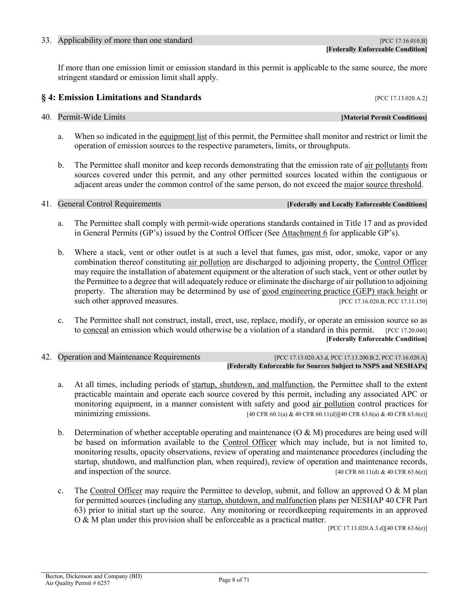#### <span id="page-7-7"></span><span id="page-7-0"></span>33. Applicability of more than one standard **EXECUTE:** [\[PCC 17.16.010.B\]](https://tinyurl.com/yxanjjfe)

If more than one emission limit or emission standard in this permit is applicable to the same source, the more stringent standard or emission limit shall apply.

## <span id="page-7-1"></span>**§** 4: Emission Limitations and Standards **[\[PCC 17.13.020.A.2\]](https://tinyurl.com/y2whqkle)**

#### <span id="page-7-2"></span>40. Permit-Wide Limits *and Limits Material Permit Conditions*

- a. When so indicated in the [equipment list](#page-23-0) of this permit, the Permittee shall monitor and restrict or limit the operation of emission sources to the respective parameters, limits, or throughputs.
- b. The Permittee shall monitor and keep records demonstrating that the emission rate of [air pollutants](#page-40-3) from sources covered under this permit, and any other permitted sources located within the contiguous or adjacent areas under the common control of the same person, do not exceed the [major source threshold.](#page-45-1)

## <span id="page-7-3"></span>41. General Control Requirements **[Federally and Locally Enforceable Conditions]**

- a. The Permittee shall comply with permit-wide operations standards contained in Title 17 and as provided in General Permits (GP's) issued by the Control Officer (See [Attachment 6](#page-69-0) for applicable GP's).
- b. Where a stack, vent or other outlet is at such a level that fumes, gas mist, odor, smoke, vapor or any combination thereof constituting [air pollution](#page-40-3) are discharged to adjoining property, the [Control Officer](#page-41-1) may require the installation of abatement equipment or the alteration of such stack, vent or other outlet by the Permittee to a degree that will adequately reduce or eliminate the discharge o[f air pollution](#page-40-3) to adjoining property. The alteration may be determined by use of [good engineering practice](https://tinyurl.com/y5o5pvjn) (GEP) stack height or such other approved measures. [\[PCC 17.16.020.B,](https://tinyurl.com/y4f72q4a) PC[C 17.11.150\]](https://tinyurl.com/y5o5pvjn)
- c. The Permittee shall not construct, install, erect, use, replace, modify, or operate an emission source so as to [conceal](#page-41-2) an emission which would otherwise be a violation of a standard in this permit. [\[PCC 17.20.040\]](https://tinyurl.com/y5pqwkg8) **[[Federally Enforceable](#page-44-0) Condition]**
- <span id="page-7-6"></span><span id="page-7-5"></span><span id="page-7-4"></span>42. Operation and Maintenance Requirements [\[PCC 17.13.020.](https://tinyurl.com/y2whqkle)A3.d, PC[C 17.13.200.B.2,](https://tinyurl.com/y49knu68) PC[C 17.16.020.A\]](https://tinyurl.com/y4f72q4a) **[[Federally Enforceable](#page-44-0) for Sources Subject to [NSPS](https://tinyurl.com/y7zuanhf) and [NESHAP](https://tinyurl.com/40-CFR-Part-63)s]**
	- a. At all times, including periods of [startup, shutdown, and malfunction,](#page-47-1) the Permittee shall to the extent practicable maintain and operate each source covered by this permit, including any associated APC or monitoring equipment, in a manner consistent with safety and good [air pollution](#page-40-3) control practices for minimizing emissions. [40 CF[R 60.1\(a\)](https://tinyurl.com/y7zuanhf) & 40 CF[R 60.11\(d\)\]](https://tinyurl.com/y7zuanhf)[40 CFR 63.6(a) & 40 [CFR 63.6\(e\)\]](https://tinyurl.com/40-CFR-Part-63)
	- b. Determination of whether acceptable operating and maintenance  $(O & M)$  procedures are being used will be based on information available to the [Control Officer](#page-41-1) which may include, but is not limited to, monitoring results, opacity observations, review of operating and maintenance procedures (including the startup, shutdown, and malfunction plan, when required), review of operation and maintenance records, and inspection of the source.  $[40 \text{ CFR } 60.11 \text{ (d) } \& 40 \text{ CFR } 63.6 \text{ (e)}]$
	- c. The [Control Officer](#page-41-1) may require the Permittee to develop, submit, and follow an approved O & M plan for permitted sources (including any [startup, shutdown, and malfunction](#page-47-1) plans per NESHAP 40 CFR Part 63) prior to initial start up the source. Any monitoring or recordkeeping requirements in an approved O & M plan under this provision shall be enforceable as a practical matter.

[\[PCC 17.13.020.A.3.d\]](https://tinyurl.com/y2whqkle)[40 CF[R 63.6\(e\)\]](https://tinyurl.com/y5ala8b3)

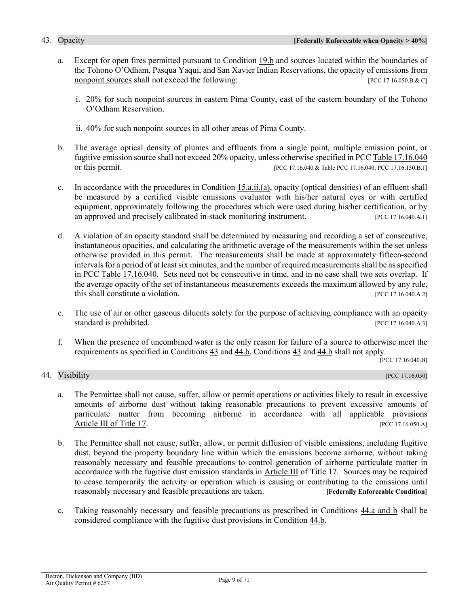- a. Except for open fires permitted pursuant to [Condition 19.b](#page-38-0) and sources located within the boundaries of the Tohono O'Odham, Pasqua Yaqui, and San Xavier Indian Reservations, the opacity of emissions from [nonpoint sources](#page-49-0) shall not exceed the following: [\[PCC 17.16.050.B.& C\]](https://tinyurl.com/y249bvpz)
	- i. 20% for such nonpoint sources in eastern Pima County, east of the eastern boundary of the Tohono O'Odham Reservation.
	- ii. 40% for such nonpoint sources in all other areas of Pima County.
- b. The average optical density of plumes and effluents from a single point, multiple emission point, or fugitive emission source shall not exceed 20% opacity, unless otherwise specified in [PCC Table 17.16.040](https://tinyurl.com/y253pgyg) or this permit. [PC[C 17.16.040 & Table PCC 17.16.040,](https://tinyurl.com/y253pgyg) [PCC 17.16.130.B.1\]](https://tinyurl.com/y2zgab38)
- <span id="page-8-3"></span>c. In accordance with the procedures in [Condition 15.a.ii.\(a\),](#page-36-0) opacity (optical densities) of an effluent shall be measured by a certified visible emissions evaluator with his/her natural eyes or with certified equipment, approximately following the procedures which were used during his/her certification, or by an approved and precisely calibrated in-stack monitoring instrument. [\[PCC 17.16.040.A.1\]](https://tinyurl.com/y253pgyg)
- d. A violation of an opacity standard shall be determined by measuring and recording a set of consecutive, instantaneous opacities, and calculating the arithmetic average of the measurements within the set unless otherwise provided in this permit. The measurements shall be made at approximately fifteen-second intervals for a period of at least six minutes, and the number of required measurements shall be as specified in [PCC Table 17.16.040.](https://tinyurl.com/y253pgyg) Sets need not be consecutive in time, and in no case shall two sets overlap. If the average opacity of the set of instantaneous measurements exceeds the maximum allowed by any rule, this shall constitute a violation. [\[PCC 17.16.040.A.2\]](https://tinyurl.com/y253pgyg)
- e. The use of air or other gaseous diluents solely for the purpose of achieving compliance with an opacity standard is prohibited. [\[PCC 17.16.040.A.3\]](https://tinyurl.com/y253pgyg)
- f. When the presence of uncombined water is the only reason for failure of a source to otherwise meet the requirements as specified in [Conditions 43](#page-7-5) and [44.b,](#page-8-1) [Conditions 43](#page-7-5) and 44.b shall not apply.

[\[PCC 17.16.040.B\]](https://tinyurl.com/y253pgyg)

#### <span id="page-8-0"></span>44. Visibility [PCC 17.16.050]

<span id="page-8-5"></span><span id="page-8-4"></span>

- <span id="page-8-2"></span>a. The Permittee shall not cause, suffer, allow or permit operations or activities likely to result in excessive amounts of airborne dust without taking reasonable precautions to prevent excessive amounts of particulate matter from becoming airborne in accordance with all applicable provisions [Article](https://tinyurl.com/y4z9ams9) III of Title 17. [\[PCC 17.16.050.A\]](https://tinyurl.com/y249bvpz)
- <span id="page-8-1"></span>b. The Permittee shall not cause, suffer, allow, or permit diffusion of visible emissions, including fugitive dust, beyond the property boundary line within which the emissions become airborne, without taking reasonably necessary and feasible precautions to control generation of airborne particulate matter in accordance with the fugitive dust emission standards in [Article III](https://tinyurl.com/y4z9ams9) of Title 17. Sources may be required to cease temporarily the activity or operation which is causing or contributing to the emissions until reasonably necessary and feasible precautions are taken. **[\[Federally Enforceable Condition\]](#page-44-0)**
- c. Taking reasonably necessary and feasible precautions as prescribed in [Conditions](#page-8-2) 44.a and b shall be considered compliance with the fugitive dust provisions in [Condition 44.b.](#page-8-1)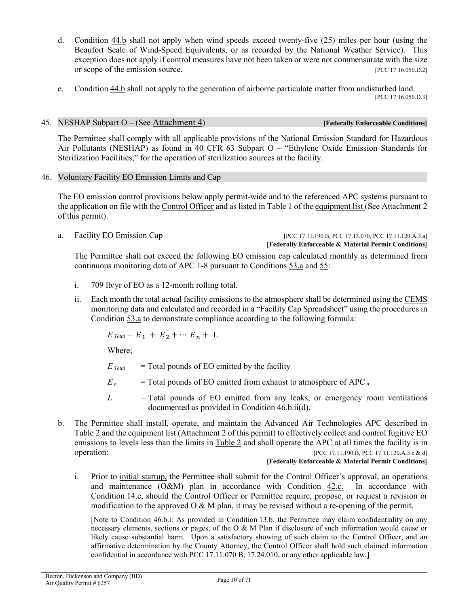- <span id="page-9-7"></span>d. [Condition 44.b](#page-8-1) shall not apply when wind speeds exceed twenty-five (25) miles per hour (using the Beaufort Scale of Wind-Speed Equivalents, or as recorded by the National Weather Service). This exception does not apply if control measures have not been taken or were not commensurate with the size or scope of the emission source. [\[PCC 17.16.050.D.2\]](https://tinyurl.com/y249bvpz)
- <span id="page-9-6"></span>e. [Condition 44.b](#page-8-1) shall not apply to the generation of airborne particulate matter from undisturbed land. [\[PCC 17.16.050.D.3\]](https://tinyurl.com/y249bvpz)

#### <span id="page-9-0"></span>45. NESHAP Subpart O – (See [Attachment 4\)](#page-53-0) **[Federally Enforceable Conditions]**

The Permittee shall comply with all applicable provisions of the National Emission Standard for Hazardous Air Pollutants (NESHAP) as found in 40 CFR 63 Subpart O – "Ethylene Oxide Emission Standards for Sterilization Facilities," for the operation of sterilization sources at the facility.

<span id="page-9-9"></span><span id="page-9-1"></span>46. Voluntary Facility EO Emission Limits and Cap

The EO emission control provisions below apply permit-wide and to the referenced APC systems pursuant to the application on file with the [Control Officer](#page-41-1) and as listed in Table 1 of th[e equipment list](#page-23-0) (See Attachment 2 of this permit).

#### a. Facility EO Emission Cap [PCC 17.11.190.B, PCC 17.13.070, PCC 17.11.120.A.3.a] **[Federally Enforceable & Material Permit Conditions]**

The Permittee shall not exceed the following EO emission cap calculated monthly as determined from continuous monitoring data of APC 1-8 pursuant to [Conditions](#page-14-2) 53.a and [55:](#page-16-1)

- <span id="page-9-8"></span><span id="page-9-3"></span>i. 709 lb/yr of EO as a 12-month rolling total.
- <span id="page-9-4"></span>ii. Each month the total actual facility emissions to the atmosphere shall be determined using the [CEMS](#page-41-0) monitoring data and calculated and recorded in a "Facility Cap Spreadsheet" using the procedures in [Condition](#page-14-2) 53.a to demonstrate compliance according to the following formula:

$$
E_{\text{Total}} = E_1 + E_2 + \cdots E_n + L
$$

Where;

- $E_{\text{Total}}$  = Total pounds of EO emitted by the facility
- $E_n$  = Total pounds of EO emitted from exhaust to atmosphere of APC<sub>n</sub>
- *L =* Total pounds of EO emitted from any leaks, or emergency room ventilations documented as provided in [Condition](#page-11-0) 46.b.ii(d).
- <span id="page-9-5"></span>b. The Permittee shall install, operate, and maintain the Advanced Air Technologies APC described in [Table](#page-12-1) 2 and the [equipment list](#page-23-0) (Attachment 2 of this permit) to effectively collect and control fugitive EO emissions to levels less than the limits in [Table](#page-12-1) 2 and shall operate the APC at all times the facility is in operation: [PCC 17.11.190.B, PCC 17.11.120.A.3.c & d]

#### **[Federally Enforceable & Material Permit Conditions]**

<span id="page-9-2"></span>i. Prior to [initial startup,](#page-53-1) the Permittee shall submit for the Control Officer's approval, an operations and maintenance (O&M) plan in accordance with [Condition 42.c.](#page-7-6) In accordance with Condition [14.c,](#page-36-1) should the Control Officer or Permittee require, propose, or request a revision or modification to the approved  $\overline{O} \& M$  plan, it may be revised without a re-opening of the permit.

[Note to Condition 46.b.i: As provided in Condition [13.b,](#page-35-1) the Permittee may claim confidentiality on any necessary elements, sections or pages, of the O & M Plan if disclosure of such information would cause or likely cause substantial harm. Upon a satisfactory showing of such claim to the Control Officer, and an affirmative determination by the County Attorney, the Control Officer shall hold such claimed information confidential in accordance with PCC 17.11.070 B, 17.24.010, or any other applicable law.]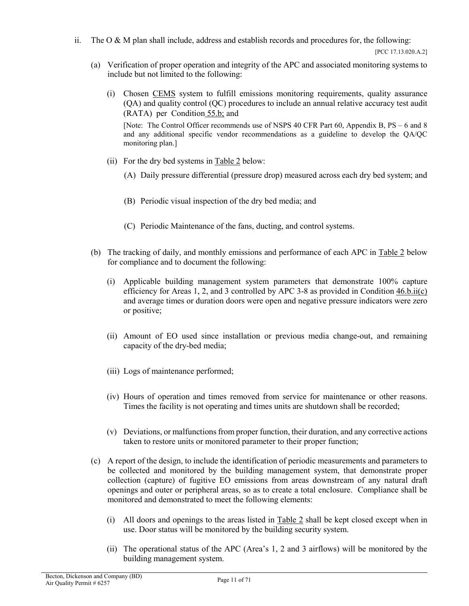ii. The O  $\&$  M plan shall include, address and establish records and procedures for, the following:

[PCC 17.13.020.A.2]

- <span id="page-10-1"></span>(a) Verification of proper operation and integrity of the APC and associated monitoring systems to include but not limited to the following:
	- (i) Chosen [CEMS](#page-41-0) system to fulfill emissions monitoring requirements, quality assurance (QA) and quality control (QC) procedures to include an annual relative accuracy test audit (RATA) per [Condition](#page-17-0) 55.b; and

[Note: The Control Officer recommends use of NSPS 40 CFR Part 60, Appendix B, PS – 6 and 8 and any additional specific vendor recommendations as a guideline to develop the QA/QC monitoring plan.]

- (ii) For the dry bed systems in [Table 2](#page-12-1) below:
	- (A) Daily pressure differential (pressure drop) measured across each dry bed system; and
	- (B) Periodic visual inspection of the dry bed media; and
	- (C) Periodic Maintenance of the fans, ducting, and control systems.
- <span id="page-10-2"></span>(b) The tracking of daily, and monthly emissions and performance of each APC in [Table 2](#page-12-1) below for compliance and to document the following:
	- (i) Applicable building management system parameters that demonstrate 100% capture efficiency for Areas 1, 2, and 3 controlled by APC 3-8 as provided in Condition  $46.b.ii(c)$ and average times or duration doors were open and negative pressure indicators were zero or positive;
	- (ii) Amount of EO used since installation or previous media change-out, and remaining capacity of the dry-bed media;
	- (iii) Logs of maintenance performed;
	- (iv) Hours of operation and times removed from service for maintenance or other reasons. Times the facility is not operating and times units are shutdown shall be recorded;
	- (v) Deviations, or malfunctions from proper function, their duration, and any corrective actions taken to restore units or monitored parameter to their proper function;
- <span id="page-10-0"></span>(c) A report of the design, to include the identification of periodic measurements and parameters to be collected and monitored by the building management system, that demonstrate proper collection (capture) of fugitive EO emissions from areas downstream of any natural draft openings and outer or peripheral areas, so as to create a total enclosure. Compliance shall be monitored and demonstrated to meet the following elements:
	- (i) All doors and openings to the areas listed in  $Table 2$  shall be kept closed except when in use. Door status will be monitored by the building security system.
	- (ii) The operational status of the APC (Area's 1, 2 and 3 airflows) will be monitored by the building management system.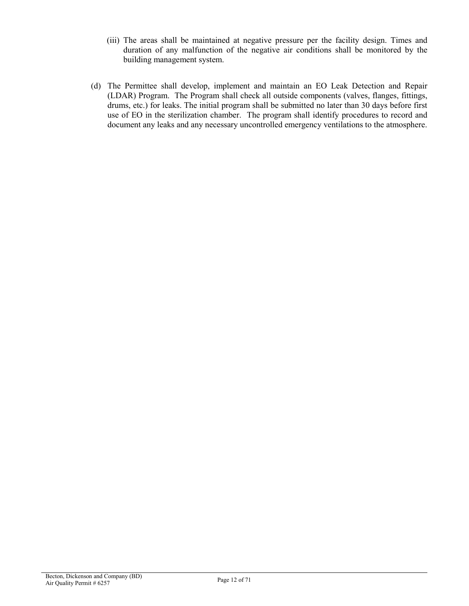- (iii) The areas shall be maintained at negative pressure per the facility design. Times and duration of any malfunction of the negative air conditions shall be monitored by the building management system.
- <span id="page-11-0"></span>(d) The Permittee shall develop, implement and maintain an EO Leak Detection and Repair (LDAR) Program. The Program shall check all outside components (valves, flanges, fittings, drums, etc.) for leaks. The initial program shall be submitted no later than 30 days before first use of EO in the sterilization chamber. The program shall identify procedures to record and document any leaks and any necessary uncontrolled emergency ventilations to the atmosphere.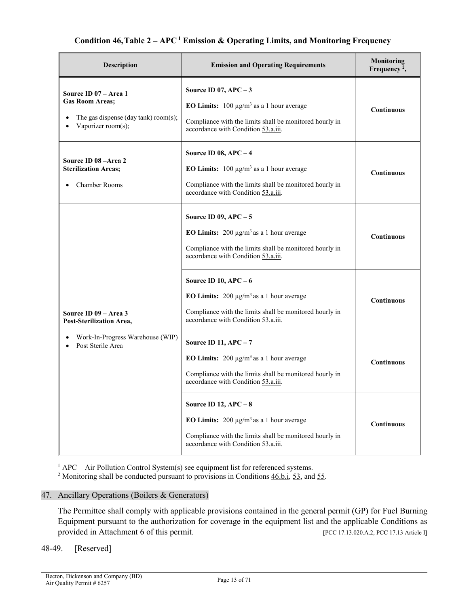## **Condition 46,Table 2 – APC <sup>1</sup> Emission & Operating Limits, and Monitoring Frequency**

<span id="page-12-1"></span>

| Description                                                                                                   | <b>Emission and Operating Requirements</b>                                                                                                                                       | <b>Monitoring</b><br>Frequency <sup>2</sup> , |
|---------------------------------------------------------------------------------------------------------------|----------------------------------------------------------------------------------------------------------------------------------------------------------------------------------|-----------------------------------------------|
| Source ID 07 - Area 1<br><b>Gas Room Areas:</b><br>The gas dispense (day tank) room(s);<br>Vaporizer room(s); | Source ID 07, $APC - 3$<br>EO Limits: $100 \mu g/m^3$ as a 1 hour average<br>Compliance with the limits shall be monitored hourly in<br>accordance with Condition 53.a.iii.      | <b>Continuous</b>                             |
| Source ID 08 - Area 2<br><b>Sterilization Areas;</b><br>Chamber Rooms                                         | Source ID 08, $APC - 4$<br>EO Limits: $100 \mu g/m^3$ as a 1 hour average<br>Compliance with the limits shall be monitored hourly in<br>accordance with Condition 53.a.iii.      | <b>Continuous</b>                             |
|                                                                                                               | Source ID 09, $APC - 5$<br>EO Limits: $200 \mu g/m^3$ as a 1 hour average<br>Compliance with the limits shall be monitored hourly in<br>accordance with Condition 53.a.iii.      | <b>Continuous</b>                             |
| Source ID 09 - Area 3<br>Post-Sterilization Area,                                                             | Source ID 10, $APC - 6$<br>EO Limits: $200 \mu g/m^3$ as a 1 hour average<br>Compliance with the limits shall be monitored hourly in<br>accordance with Condition 53.a.iii.      | <b>Continuous</b>                             |
| Work-In-Progress Warehouse (WIP)<br>Post Sterile Area                                                         | <b>Source ID 11, APC - 7</b><br>EO Limits: $200 \mu g/m^3$ as a 1 hour average<br>Compliance with the limits shall be monitored hourly in<br>accordance with Condition 53.a.iii. | <b>Continuous</b>                             |
|                                                                                                               | Source ID 12, $APC - 8$<br>EO Limits: $200 \mu g/m^3$ as a 1 hour average<br>Compliance with the limits shall be monitored hourly in<br>accordance with Condition 53.a.iii.      | Continuous                                    |

 $1$  APC – Air Pollution Control System(s) see equipment list for referenced systems.

<sup>2</sup> Monitoring shall be conducted pursuant to provisions in Conditions  $46.b.i, 53$  $46.b.i, 53$ , and  $55$ .

#### <span id="page-12-0"></span>47. Ancillary Operations (Boilers & Generators)

The Permittee shall comply with applicable provisions contained in the general permit (GP) for Fuel Burning Equipment pursuant to the authorization for coverage in the equipment list and the applicable Conditions as provided in [Attachment 6](#page-69-0) of this permit. [PCC 17.13.020.A.2[, PCC 17.13 Article I\]](https://tinyurl.com/yxw2l8ar)

#### 48-49. [Reserved]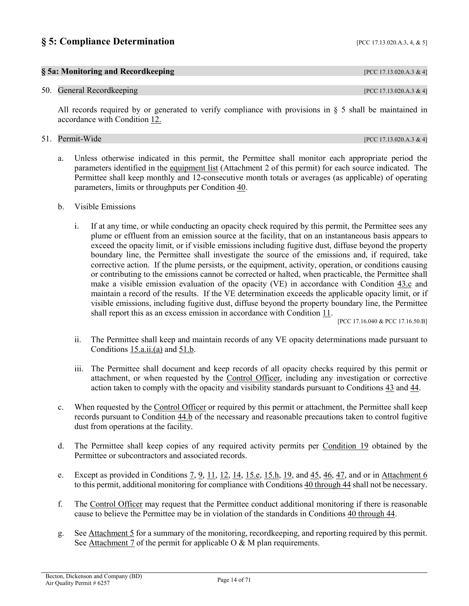## <span id="page-13-5"></span><span id="page-13-0"></span>**§ 5:** Compliance Determination [\[PCC 17.13.020.A.3, 4, & 5\]](https://tinyurl.com/y2whqkle)

## <span id="page-13-1"></span>**§ 5a: Monitoring and Recordkeeping** [PCC 17.13.020.A.3 & 4]

#### <span id="page-13-2"></span>50. General Recordkeeping **[\[PCC 17.13.020.A.3 & 4\]](https://tinyurl.com/y2whqkle)**

All records required by or generated to verify compliance with provisions in § 5 shall be maintained in accordance with [Condition 12.](#page-35-2)

#### <span id="page-13-3"></span>51. Permit-Wide [PCC 17.13.020.A.3 & 4]

<span id="page-13-6"></span>a. Unless otherwise indicated in this permit, the Permittee shall monitor each appropriate period the parameters identified in the [equipment list](#page-23-0) (Attachment 2 of this permit) for each source indicated. The Permittee shall keep monthly and 12-consecutive month totals or averages (as applicable) of operating parameters, limits or throughputs per [Condition](#page-7-2) 40.

#### <span id="page-13-4"></span>b. Visible Emissions

i. If at any time, or while conducting an opacity check required by this permit, the Permittee sees any plume or effluent from an emission source at the facility, that on an instantaneous basis appears to exceed the opacity limit, or if visible emissions including fugitive dust, diffuse beyond the property boundary line, the Permittee shall investigate the source of the emissions and, if required, take corrective action. If the plume persists, or the equipment, activity, operation, or conditions causing or contributing to the emissions cannot be corrected or halted, when practicable, the Permittee shall make a visible emission evaluation of the opacity (VE) in accordance with [Condition 43.c](#page-8-3) and maintain a record of the results. If the VE determination exceeds the applicable opacity limit, or if visible emissions, including fugitive dust, diffuse beyond the property boundary line, the Permittee shall report this as an excess emission in accordance with [Condition](#page-34-1) 11.

[PC[C 17.16.040](https://tinyurl.com/y253pgyg) & PC[C 17.16.50.B\]](https://tinyurl.com/y249bvpz)

- ii. The Permittee shall keep and maintain records of any VE opacity determinations made pursuant to [Conditions](#page-36-0) 15.a.ii.(a) and [51.b.](#page-13-4)
- iii. The Permittee shall document and keep records of all opacity checks required by this permit or attachment, or when requested by the [Control Officer,](#page-41-1) including any investigation or corrective action taken to comply with the opacity and visibility standards pursuant to [Conditions 43](#page-7-5) and [44.](#page-8-4)
- <span id="page-13-7"></span>c. When requested by the [Control Officer](#page-41-1) or required by this permit or attachment, the Permittee shall keep records pursuant to [Condition 44.b](#page-8-5) of the necessary and reasonable precautions taken to control fugitive dust from operations at the facility.
- <span id="page-13-8"></span>d. The Permittee shall keep copies of any required activity permits per [Condition 19](#page-38-1) obtained by the Permittee or subcontractors and associated records.
- e. Except as provided in Conditions  $7, 9, 11, 12, 14, 15.e, 15.h, 19$  $7, 9, 11, 12, 14, 15.e, 15.h, 19$  $7, 9, 11, 12, 14, 15.e, 15.h, 19$  $7, 9, 11, 12, 14, 15.e, 15.h, 19$  $7, 9, 11, 12, 14, 15.e, 15.h, 19$  $7, 9, 11, 12, 14, 15.e, 15.h, 19$  $7, 9, 11, 12, 14, 15.e, 15.h, 19$  $7, 9, 11, 12, 14, 15.e, 15.h, 19$  $7, 9, 11, 12, 14, 15.e, 15.h, 19$ , and  $45, 46, 47$  $45, 46, 47$  $45, 46, 47$ , and or in [Attachment 6](#page-69-0) to this permit, additional monitoring for compliance with [Conditions 40 through 44](#page-7-2) shall not be necessary.
- <span id="page-13-9"></span>f. The [Control Officer](#page-41-1) may request that the Permittee conduct additional monitoring if there is reasonable cause to believe the Permittee may be in violation of the standards in [Conditions 40 through 44.](#page-7-2)
- <span id="page-13-10"></span>g. Se[e Attachment 5](#page-67-0) for a summary of the monitoring, recordkeeping, and reporting required by this permit. See [Attachment](#page-70-0) 7 of the permit for applicable  $O & M$  plan requirements.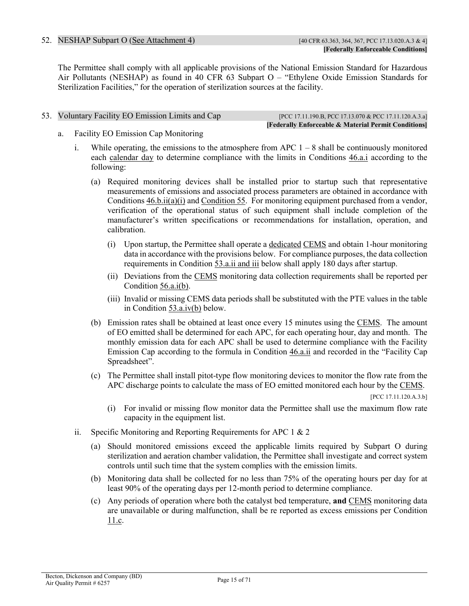#### <span id="page-14-7"></span><span id="page-14-6"></span><span id="page-14-5"></span><span id="page-14-0"></span>52. NESHAP Subpart O [\(See Attachment](#page-53-0) 4) [40 CFR 63.363, 364, 367, PCC 17.13.020.A.3 & 4]

The Permittee shall comply with all applicable provisions of the National Emission Standard for Hazardous Air Pollutants (NESHAP) as found in 40 CFR 63 Subpart O – "Ethylene Oxide Emission Standards for Sterilization Facilities," for the operation of sterilization sources at the facility.

#### <span id="page-14-2"></span><span id="page-14-1"></span>53. Voluntary Facility EO Emission Limits and Cap [PCC 17.11.190.B, PCC 17.11.13070 & PCC 17.11.120.A.3.a]

**[Federally Enforceable & Material Permit Conditions]**

- <span id="page-14-3"></span>a. Facility EO Emission Cap Monitoring
	- i. While operating, the emissions to the atmosphere from APC  $1 8$  shall be continuously monitored each [calendar day](#page-40-4) to determine compliance with the limits in [Conditions 46.a.i](#page-9-3) according to the following:
		- (a) Required monitoring devices shall be installed prior to startup such that representative measurements of emissions and associated process parameters are obtained in accordance with Conditions  $46.b.ii(a)(i)$  and [Condition 55.](#page-16-1) For monitoring equipment purchased from a vendor, verification of the operational status of such equipment shall include completion of the manufacturer's written specifications or recommendations for installation, operation, and calibration.
			- (i) Upon startup, the Permittee shall operate a [dedicated](#page-41-3) [CEMS](#page-41-0) and obtain 1-hour monitoring data in accordance with the provisions below. For compliance purposes, the data collection requirements in Condition [53.a.ii and iii](#page-14-4) below shall apply 180 days after startup.
			- (ii) Deviations from the [CEMS](#page-41-0) monitoring data collection requirements shall be reported per Condition [56.a.i\(b\).](#page-18-2)
			- (iii) [Invalid](#page-45-2) or missing [CEMS](#page-41-0) data periods shall be substituted with the PTE values in the table in Condition [53.a.iv\(b\)](#page-15-3) below.
		- (b) Emission rates shall be obtained at least once every 15 minutes using the [CEMS.](#page-41-0) The amount of EO emitted shall be determined for each APC, for each operating hour, day and month. The monthly emission data for each APC shall be used to determine compliance with the Facility Emission Cap according to the formula in [Condition 46.a.ii](#page-9-4) and recorded in the "Facility Cap Spreadsheet".
		- (c) The Permittee shall install pitot-type flow monitoring devices to monitor the flow rate from the APC discharge points to calculate the mass of EO emitted monitored each hour by the [CEMS.](#page-41-0)

[PCC 17.11.120.A.3.b]

- (i) For invalid or missing flow monitor data the Permittee shall use the maximum flow rate capacity in the equipment list.
- <span id="page-14-8"></span><span id="page-14-4"></span>ii. Specific Monitoring and Reporting Requirements for APC 1 & 2
	- (a) Should monitored emissions exceed the applicable limits required by Subpart O during sterilization and aeration chamber validation, the Permittee shall investigate and correct system controls until such time that the system complies with the emission limits.
	- (b) Monitoring data shall be collected for no less than 75% of the operating hours per day for at least 90% of the operating days per 12-month period to determine compliance.
	- (c) Any periods of operation where both the catalyst bed temperature, **and** [CEMS](#page-41-0) monitoring data are unavailable or during malfunction, shall be re reported as excess emissions per Condition [11.c.](#page-34-2)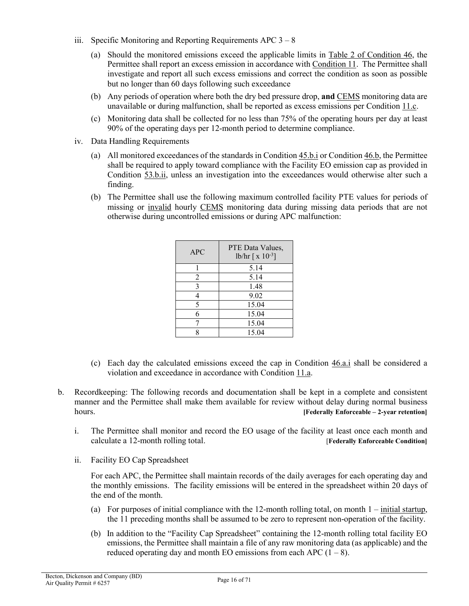- <span id="page-15-9"></span><span id="page-15-5"></span><span id="page-15-0"></span>iii. Specific Monitoring and Reporting Requirements APC  $3 - 8$ 
	- (a) Should the monitored emissions exceed the applicable limits in [Table 2 of Condition 46,](#page-12-1) the Permittee shall report an excess emission in accordance with [Condition 11.](#page-34-1) The Permittee shall investigate and report all such excess emissions and correct the condition as soon as possible but no longer than 60 days following such exceedance
	- (b) Any periods of operation where both the dry bed pressure drop, **and** [CEMS](#page-41-0) monitoring data are unavailable or during malfunction, shall be reported as excess emissions per Condition [11.c.](#page-34-2)
	- (c) Monitoring data shall be collected for no less than 75% of the operating hours per day at least 90% of the operating days per 12-month period to determine compliance.
- <span id="page-15-3"></span><span id="page-15-1"></span>iv. Data Handling Requirements
	- (a) All monitored exceedances of the standards in Condition  $45.b.i$  or Condition  $46.b$ , the Permittee shall be required to apply toward compliance with the Facility EO emission cap as provided in [Condition 53.b.ii,](#page-15-4) unless an investigation into the exceedances would otherwise alter such a finding.
	- (b) The Permittee shall use the following maximum controlled facility PTE values for periods of missing or [invalid](#page-45-2) hourly [CEMS](#page-41-0) monitoring data during missing data periods that are not otherwise during uncontrolled emissions or during APC malfunction:

| <b>APC</b> | PTE Data Values,<br>lb/hr $\lceil x 10^{-3} \rceil$ |
|------------|-----------------------------------------------------|
|            | 5.14                                                |
| 2          | 5.14                                                |
| 3          | 1.48                                                |
| 4          | 9.02                                                |
| 5          | 15.04                                               |
| 6          | 15.04                                               |
|            | 15.04                                               |
| Q          | 15.04                                               |

- <span id="page-15-6"></span>(c) Each day the calculated emissions exceed the cap in [Condition 46.a.i](#page-9-3) shall be considered a violation and exceedance in accordance with [Condition 11.a.](#page-34-3)
- <span id="page-15-8"></span><span id="page-15-7"></span><span id="page-15-2"></span>b. Recordkeeping: The following records and documentation shall be kept in a complete and consistent manner and the Permittee shall make them available for review without delay during normal business hours. **[Federally Enforceable – 2-year retention]**
	- i. The Permittee shall monitor and record the EO usage of the facility at least once each month and calculate a 12-month rolling total. [**Federally Enforceable Condition]**
	- ii. Facility EO Cap Spreadsheet

<span id="page-15-4"></span>For each APC, the Permittee shall maintain records of the daily averages for each operating day and the monthly emissions. The facility emissions will be entered in the spreadsheet within 20 days of the end of the month.

- (a) For purposes of initial compliance with the 12-month rolling total, on month  $1$  initial startup, the 11 preceding months shall be assumed to be zero to represent non-operation of the facility.
- (b) In addition to the "Facility Cap Spreadsheet" containing the 12-month rolling total facility EO emissions, the Permittee shall maintain a file of any raw monitoring data (as applicable) and the reduced operating day and month EO emissions from each APC  $(1 – 8)$ .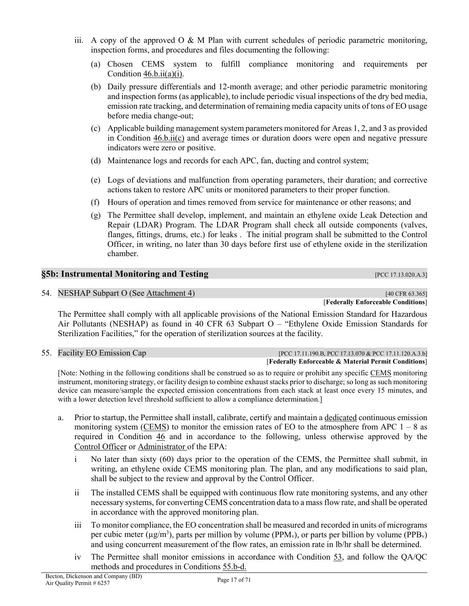- <span id="page-16-4"></span>iii. A copy of the approved  $O \& M$  Plan with current schedules of periodic parametric monitoring, inspection forms, and procedures and files documenting the following:
	- (a) Chosen CEMS system to fulfill compliance monitoring and requirements per Condition  $46.b.ii(a)(i)$ .
	- (b) Daily pressure differentials and 12-month average; and other periodic parametric monitoring and inspection forms (as applicable), to include periodic visual inspections of the dry bed media, emission rate tracking, and determination of remaining media capacity units of tons of EO usage before media change-out;
	- (c) Applicable building management system parameters monitored for Areas 1, 2, and 3 as provided in Condition [46.b.ii\(c\)](#page-10-0) and average times or duration doors were open and negative pressure indicators were zero or positive.
	- (d) Maintenance logs and records for each APC, fan, ducting and control system;
	- (e) Logs of deviations and malfunction from operating parameters, their duration; and corrective actions taken to restore APC units or monitored parameters to their proper function.
	- (f) Hours of operation and times removed from service for maintenance or other reasons; and
	- (g) The Permittee shall develop, implement, and maintain an ethylene oxide Leak Detection and Repair (LDAR) Program. The LDAR Program shall check all outside components (valves, flanges, fittings, drums, etc.) for leaks . The initial program shall be submitted to the Control Officer, in writing, no later than 30 days before first use of ethylene oxide in the sterilization chamber.

## <span id="page-16-3"></span><span id="page-16-0"></span>**§5b: Instrumental Monitoring and Testing [PCC 17.13.020.A.3]**

54. NESHAP Subpart O (See [Attachment 4\)](#page-53-0) [40 CFR 63.365]

[**Federally Enforceable Conditions**]

The Permittee shall comply with all applicable provisions of the National Emission Standard for Hazardous Air Pollutants (NESHAP) as found in 40 CFR 63 Subpart O – "Ethylene Oxide Emission Standards for Sterilization Facilities," for the operation of sterilization sources at the facility.

<span id="page-16-1"></span>55. Facility EO Emission Cap [PCC 17.11.190.B, PCC 17.11.190.B, PCC 17.11.120.A.3.b] [**Federally Enforceable & Material Permit Conditions**]

[Note: Nothing in the following conditions shall be construed so as to require or prohibit any specific [CEMS](#page-41-0) monitoring instrument, monitoring strategy, or facility design to combine exhaust stacks prior to discharge; so long as such monitoring device can measure/sample the expected emission concentrations from each stack at least once every 15 minutes, and with a lower detection level threshold sufficient to allow a compliance determination.]

- <span id="page-16-2"></span>a. Prior to startup, the Permittee shall install, calibrate, certify and maintain [a dedicated](#page-41-3) continuous emission monitoring system [\(CEMS\)](#page-41-0) to monitor the emission rates of EO to the atmosphere from APC  $1 - 8$  as required in [Condition 46](#page-9-1) and in accordance to the following, unless otherwise approved by the [Control](#page-41-1) Officer or [Administrator o](#page-40-5)f the EPA:
	- i No later than sixty (60) days prior to the operation of the CEMS, the Permittee shall submit, in writing, an ethylene oxide CEMS monitoring plan. The plan, and any modifications to said plan, shall be subject to the review and approval by the Control Officer.
	- ii The installed CEMS shall be equipped with continuous flow rate monitoring systems, and any other necessary systems, for converting CEMS concentration data to a mass flow rate, and shall be operated in accordance with the approved monitoring plan.
	- iii To monitor compliance, the EO concentration shall be measured and recorded in units of micrograms per cubic meter ( $\mu$ g/m<sup>3</sup>), parts per million by volume (PPM<sub>v</sub>), or parts per billion by volume (PPB<sub>v</sub>) and using concurrent measurement of the flow rates, an emission rate in lb/hr shall be determined.
	- iv The Permittee shall monitor emissions in accordance with [Condition 53,](#page-14-1) and follow the QA/QC methods and procedures in [Conditions](#page-17-0) 55.b-d.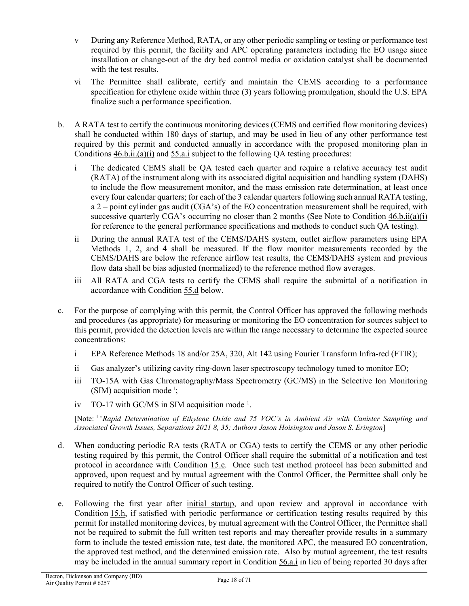- <span id="page-17-2"></span>v During any Reference Method, RATA, or any other periodic sampling or testing or performance test required by this permit, the facility and APC operating parameters including the EO usage since installation or change-out of the dry bed control media or oxidation catalyst shall be documented with the test results.
- vi The Permittee shall calibrate, certify and maintain the CEMS according to a performance specification for ethylene oxide within three (3) years following promulgation, should the U.S. EPA finalize such a performance specification.
- <span id="page-17-0"></span>b. A RATA test to certify the continuous monitoring devices (CEMS and certified flow monitoring devices) shall be conducted within 180 days of startup, and may be used in lieu of any other performance test required by this permit and conducted annually in accordance with the proposed monitoring plan in Conditions  $46.\underline{\text{b}}.\underline{\text{ii}}.(\underline{\text{a}})(\underline{\text{i}})$  and  $55.\underline{\text{a}}.\underline{\text{i}}$  subject to the following QA testing procedures:
	- i The [dedicated](#page-41-3) CEMS shall be QA tested each quarter and require a relative accuracy test audit (RATA) of the instrument along with its associated digital acquisition and handling system (DAHS) to include the flow measurement monitor, and the mass emission rate determination, at least once every four calendar quarters; for each of the 3 calendar quarters following such annual RATA testing, a 2 – point cylinder gas audit (CGA's) of the EO concentration measurement shall be required, with successive quarterly CGA's occurring no closer than 2 months (See Note to Condition  $46.b.ii(a)(i)$ ) [for reference to the general performance specifications and methods to conduct such QA testing\).](#page-10-1)
	- ii During the annual RATA test of the CEMS/DAHS system, outlet airflow parameters using EPA Methods 1, 2, and 4 shall be measured. If the flow monitor measurements recorded by the CEMS/DAHS are below the reference airflow test results, the CEMS/DAHS system and previous flow data shall be bias adjusted (normalized) to the reference method flow averages.
	- iii All RATA and CGA tests to certify the CEMS shall require the submittal of a notification in accordance with [Condition 55.d](#page-17-1) below.
- <span id="page-17-3"></span><span id="page-17-1"></span>c. For the purpose of complying with this permit, the Control Officer has approved the following methods and procedures (as appropriate) for measuring or monitoring the EO concentration for sources subject to this permit, provided the detection levels are within the range necessary to determine the expected source concentrations:
	- i EPA Reference Methods 18 and/or 25A, 320, Alt 142 using Fourier Transform Infra-red (FTIR);
	- ii Gas analyzer's utilizing cavity ring-down laser spectroscopy technology tuned to monitor EO;
	- iii TO-15A with Gas Chromatography/Mass Spectrometry (GC/MS) in the Selective Ion Monitoring (SIM) acquisition mode<sup>1</sup>;
	- iv TO-17 with GC/MS in SIM acquisition mode<sup>1</sup>.

[Note: <sup>1</sup> *"Rapid Determination of Ethylene Oxide and 75 VOC's in Ambient Air with Canister Sampling and Associated Growth Issues, Separations 2021 8, 35; Authors Jason Hoisington and Jason S. Erington*]

- d. When conducting periodic RA tests (RATA or CGA) tests to certify the CEMS or any other periodic testing required by this permit, the Control Officer shall require the submittal of a notification and test protocol in accordance with [Condition 15.e.](#page-37-0) Once such test method protocol has been submitted and approved, upon request and by mutual agreement with the Control Officer, the Permittee shall only be required to notify the Control Officer of such testing.
- e. Following the first year after [initial startup,](#page-53-1) and upon review and approval in accordance with [Condition](#page-38-2) 15.h, if satisfied with periodic performance or certification testing results required by this permit for installed monitoring devices, by mutual agreement with the Control Officer, the Permittee shall not be required to submit the full written test reports and may thereafter provide results in a summary form to include the tested emission rate, test date, the monitored APC, the measured EO concentration, the approved test method, and the determined emission rate. Also by mutual agreement, the test results may be included in the annual summary report in [Condition 56.a.i](#page-18-3) in lieu of being reported 30 days after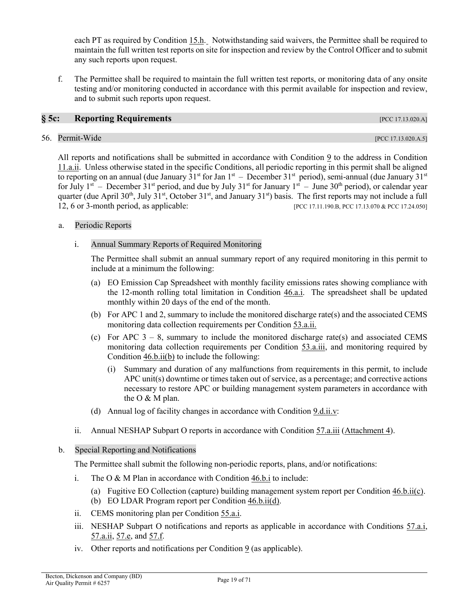each PT as required by [Condition](#page-38-2) 15.h. Notwithstanding said waivers, the Permittee shall be required to maintain the full written test reports on site for inspection and review by the Control Officer and to submit any such reports upon request.

f. The Permittee shall be required to maintain the full written test reports, or monitoring data of any onsite testing and/or monitoring conducted in accordance with this permit available for inspection and review, and to submit such reports upon request.

#### <span id="page-18-0"></span>**§ 5c: Reporting Requirements** [PCC 17.13.020.A]

#### <span id="page-18-11"></span><span id="page-18-4"></span><span id="page-18-1"></span>56. Permit-Wide [PCC 17.13.020.A.5]

<span id="page-18-5"></span>All reports and notifications shall be submitted in accordance with [Condition 9](#page-31-2) to the address in [Condition](#page-34-0)  [11.a.ii.](#page-34-0) Unless otherwise stated in the specific Conditions, all periodic reporting in this permit shall be aligned to reporting on an annual (due January 31<sup>st</sup> for Jan 1<sup>st</sup> – December 31<sup>st</sup> period), semi-annual (due January 31<sup>st</sup> for July  $1^{st}$  – December 31<sup>st</sup> period, and due by July 31<sup>st</sup> for January  $1^{st}$  – June 30<sup>th</sup> period), or calendar year quarter (due April 30<sup>th</sup>, July 31<sup>st</sup>, October 31<sup>st</sup>, and January 31<sup>st</sup>) basis. The first reports may not include a full 12, 6 or 3-month period, as applicable: [PCC 17.11.190.B, PCC 17.13.070 & PCC 17.24.050]

#### <span id="page-18-12"></span><span id="page-18-8"></span><span id="page-18-3"></span>a. Periodic Reports

#### i. Annual Summary Reports of Required Monitoring

The Permittee shall submit an annual summary report of any required monitoring in this permit to include at a minimum the following:

- <span id="page-18-6"></span>(a) EO Emission Cap Spreadsheet with monthly facility emissions rates showing compliance with the 12-month rolling total limitation in [Condition 46.a.i.](#page-9-3) The spreadsheet shall be updated monthly within 20 days of the end of the month.
- <span id="page-18-2"></span>(b) For APC 1 and 2, summary to include the monitored discharge rate(s) and the associated CEMS monitoring data collection requirements per Condition [53.a.ii.](#page-14-4)
- <span id="page-18-9"></span>(c) For APC  $3 - 8$ , summary to include the monitored discharge rate(s) and associated CEMS monitoring data collection requirements per Condition [53.a.iii,](#page-15-0) and monitoring required by Condition [46.b.ii\(b\)](#page-10-2) to include the following:
	- (i) Summary and duration of any malfunctions from requirements in this permit, to include APC unit(s) downtime or times taken out of service, as a percentage; and corrective actions necessary to restore APC or building management system parameters in accordance with the O & M plan.
- (d) Annual log of facility changes in accordance with [Condition 9.d.ii.v:](#page-33-0)
- <span id="page-18-7"></span>ii. Annual NESHAP Subpart O reports in accordance with [Condition 57.a.iii](#page-61-0) [\(Attachment 4\)](#page-53-0).

#### b. Special Reporting and Notifications

The Permittee shall submit the following non-periodic reports, plans, and/or notifications:

- i. The O & M Plan in accordance with [Condition 46.b.i](#page-9-2) to include:
	- (a) Fugitive EO Collection (capture) building management system report per Condition [46.b.ii\(c\).](#page-10-0)
	- (b) EO LDAR Program report per Conditio[n 46.b.ii\(d\).](#page-11-0)
- ii. CEMS monitoring plan per [Condition 55.a.i.](#page-16-2)
- <span id="page-18-10"></span>iii. NESHAP Subpart O notifications and reports as applicable in accordance with Conditions 57.a.i, [57.a.ii,](#page-61-2) [57.e,](#page-64-0) and [57.f.](#page-66-0)
- iv. Other reports and notifications per [Condition 9](#page-31-2) (as applicable).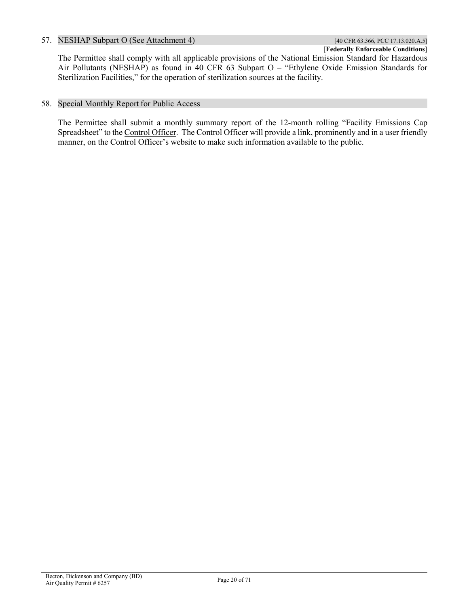#### <span id="page-19-3"></span><span id="page-19-2"></span><span id="page-19-0"></span>57. NESHAP Subpart O (See [Attachment 4\)](#page-53-0) [40 CFR 63.366, PCC 17.13.020.A.5]

[**Federally Enforceable Conditions**] The Permittee shall comply with all applicable provisions of the National Emission Standard for Hazardous Air Pollutants (NESHAP) as found in 40 CFR 63 Subpart O – "Ethylene Oxide Emission Standards for Sterilization Facilities," for the operation of sterilization sources at the facility.

#### 58. Special Monthly Report for Public Access

<span id="page-19-1"></span>The Permittee shall submit a monthly summary report of the 12-month rolling "Facility Emissions Cap Spreadsheet" to th[e Control Officer.](#page-41-1) The Control Officer will provide a link, prominently and in a user friendly manner, on the Control Officer's website to make such information available to the public.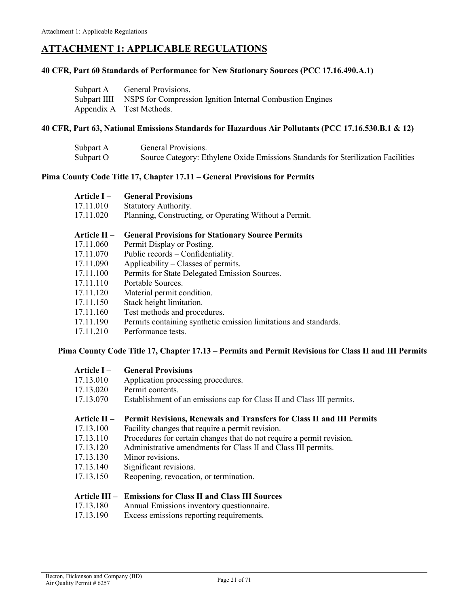## <span id="page-20-0"></span>**ATTACHMENT 1: APPLICABLE REGULATIONS**

#### **40 CFR, Part 60 Standards of Performance for New Stationary Sources (PCC [17.16.490](https://tinyurl.com/y589oj9q).A.1)**

| Subpart A General Provisions.                                          |
|------------------------------------------------------------------------|
| Subpart IIII NSPS for Compression Ignition Internal Combustion Engines |
| Appendix A Test Methods.                                               |

#### **40 CFR, Part 63, National Emissions Standards for Hazardous Air Pollutants [\(PCC 17.16.530.B.1 & 12\)](https://tinyurl.com/y6a8c35o)**

| Subpart A | General Provisions.                                                              |
|-----------|----------------------------------------------------------------------------------|
| Subpart O | Source Category: Ethylene Oxide Emissions Standards for Sterilization Facilities |

#### **Pima County Code Title 17, Chapter 17.11 – [General Provisions for Permits](https://tinyurl.com/ybffu656)**

| <b>Article I –</b> | <b>General Provisions</b>                                        |
|--------------------|------------------------------------------------------------------|
| 17.11.010          | Statutory Authority.                                             |
| 17.11.020          | Planning, Constructing, or Operating Without a Permit.           |
| Article II –       | <b>General Provisions for Stationary Source Permits</b>          |
| 17.11.060          | Permit Display or Posting.                                       |
| 17.11.070          | Public records – Confidentiality.                                |
| 17.11.090          | Applicability – Classes of permits.                              |
| 17.11.100          | Permits for State Delegated Emission Sources.                    |
| 17.11.110          | Portable Sources.                                                |
| 17.11.120          | Material permit condition.                                       |
| 17.11.150          | Stack height limitation.                                         |
| 17.11.160          | Test methods and procedures.                                     |
| 17.11.190          | Permits containing synthetic emission limitations and standards. |
|                    |                                                                  |

[17.11.210](https://tinyurl.com/y7ou53b8) Performance tests.

#### **Pima County Code Title 17, Chapter 17.13 – [Permits and Permit Revisions for](https://tinyurl.com/y552e4hl) Class II and III Permits**

| Article I – | <b>General Provisions</b> |
|-------------|---------------------------|
|             |                           |

- [17.13.010](https://tinyurl.com/ya23abh3) Application processing procedures.
- [17.13.020](https://tinyurl.com/y2whqkle) Permit contents.
- 17.13.070 Establishment of an emissions cap for Class II and Class III permits.

#### **[Article II](https://tinyurl.com/yyfeehcr) – Permit Revisions, Renewals and Transfers for Class II and III Permits**

- [17.13.100](https://tinyurl.com/y5ug46gn) Facility changes that require a permit revision.
- [17.13.110](https://tinyurl.com/y5p6yuan) Procedures for certain changes that do not require a permit revision.
- [17.13.120](https://tinyurl.com/y2r9tfg2) Administrative amendments for Class II and Class III permits.
- [17.13.130](https://tinyurl.com/y39z74p2) Minor revisions.
- [17.13.140](https://tinyurl.com/y3ttw8kb) Significant revisions.
- [17.13.150](https://tinyurl.com/y2c32y2e) Reopening, revocation, or termination.

#### **[Article III](https://tinyurl.com/2jv3j48f) – Emissions for Class II and Class III Sources**

- [17.13.180](https://tinyurl.com/y2zf94nt) Annual Emissions inventory questionnaire.
- [17.13.190](https://tinyurl.com/y39rx3ce) Excess emissions reporting requirements.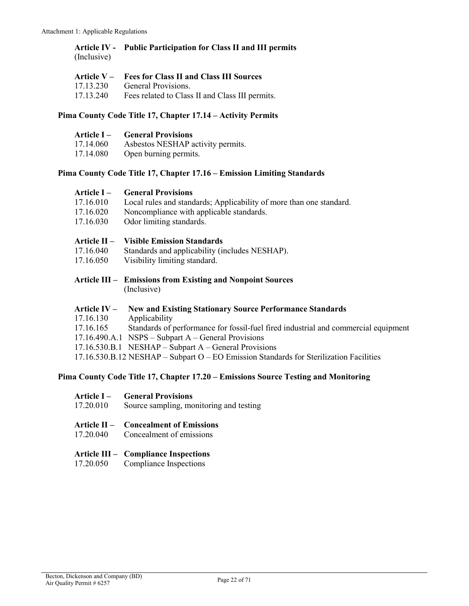#### **[Article IV](https://tinyurl.com/y3pq36lg) - Public Participation for Class II and III permits** (Inclusive)

|           | Article V – Fees for Class II and Class III Sources |
|-----------|-----------------------------------------------------|
| 17.13.230 | General Provisions.                                 |
| 17.13.240 | Fees related to Class II and Class III permits.     |

#### **Pima County Code Title 17, [Chapter 17.14](https://tinyurl.com/y62n49pv) – Activity Permits**

|           | <b>Article I</b> – General Provisions |
|-----------|---------------------------------------|
| 17.14.060 | Asbestos NESHAP activity permits.     |
| 17.14.080 | Open burning permits.                 |

#### **Pima County Code Title 17, Chapter 17.16 – [Emission Limiting Standards](https://tinyurl.com/y7uokuy8)**

| Article I –    | <b>General Provisions</b>                                                                |
|----------------|------------------------------------------------------------------------------------------|
| 17.16.010      | Local rules and standards; Applicability of more than one standard.                      |
| 17.16.020      | Noncompliance with applicable standards.                                                 |
| 17.16.030      | Odor limiting standards.                                                                 |
| Article $II -$ | <b>Visible Emission Standards</b>                                                        |
| 17.16.040      | Standards and applicability (includes NESHAP).                                           |
| 17.16.050      | Visibility limiting standard.                                                            |
|                | Article III – Emissions from Existing and Nonpoint Sources<br>(Inclusive)                |
| Article $IV-$  | <b>New and Existing Stationary Source Performance Standards</b>                          |
| 17.16.130      | Applicability                                                                            |
| 17.16.165      | Standards of performance for fossil-fuel fired industrial and commercial equipment       |
|                | $17.16.490.A.1$ NSPS – Subpart A – General Provisions                                    |
|                | $17.16.530.B.1$ NESHAP – Subpart A – General Provisions                                  |
|                | $17.16.530.B.12 NESHAP - Subpart O - EO Emission Standards for Sterilization Facilities$ |

#### **Pima County Code Title 17, Chapter 17.20 – [Emissions Source Testing and Monitoring](https://tinyurl.com/yydozjts)**

| <b>General Provisions</b><br>Article I – |  |
|------------------------------------------|--|
|------------------------------------------|--|

- [17.20.010](https://tinyurl.com/yxphefja) Source sampling, monitoring and testing
- **Article II – [Concealment of Emissions](https://tinyurl.com/y5pqwkg8)**
- [17.20.040](https://tinyurl.com/y5pqwkg8) Concealment of emissions

# **Article III – [Compliance Inspections](https://tinyurl.com/yyfycfbd)**

Compliance Inspections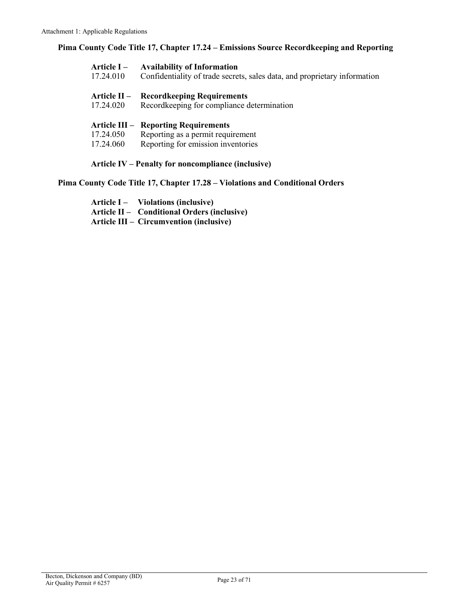**Pima County Code Title 17, Chapter 17.24 – Emissions Source Recordkeeping and Reporting**

| Article I –<br>17.24.010                                  | <b>Availability of Information</b><br>Confidentiality of trade secrets, sales data, and proprietary information |  |  |  |  |  |  |
|-----------------------------------------------------------|-----------------------------------------------------------------------------------------------------------------|--|--|--|--|--|--|
| <b>Article II –</b>                                       | <b>Record keeping Requirements</b>                                                                              |  |  |  |  |  |  |
| 17.24.020                                                 | Recordkeeping for compliance determination                                                                      |  |  |  |  |  |  |
|                                                           | <b>Article III – Reporting Requirements</b>                                                                     |  |  |  |  |  |  |
| 17.24.050                                                 | Reporting as a permit requirement                                                                               |  |  |  |  |  |  |
| 17.24.060                                                 | Reporting for emission inventories                                                                              |  |  |  |  |  |  |
| <b>Article IV – Penalty for noncompliance (inclusive)</b> |                                                                                                                 |  |  |  |  |  |  |

**[Pima County Code Title 17, Chapter 17.28](https://tinyurl.com/y5wyy8d8) – Violations and Conditional Orders**

**Article I – [Violations \(inclusive\)](https://tinyurl.com/yymv7uva) Article II – [Conditional Orders \(inclusive\)](https://tinyurl.com/y3pnva53) Article III – [Circumvention \(inclusive\)](https://tinyurl.com/y6hecxd6)**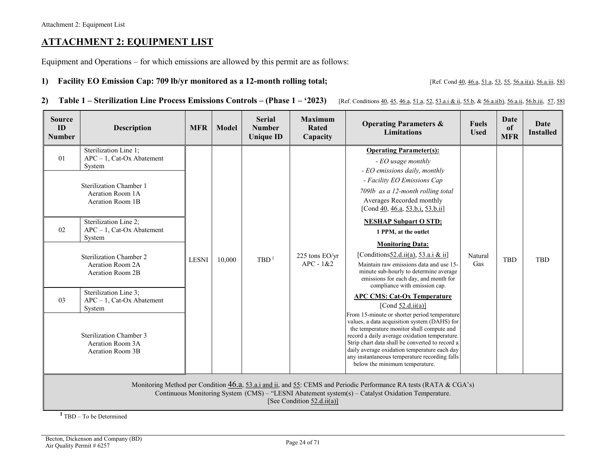## **ATTACHMENT 2: EQUIPMENT LIST**

Equipment and Operations – for which emissions are allowed by this permit are as follows:

1) **Facility EO Emission Cap: 709 lb/yr monitored as a 12-month rolling total;** [Ref. Con[d 40,](#page-7-7) [46.a,](#page-9-6) [51.a,](#page-13-5) [53,](#page-14-5) [55,](#page-16-3) [56.a.i\(a\),](#page-18-4) [56.a.iii,](#page-15-5) [58\]](#page-19-2)

<span id="page-23-1"></span>

2) Table 1 - Sterilization Line Process Emissions Controls - (Phase 1 - '2023) [Ref. Conditions [40,](#page-7-7) [45,](#page-9-7) [46.a,](#page-9-6) [51.a,](#page-13-5) [52,](#page-14-6) [53.a.i & ii,](#page-14-7) [55.b,](#page-17-2) [& 56.a.i\(b\),](#page-18-5) [56.a.ii,](#page-18-6) [56.b.iii,](#page-18-7) [57,](#page-19-3) [58\]](#page-19-2)

<span id="page-23-0"></span>

| <b>Source</b><br>ID<br><b>Number</b> | <b>Description</b>                                                                                                                                                                                                                                                                                                                                                                                                    | <b>MFR</b>   | Model  | <b>Serial</b><br><b>Number</b><br><b>Unique ID</b> | <b>Maximum</b><br><b>Operating Parameters &amp;</b><br><b>Rated</b><br><b>Limitations</b><br>Capacity |                                                                                                                                                                                                                                                                                                                                                                                                                                                                                                                                                                                                                                                                                                                                                                                                                                                                                                                                                                              | <b>Fuels</b><br><b>Used</b> | Date<br>of<br><b>MFR</b> | Date<br><b>Installed</b> |
|--------------------------------------|-----------------------------------------------------------------------------------------------------------------------------------------------------------------------------------------------------------------------------------------------------------------------------------------------------------------------------------------------------------------------------------------------------------------------|--------------|--------|----------------------------------------------------|-------------------------------------------------------------------------------------------------------|------------------------------------------------------------------------------------------------------------------------------------------------------------------------------------------------------------------------------------------------------------------------------------------------------------------------------------------------------------------------------------------------------------------------------------------------------------------------------------------------------------------------------------------------------------------------------------------------------------------------------------------------------------------------------------------------------------------------------------------------------------------------------------------------------------------------------------------------------------------------------------------------------------------------------------------------------------------------------|-----------------------------|--------------------------|--------------------------|
| 01<br>02<br>03                       | Sterilization Line 1;<br>$APC - 1$ , Cat-Ox Abatement<br>System<br>Sterilization Chamber 1<br>Aeration Room 1A<br>Aeration Room 1B<br>Sterilization Line 2;<br>$APC - 1$ , Cat-Ox Abatement<br>System<br><b>Sterilization Chamber 2</b><br>Aeration Room 2A<br>Aeration Room 2B<br>Sterilization Line 3;<br>$APC - 1$ , Cat-Ox Abatement<br>System<br>Sterilization Chamber 3<br>Aeration Room 3A<br>Aeration Room 3B | <b>LESNI</b> | 10,000 | TBD <sup>1</sup>                                   | 225 tons EO/yr<br>$APC - 1&2$                                                                         | <b>Operating Parameter(s):</b><br>- EO usage monthly<br>- EO emissions daily, monthly<br>- Facility EO Emissions Cap<br>709lb as a 12-month rolling total<br>Averages Recorded monthly<br>[Cond 40, 46.a, 53.b.i, 53.b.ii]<br><b>NESHAP Subpart O STD:</b><br>1 PP $M_{v}$ at the outlet<br><b>Monitoring Data:</b><br>[Conditions 52.d.ii(a), 53.a.i & ii]<br>Maintain raw emissions data and use 15-<br>minute sub-hourly to determine average<br>emissions for each day, and month for<br>compliance with emission cap.<br><b>APC CMS: Cat-Ox Temperature</b><br>[Cond $52.d.ii(a)$ ]<br>From 15-minute or shorter period temperature<br>values, a data acquisition system (DAHS) for<br>the temperature monitor shall compute and<br>record a daily average oxidation temperature.<br>Strip chart data shall be converted to record a<br>daily average oxidation temperature each day<br>any instantaneous temperature recording falls<br>below the minimum temperature. | Natural<br>Gas              | <b>TBD</b>               | <b>TBD</b>               |
|                                      | Monitoring Method per Condition $46.a, 53.a.i$ and $11a$ , and $55c$ : CEMS and Periodic Performance RA tests (RATA & CGA's)<br>Continuous Monitoring System (CMS) – "LESNI Abatement system(s) – Catalyst Oxidation Temperature.<br>[See Condition 52.d.ii(a)]                                                                                                                                                       |              |        |                                                    |                                                                                                       |                                                                                                                                                                                                                                                                                                                                                                                                                                                                                                                                                                                                                                                                                                                                                                                                                                                                                                                                                                              |                             |                          |                          |

**<sup>1</sup>**TBD – To be Determined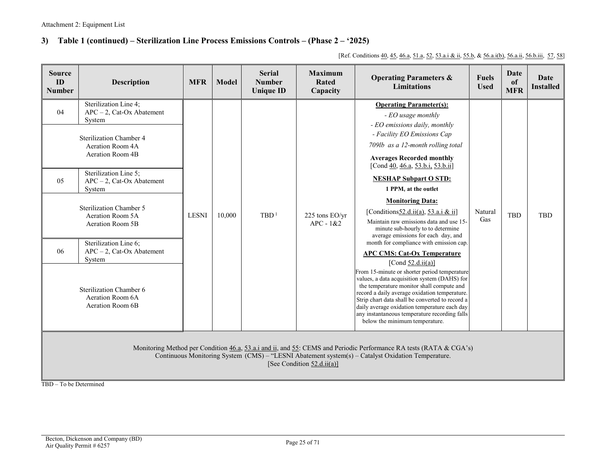### **3) Table 1 (continued) – Sterilization Line Process Emissions Controls – (Phase 2 – '2025)**

[Ref. Conditions [40,](#page-7-7) [45,](#page-9-7) [46.a,](#page-9-6) [51.a,](#page-13-5) [52,](#page-14-6) [53.a.i & ii,](#page-14-7) [55.b,](#page-17-2) [& 56.a.i\(b\),](#page-18-5) [56.a.ii,](#page-18-6) [56.b.iii,](#page-18-7) [57,](#page-19-3) [58\]](#page-19-2)

| <b>Source</b><br>ID<br><b>Number</b> | <b>Description</b>                                                                                                                                                                                                                                                                                                                                                                                                    | <b>MFR</b>   | <b>Serial</b><br><b>Maximum</b><br><b>Operating Parameters &amp;</b><br><b>Model</b><br><b>Number</b><br><b>Rated</b><br><b>Limitations</b><br><b>Unique ID</b><br>Capacity |                  |                                   |                                                                                                                                                                                                                                                                                                                                                                                                                                                                                                                                                                                                                                                                                                                                                                                                                                                                                                                                                                                                   | <b>Fuels</b><br><b>Used</b> | Date<br>of<br><b>MFR</b> | <b>Date</b><br><b>Installed</b> |
|--------------------------------------|-----------------------------------------------------------------------------------------------------------------------------------------------------------------------------------------------------------------------------------------------------------------------------------------------------------------------------------------------------------------------------------------------------------------------|--------------|-----------------------------------------------------------------------------------------------------------------------------------------------------------------------------|------------------|-----------------------------------|---------------------------------------------------------------------------------------------------------------------------------------------------------------------------------------------------------------------------------------------------------------------------------------------------------------------------------------------------------------------------------------------------------------------------------------------------------------------------------------------------------------------------------------------------------------------------------------------------------------------------------------------------------------------------------------------------------------------------------------------------------------------------------------------------------------------------------------------------------------------------------------------------------------------------------------------------------------------------------------------------|-----------------------------|--------------------------|---------------------------------|
| 04<br>0.5<br>06                      | Sterilization Line 4;<br>$APC - 2$ , Cat-Ox Abatement<br>System<br><b>Sterilization Chamber 4</b><br>Aeration Room 4A<br>Aeration Room 4B<br>Sterilization Line 5;<br>$APC - 2$ , Cat-Ox Abatement<br>System<br>Sterilization Chamber 5<br>Aeration Room 5A<br>Aeration Room 5B<br>Sterilization Line 6:<br>$APC - 2$ , Cat-Ox Abatement<br>System<br>Sterilization Chamber 6<br>Aeration Room 6A<br>Aeration Room 6B | <b>LESNI</b> | 10.000                                                                                                                                                                      | TBD <sup>1</sup> | $225$ tons $EO/yr$<br>$APC - 1&2$ | <b>Operating Parameter(s):</b><br>- EO usage monthly<br>- EO emissions daily, monthly<br>- Facility EO Emissions Cap<br>709lb as a 12-month rolling total<br><b>Averages Recorded monthly</b><br>[Cond 40, 46.a, 53.b.i, 53.b.ii]<br><b>NESHAP Subpart O STD:</b><br>1 PPM <sub>v</sub> at the outlet<br><b>Monitoring Data:</b><br>[Conditions $52.d.$ ii(a), $53.a.$ i & ii]<br>Maintain raw emissions data and use 15-<br>minute sub-hourly to to determine<br>average emissions for each day, and<br>month for compliance with emission cap<br><b>APC CMS: Cat-Ox Temperature</b><br>[Cond $52.d.ii(a)$ ]<br>From 15-minute or shorter period temperature<br>values, a data acquisition system (DAHS) for<br>the temperature monitor shall compute and<br>record a daily average oxidation temperature.<br>Strip chart data shall be converted to record a<br>daily average oxidation temperature each day<br>any instantaneous temperature recording falls<br>below the minimum temperature. | Natural<br>Gas              | <b>TBD</b>               | <b>TBD</b>                      |
|                                      | Monitoring Method per Condition 46.a, 53.a.i and ii, and 55: CEMS and Periodic Performance RA tests (RATA & CGA's)<br>Continuous Monitoring System (CMS) – "LESNI Abatement system(s) – Catalyst Oxidation Temperature.<br>[See Condition $52.d.ii(a)$ ]<br>TBD - To be Determined                                                                                                                                    |              |                                                                                                                                                                             |                  |                                   |                                                                                                                                                                                                                                                                                                                                                                                                                                                                                                                                                                                                                                                                                                                                                                                                                                                                                                                                                                                                   |                             |                          |                                 |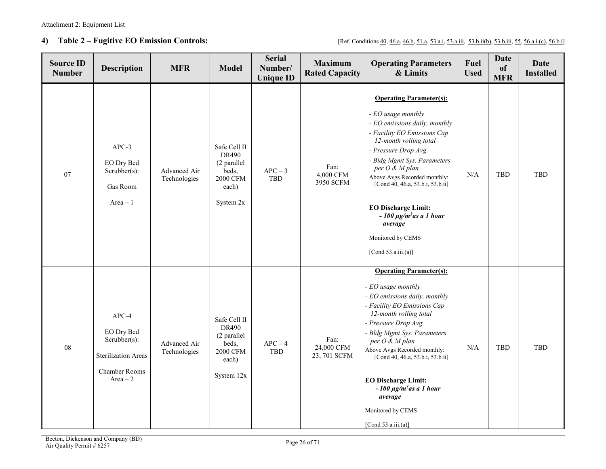**4) Table 2 – Fugitive EO Emission Controls:** [Ref. Condition[s 40,](#page-7-7) [46.a,](#page-9-6) [46.b,](#page-9-8) [51.a,](#page-13-5) [53.a.i,](#page-14-7) [53.b.ii\(b\),](#page-15-8) [53.b.iii,](#page-16-4) [55,](#page-16-3) [56.a.i.\(c\),](#page-18-8) [56.b.i\]](#page-18-9)

| <b>Source ID</b><br><b>Number</b> | <b>Description</b>                                                                                          | <b>MFR</b>                   | <b>Model</b>                                                                                   | <b>Serial</b><br>Number/<br><b>Unique ID</b> | <b>Operating Parameters</b><br><b>Maximum</b><br><b>Rated Capacity</b><br>& Limits |                                                                                                                                                                                                                                                                                                                                                                                                                    | Fuel<br><b>Used</b> | <b>Date</b><br>of<br><b>MFR</b> | <b>Date</b><br><b>Installed</b> |
|-----------------------------------|-------------------------------------------------------------------------------------------------------------|------------------------------|------------------------------------------------------------------------------------------------|----------------------------------------------|------------------------------------------------------------------------------------|--------------------------------------------------------------------------------------------------------------------------------------------------------------------------------------------------------------------------------------------------------------------------------------------------------------------------------------------------------------------------------------------------------------------|---------------------|---------------------------------|---------------------------------|
| 07                                | $APC-3$<br>EO Dry Bed<br>Scrubber(s):<br>Gas Room<br>$Area - 1$                                             | Advanced Air<br>Technologies | Safe Cell II<br>DR490<br>(2 parallel<br>beds,<br><b>2000 CFM</b><br>each)<br>System 2x         | $APC - 3$<br>TBD                             | Fan:<br>4,000 CFM<br>3950 SCFM                                                     | <b>Operating Parameter(s):</b><br>- EO usage monthly<br>- EO emissions daily, monthly<br>- Facility EO Emissions Cap<br>12-month rolling total<br>- Pressure Drop Avg.<br>- Bldg Mgmt Sys. Parameters<br>per O & M plan<br>Above Avgs Recorded monthly:<br>[Cond 40, 46.a, 53.b.i, 53.b.ii]<br><b>EO Discharge Limit:</b><br>$-100 \mu g/m3$ as a 1 hour<br>average<br>Monitored by CEMS<br>[Cond $53.a.iii.(a)$ ] | $\rm N/A$           | TBD                             | <b>TBD</b>                      |
| 08                                | $APC-4$<br>EO Dry Bed<br>$Scrubber(s)$ :<br><b>Sterilization Areas</b><br><b>Chamber Rooms</b><br>Area $-2$ | Advanced Air<br>Technologies | Safe Cell II<br><b>DR490</b><br>(2 parallel<br>beds,<br><b>2000 CFM</b><br>each)<br>System 12x | $APC - 4$<br>TBD                             | Fan:<br>24,000 CFM<br>23,701 SCFM                                                  | <b>Operating Parameter(s):</b><br>EO usage monthly<br>EO emissions daily, monthly<br>Facility EO Emissions Cap<br>12-month rolling total<br>Pressure Drop Avg.<br><b>Bldg Mgmt Sys. Parameters</b><br>per O & M plan<br>Above Avgs Recorded monthly:<br>[Cond 40, 46.a, 53.b.i, 53.b.ii]<br><b>EO Discharge Limit:</b><br>$-100 \mu g/m^3$ as a 1 hour<br>average<br>Monitored by CEMS<br>[Cond $53.a.iii.(a)$ ]   | N/A                 | <b>TBD</b>                      | <b>TBD</b>                      |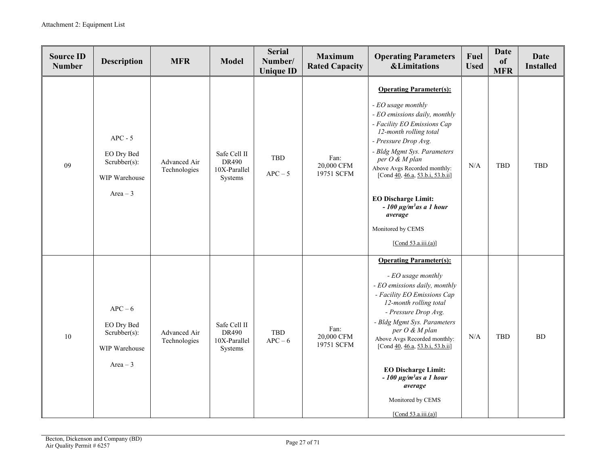| <b>Source ID</b><br><b>Number</b> | <b>Description</b>                                                        | <b>MFR</b>                   | <b>Model</b>                                     | <b>Serial</b><br>Number/<br><b>Unique ID</b> | <b>Maximum</b><br><b>Rated Capacity</b>                                                                                                                                                                                                                                                                                                                                                                                                             | <b>Operating Parameters</b><br><b>&amp;Limitations</b>                                                                                                                                                                                                                                                                                                                                                             | Fuel<br><b>Used</b> | <b>Date</b><br>of<br><b>MFR</b> | <b>Date</b><br><b>Installed</b> |
|-----------------------------------|---------------------------------------------------------------------------|------------------------------|--------------------------------------------------|----------------------------------------------|-----------------------------------------------------------------------------------------------------------------------------------------------------------------------------------------------------------------------------------------------------------------------------------------------------------------------------------------------------------------------------------------------------------------------------------------------------|--------------------------------------------------------------------------------------------------------------------------------------------------------------------------------------------------------------------------------------------------------------------------------------------------------------------------------------------------------------------------------------------------------------------|---------------------|---------------------------------|---------------------------------|
| 09                                | $APC - 5$<br>EO Dry Bed<br>Scrubber(s):<br>WIP Warehouse<br>Area $-3$     | Advanced Air<br>Technologies | Safe Cell II<br>DR490<br>10X-Parallel<br>Systems | <b>TBD</b><br>$APC - 5$                      | <b>Operating Parameter(s):</b><br>- EO usage monthly<br>- EO emissions daily, monthly<br>- Facility EO Emissions Cap<br>12-month rolling total<br>- Pressure Drop Avg.<br>- Bldg Mgmt Sys. Parameters<br>Fan:<br>per O & M plan<br>20,000 CFM<br>Above Avgs Recorded monthly:<br>19751 SCFM<br>[Cond 40, 46.a, 53.b.i, 53.b.ii]<br><b>EO Discharge Limit:</b><br>$-100 \mu g/m3$ as a 1 hour<br>average<br>Monitored by CEMS<br>[Cond 53.a.iii.(a)] |                                                                                                                                                                                                                                                                                                                                                                                                                    | N/A                 | <b>TBD</b>                      | TBD                             |
| 10                                | $APC - 6$<br>EO Dry Bed<br>$Scrubber(s)$ :<br>WIP Warehouse<br>$Area - 3$ | Advanced Air<br>Technologies | Safe Cell II<br>DR490<br>10X-Parallel<br>Systems | TBD<br>$APC - 6$                             | Fan:<br>20,000 CFM<br>19751 SCFM                                                                                                                                                                                                                                                                                                                                                                                                                    | <b>Operating Parameter(s):</b><br>- EO usage monthly<br>- EO emissions daily, monthly<br>- Facility EO Emissions Cap<br>12-month rolling total<br>- Pressure Drop Avg.<br>- Bldg Mgmt Sys. Parameters<br>per O & M plan<br>Above Avgs Recorded monthly:<br>[Cond 40, 46.a, 53.b.i, 53.b.ii]<br><b>EO Discharge Limit:</b><br>$-100 \mu g/m3$ as a 1 hour<br>average<br>Monitored by CEMS<br>[Cond $53.a.iii.(a)$ ] | $\rm N/A$           | <b>TBD</b>                      | BD                              |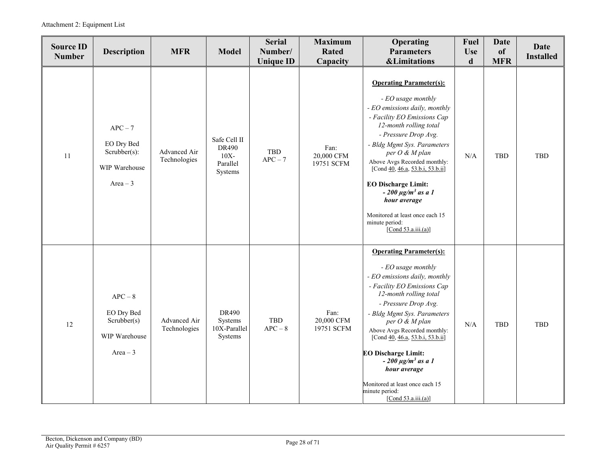Attachment 2: Equipment List

| <b>Source ID</b><br><b>Number</b> | <b>Description</b>                                                        | <b>MFR</b>                   | <b>Model</b>                                                   | <b>Serial</b><br>Number/<br><b>Unique ID</b> | <b>Maximum</b><br>Operating<br><b>Parameters</b><br><b>Rated</b><br>Capacity<br><b>&amp;Limitations</b> |                                                                                                                                                                                                                                                                                                                                                                                                                                                  | Fuel<br><b>Use</b><br>d | <b>Date</b><br>of<br><b>MFR</b> | <b>Date</b><br><b>Installed</b> |
|-----------------------------------|---------------------------------------------------------------------------|------------------------------|----------------------------------------------------------------|----------------------------------------------|---------------------------------------------------------------------------------------------------------|--------------------------------------------------------------------------------------------------------------------------------------------------------------------------------------------------------------------------------------------------------------------------------------------------------------------------------------------------------------------------------------------------------------------------------------------------|-------------------------|---------------------------------|---------------------------------|
| 11                                | $APC - 7$<br>EO Dry Bed<br>$Scrubber(s)$ :<br>WIP Warehouse<br>$Area - 3$ | Advanced Air<br>Technologies | Safe Cell II<br><b>DR490</b><br>$10X -$<br>Parallel<br>Systems | TBD<br>$APC - 7$                             | Fan:<br>20,000 CFM<br>19751 SCFM                                                                        | <b>Operating Parameter(s):</b><br>- EO usage monthly<br>- EO emissions daily, monthly<br>- Facility EO Emissions Cap<br>12-month rolling total<br>- Pressure Drop Avg.<br>- Bldg Mgmt Sys. Parameters<br>per O & M plan<br>Above Avgs Recorded monthly:<br>[Cond 40, 46.a, 53.b.i, 53.b.ii]<br><b>EO Discharge Limit:</b><br>$-200 \mu g/m^3$ as a 1<br>hour average<br>Monitored at least once each 15<br>minute period:<br>[Cond 53.a.iii.(a)] | N/A                     | <b>TBD</b>                      | <b>TBD</b>                      |
| 12                                | $APC - 8$<br>EO Dry Bed<br>Scrubber(s)<br>WIP Warehouse<br>Area $-3$      | Advanced Air<br>Technologies | <b>DR490</b><br>Systems<br>10X-Parallel<br>Systems             | <b>TBD</b><br>$APC - 8$                      | Fan:<br>20,000 CFM<br>19751 SCFM                                                                        | <b>Operating Parameter(s):</b><br>- EO usage monthly<br>- EO emissions daily, monthly<br>- Facility EO Emissions Cap<br>12-month rolling total<br>- Pressure Drop Avg.<br>- Bldg Mgmt Sys. Parameters<br>per O & M plan<br>Above Avgs Recorded monthly:<br>[Cond 40, 46.a, 53.b.i, 53.b.ii]<br><b>EO Discharge Limit:</b><br>$-200 \mu g/m3$ as a 1<br>hour average<br>Monitored at least once each 15<br>minute period:<br>[Cond 53.a.iii.(a)]  | N/A                     | <b>TBD</b>                      | TBD                             |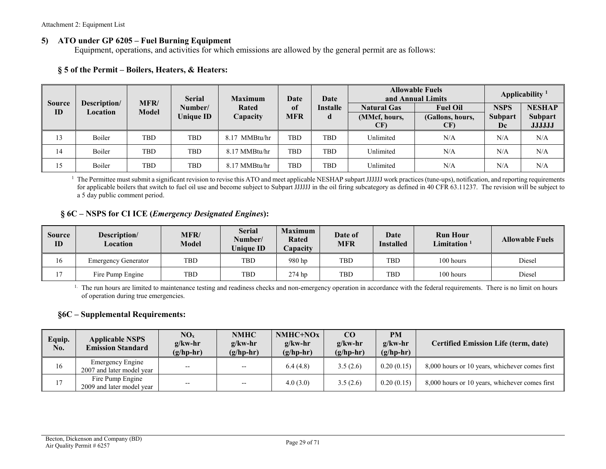#### **5) ATO under GP 6205 – Fuel Burning Equipment**

Equipment, operations, and activities for which emissions are allowed by the general permit are as follows:

### **§ 5 of the Permit – Boilers, Heaters, & Heaters:**

| <b>Source</b> | <b>Serial</b><br>MFR/<br>Description/ |              |                  | <b>Maximum</b>   |            | Date            | <b>Allowable Fuels</b><br>and Annual Limits | Applicability <sup>1</sup> |                      |                          |
|---------------|---------------------------------------|--------------|------------------|------------------|------------|-----------------|---------------------------------------------|----------------------------|----------------------|--------------------------|
| ID            | Location                              | <b>Model</b> | Number/          | <b>Rated</b>     | of         | <b>Installe</b> | <b>Natural Gas</b>                          | <b>Fuel Oil</b>            | <b>NSPS</b>          | <b>NESHAP</b>            |
|               |                                       |              | <b>Unique ID</b> | Capacity         | <b>MFR</b> | d               | (MMcf, hours,<br>CF)                        | (Gallons, hours,<br>CF)    | <b>Subpart</b><br>Dc | Subpart<br><b>JJJJJJ</b> |
|               |                                       |              |                  |                  |            |                 |                                             |                            |                      |                          |
| 13            | Boiler                                | <b>TBD</b>   | <b>TBD</b>       | MMBtu/hr<br>8.17 | TBD        | <b>TBD</b>      | Unlimited                                   | N/A                        | N/A                  | N/A                      |
| 14            | Boiler                                | TBD          | <b>TBD</b>       | 8.17 MMBtu/hr    | TBD        | TBD             | Unlimited                                   | N/A                        | N/A                  | N/A                      |
| 15            | Boiler                                | TBD          | <b>TBD</b>       | 8.17 MMBtu/hr    | <b>TBD</b> | <b>TBD</b>      | Unlimited                                   | N/A                        | N/A                  | N/A                      |

<sup>1</sup> The Permittee must submit a significant revision to revise this ATO and meet applicable NESHAP subpart JJJJJJ work practices (tune-ups), notification, and reporting requirements for applicable boilers that switch to fuel oil use and become subject to Subpart JJJJJJ in the oil firing subcategory as defined in 40 CFR 63.11237. The revision will be subject to a 5 day public comment period.

### **§ 6C – NSPS for CI ICE (***Emergency Designated Engines***):**

| <b>Source</b><br>ID | Description/<br>Location   | MFR/<br>Model | <b>Serial</b><br>Number/<br>Uniaue ID | <b>Maximum</b><br><b>Rated</b><br>Capacity | Date of<br><b>MFR</b> | Date<br><b>Installed</b> | <b>Run Hour</b><br>$L$ imitation $^\top$ | <b>Allowable Fuels</b> |
|---------------------|----------------------------|---------------|---------------------------------------|--------------------------------------------|-----------------------|--------------------------|------------------------------------------|------------------------|
| 16                  | <b>Emergency Generator</b> | <b>TBD</b>    | <b>TBD</b>                            | 980 hp                                     | TBD                   | <b>TBD</b>               | 100 hours                                | Diesel                 |
|                     | Fire Pump Engine           | TBD           | TBD                                   | 274 hp                                     | TBD                   | <b>TBD</b>               | 100 hours                                | Diesel                 |

<sup>1.</sup> The run hours are limited to maintenance testing and readiness checks and non-emergency operation in accordance with the federal requirements. There is no limit on hours of operation during true emergencies.

#### **§6C – Supplemental Requirements:**

<span id="page-28-0"></span>

| Equip.<br>No. | <b>Applicable NSPS</b><br><b>Emission Standard</b> | NO <sub>x</sub><br>$g$ /kw-hr<br>$(g/hp-hr)$ | <b>NMHC</b><br>$g$ /kw-hr<br>$(g/hp-hr)$ | NMHC+NOx<br>$g$ /kw-hr<br>$(g/hp-hr)$ | CO<br>$g$ /kw-hr<br>$(g/hp-hr)$ | <b>PM</b><br>$g$ /kw-hr<br>$(g/hp-hr)$ | <b>Certified Emission Life (term, date)</b>    |
|---------------|----------------------------------------------------|----------------------------------------------|------------------------------------------|---------------------------------------|---------------------------------|----------------------------------------|------------------------------------------------|
| 16            | Emergency Engine<br>2007 and later model year      | $- -$                                        | $\overline{\phantom{m}}$                 | 6.4(4.8)                              | 3.5(2.6)                        | 0.20(0.15)                             | 8,000 hours or 10 years, whichever comes first |
| 17            | Fire Pump Engine<br>2009 and later model year      | $- -$                                        | $- -$                                    | 4.0(3.0)                              | 3.5(2.6)                        | 0.20(0.15)                             | 8,000 hours or 10 years, whichever comes first |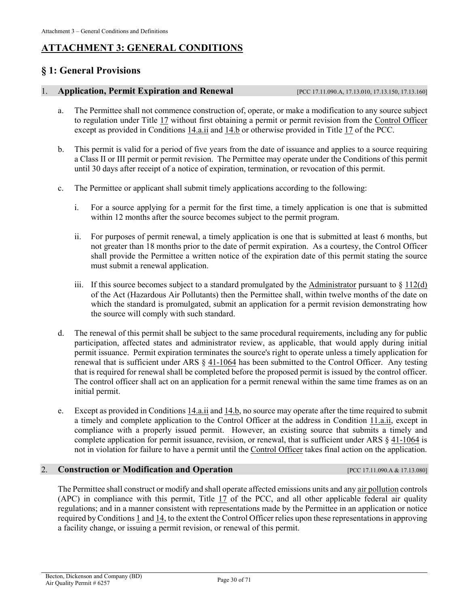## <span id="page-29-1"></span>**ATTACHMENT 3: GENERAL CONDITIONS**

## <span id="page-29-0"></span>**§ 1: General Provisions**

#### <span id="page-29-2"></span>1. **Application, Permit Expiration and Renewal** [\[PCC 17.11.090.A,](https://tinyurl.com/yat2yhct) [17.13.010,](https://tinyurl.com/ya23abh3) [17.13.150,](https://tinyurl.com/y2c32y2e) [17.13.160\]](https://tinyurl.com/y2qcdy68)

- a. The Permittee shall not commence construction of, operate, or make a modification to any source subject to regulation under [Title 17](https://tinyurl.com/y7xc7jvc) without first obtaining a permit or permit revision from the [Control Officer](#page-41-1) except as provided i[n Conditions 14.a.ii](#page-35-3) an[d 14.b](#page-36-2) or otherwise provided in [Title 17](https://tinyurl.com/y7xc7jvc) of the PCC.
- b. This permit is valid for a period of five years from the date of issuance and applies to a source requiring a Class II or III permit or permit revision. The Permittee may operate under the Conditions of this permit until 30 days after receipt of a notice of expiration, termination, or revocation of this permit.
- c. The Permittee or applicant shall submit timely applications according to the following:
	- i. For a source applying for a permit for the first time, a timely application is one that is submitted within 12 months after the source becomes subject to the permit program.
	- ii. For purposes of permit renewal, a timely application is one that is submitted at least 6 months, but not greater than 18 months prior to the date of permit expiration. As a courtesy, the Control Officer shall provide the Permittee a written notice of the expiration date of this permit stating the source must submit a renewal application.
	- iii. If this source becomes subject to a standard promulgated by the [Administrator](#page-40-5) pursuant to  $\S 112(d)$  $\S 112(d)$ of the Act (Hazardous Air Pollutants) then the Permittee shall, within twelve months of the date on which the standard is promulgated, submit an application for a permit revision demonstrating how the source will comply with such standard.
- <span id="page-29-3"></span>d. The renewal of this permit shall be subject to the same procedural requirements, including any for public participation, affected states and administrator review, as applicable, that would apply during initial permit issuance. Permit expiration terminates the source's right to operate unless a timely application for renewal that is sufficient under [ARS § 41-1064](https://www.azleg.gov/viewdocument/?docName=https://www.azleg.gov/ars/41/01064.htm) has been submitted to the Control Officer. Any testing that is required for renewal shall be completed before the proposed permit is issued by the control officer. The control officer shall act on an application for a permit renewal within the same time frames as on an initial permit.
- e. Except as provided in [Conditions 14.a.ii](#page-35-3) and [14.b,](#page-36-2) no source may operate after the time required to submit a timely and complete application to the Control Officer at the address in [Condition 11.a.ii,](#page-34-0) except in compliance with a properly issued permit. However, an existing source that submits a timely and complete application for permit issuance, revision, or renewal, that is sufficient under [ARS § 41-1064](https://www.azleg.gov/viewdocument/?docName=https://www.azleg.gov/ars/41/01064.htm) is not in violation for failure to have a permit until the [Control Officer](#page-41-1) takes final action on the application.

#### 2. **Construction or Modification and Operation** [\[PCC 17.11.090.A](https://tinyurl.com/yat2yhct) [& 17.13.080\]](https://tinyurl.com/ycvo4no2)

The Permittee shall construct or modify and shall operate affected emissions units and an[y air pollution](#page-40-3) controls (APC) in compliance with this permit, [Title 17](https://tinyurl.com/y7xc7jvc) of the PCC, and all other applicable federal air quality regulations; and in a manner consistent with representations made by the Permittee in an application or notice required b[y Conditions 1](#page-29-2) an[d 14,](#page-35-0) to the extent the Control Officer relies upon these representations in approving a facility change, or issuing a permit revision, or renewal of this permit.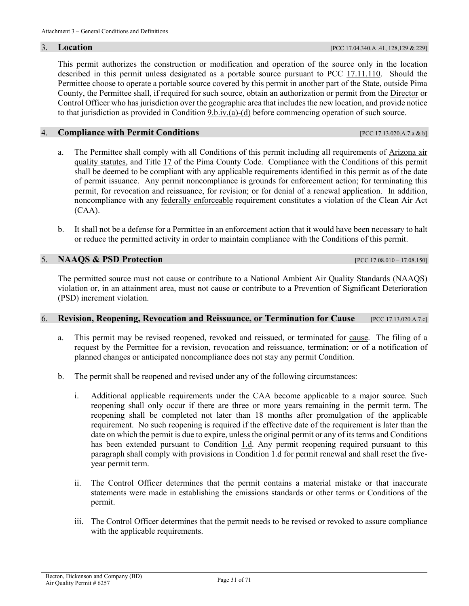This permit authorizes the construction or modification and operation of the source only in the location described in this permit unless designated as a portable source pursuant to [PCC 17.11.110.](https://tinyurl.com/y2sqmzlf) Should the Permittee choose to operate a portable source covered by this permit in another part of the State, outside Pima County, the Permittee shall, if required for such source, obtain an authorization or permit from the [Director](#page-41-4) or Control Officer who has jurisdiction over the geographic area that includes the new location, and provide notice to that jurisdiction as provided in [Condition 9.b.iv.\(a\)-\(d\)](#page-32-0) before commencing operation of such source.

#### 4. **Compliance with Permit Conditions** [PCC [17.13.020.A.7.a & b\]](https://tinyurl.com/y2whqkle)

- a. The Permittee shall comply with all Conditions of this permit including all requirements of [Arizona air](https://www.azleg.gov/arsDetail/?title=49)  [quality statutes,](https://www.azleg.gov/arsDetail/?title=49) and [Title 17](https://tinyurl.com/y7xc7jvc) of the Pima County Code. Compliance with the Conditions of this permit shall be deemed to be compliant with any applicable requirements identified in this permit as of the date of permit issuance. Any permit noncompliance is grounds for enforcement action; for terminating this permit, for revocation and reissuance, for revision; or for denial of a renewal application. In addition, noncompliance with any [federally enforceable](#page-44-0) requirement constitutes a violation of the Clean Air Act (CAA).
- b. It shall not be a defense for a Permittee in an enforcement action that it would have been necessary to halt or reduce the permitted activity in order to maintain compliance with the Conditions of this permit.

5. **NAAQS & PSD Protection** [\[PCC 17.08.010 –](https://tinyurl.com/y8eqbkct) 17.08.150]

The permitted source must not cause or contribute to a National Ambient Air Quality Standards (NAAQS) violation or, in an attainment area, must not cause or contribute to a Prevention of Significant Deterioration (PSD) increment violation.

#### <span id="page-30-0"></span>6. **Revision, Reopening, Revocation and Reissuance, or Termination for Cause** [\[PCC 17.13.020.A.7.c\]](https://tinyurl.com/y2whqkle)

- a. This permit may be revised reopened, revoked and reissued, or terminated for [cause.](#page-40-1) The filing of a request by the Permittee for a revision, revocation and reissuance, termination; or of a notification of planned changes or anticipated noncompliance does not stay any permit Condition.
- <span id="page-30-2"></span><span id="page-30-1"></span>b. The permit shall be reopened and revised under any of the following circumstances:
	- i. Additional applicable requirements under the CAA become applicable to a major source. Such reopening shall only occur if there are three or more years remaining in the permit term. The reopening shall be completed not later than 18 months after promulgation of the applicable requirement. No such reopening is required if the effective date of the requirement is later than the date on which the permit is due to expire, unless the original permit or any of its terms and Conditions has been extended pursuant to [Condition 1.d.](#page-29-3) Any permit reopening required pursuant to this paragraph shall comply with provisions in [Condition 1.d](#page-29-3) for permit renewal and shall reset the fiveyear permit term.
	- ii. The Control Officer determines that the permit contains a material mistake or that inaccurate statements were made in establishing the emissions standards or other terms or Conditions of the permit.
	- iii. The Control Officer determines that the permit needs to be revised or revoked to assure compliance with the applicable requirements.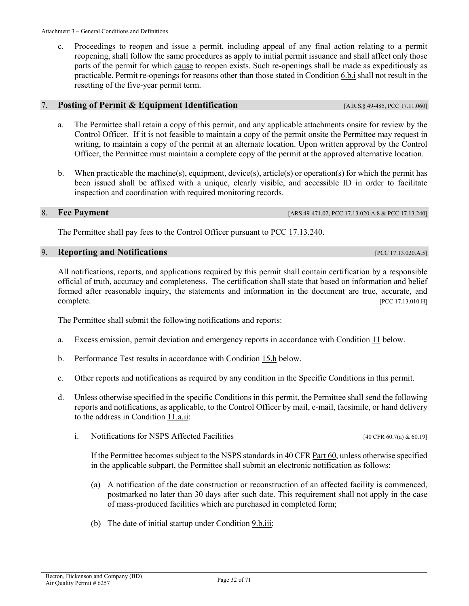c. Proceedings to reopen and issue a permit, including appeal of any final action relating to a permit reopening, shall follow the same procedures as apply to initial permit issuance and shall affect only those parts of the permit for which [cause](#page-40-1) to reopen exists. Such re-openings shall be made as expeditiously as practicable. Permit re-openings for reasons other than those stated i[n Condition 6.b.i](#page-30-2) shall not result in the resetting of the five-year permit term.

#### <span id="page-31-1"></span>7. **Posting of Permit & Equipment Identification** [\[A.R.S.§](https://tinyurl.com/yxjjen9g) 49-485[, PCC 17.11.060\]](https://tinyurl.com/y4bwekqp)

- a. The Permittee shall retain a copy of this permit, and any applicable attachments onsite for review by the Control Officer. If it is not feasible to maintain a copy of the permit onsite the Permittee may request in writing, to maintain a copy of the permit at an alternate location. Upon written approval by the Control Officer, the Permittee must maintain a complete copy of the permit at the approved alternative location.
- b. When practicable the machine(s), equipment, device(s), article(s) or operation(s) for which the permit has been issued shall be affixed with a unique, clearly visible, and accessible ID in order to facilitate inspection and coordination with required monitoring records.

#### <span id="page-31-0"></span>8. **Fee Payment [\[ARS 49-471.02,](https://www.azleg.gov/viewdocument/?docName=https://www.azleg.gov/ars/49/00471-02.htm) [PCC 17.13.020.A.8](https://tinyurl.com/y2whqkle) & PC[C 17.13.240\]](https://tinyurl.com/y4xqq552)**

The Permittee shall pay fees to the Control Officer pursuant to [PCC 17.13.240.](https://tinyurl.com/y4xqq552)

#### <span id="page-31-3"></span><span id="page-31-2"></span>9. **Reporting and Notifications** [\[PCC 17.13.020.A.5\]](https://tinyurl.com/y2whqkle)

All notifications, reports, and applications required by this permit shall contain certification by a responsible official of truth, accuracy and completeness. The certification shall state that based on information and belief formed after reasonable inquiry, the statements and information in the document are true, accurate, and complete. [\[PCC 17.13.010.H\]](https://tinyurl.com/ya23abh3)

The Permittee shall submit the following notifications and reports:

- a. Excess emission, permit deviation and emergency reports in accordance with [Condition 11](#page-34-1) below.
- b. Performance Test results in accordance with [Condition 15.h](#page-38-2) below.
- c. Other reports and notifications as required by any condition in the Specific Conditions in this permit.
- d. Unless otherwise specified in the specific Conditions in this permit, the Permittee shall send the following reports and notifications, as applicable, to the Control Officer by mail, e-mail, facsimile, or hand delivery to the address i[n Condition](#page-34-0) 11.a.ii:
	- i. Notifications for NSPS Affected Facilities [\[40 CFR 60.7\(a\)](https://tinyurl.com/40-CFR-60-7) [& 60.19\]](https://tinyurl.com/y6ap5u7h)

If the Permittee becomes subject to the NSPS standards i[n 40 CFR Part 60,](https://tinyurl.com/40-CFR-60-INCL) unless otherwise specified in the applicable subpart, the Permittee shall submit an electronic notification as follows:

- (a) A notification of the date construction or reconstruction of an affected facility is commenced, postmarked no later than 30 days after such date. This requirement shall not apply in the case of mass-produced facilities which are purchased in completed form;
- (b) The date of initial startup under [Condition 9.b.iii;](#page-32-1)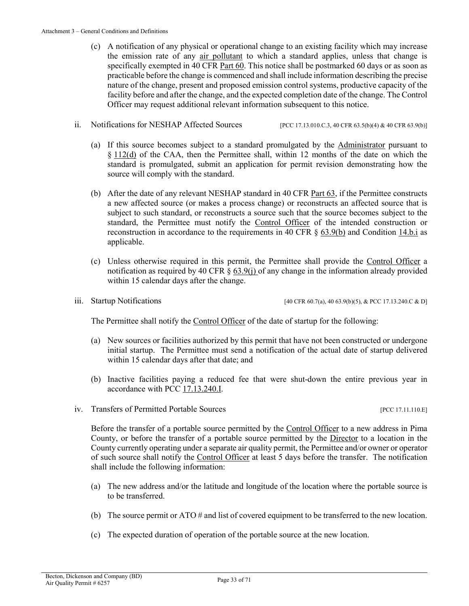- (c) A notification of any physical or operational change to an existing facility which may increase the emission rate of any [air pollutant](#page-40-6) to which a standard applies, unless that change is specifically exempted in [40 CFR Part 60.](https://tinyurl.com/40-CFR-60-INCL) This notice shall be postmarked 60 days or as soon as practicable before the change is commenced and shall include information describing the precise nature of the change, present and proposed emission control systems, productive capacity of the facility before and after the change, and the expected completion date of the change. The Control Officer may request additional relevant information subsequent to this notice.
- ii. Notifications for NESHAP Affected Sources [\[PCC 17.13.010.C.3,](https://tinyurl.com/ya23abh3) [40 CFR 63.5\(b\)\(4\)](https://tinyurl.com/yxbe6gc9) [& 40 CFR 63.9\(b\)\]](https://tinyurl.com/40-CFR-63-9)
	- (a) If this source becomes subject to a standard promulgated by the [Administrator](#page-40-5) pursuant to § [112\(d\)](https://tinyurl.com/y6o35l45) of the CAA, then the Permittee shall, within 12 months of the date on which the standard is promulgated, submit an application for permit revision demonstrating how the source will comply with the standard.
	- (b) After the date of any relevant NESHAP standard in [40 CFR Part 63,](https://tinyurl.com/40-CFR-Part-63) if the Permittee constructs a new affected source (or makes a process change) or reconstructs an affected source that is subject to such standard, or reconstructs a source such that the source becomes subject to the standard, the Permittee must notify the [Control Officer](#page-41-1) of the intended construction or reconstruction in accordance to the requirements in [40 CFR § 63.9\(b\)](https://tinyurl.com/40-CFR-63-9) and [Condition 14.b.i](#page-36-3) as applicable.
	- (c) Unless otherwise required in this permit, the Permittee shall provide the [Control Officer](#page-41-1) a notification as required by 40 CFR  $\S$   $\underline{63.9(i)}$  of any change in the information already provided within 15 calendar days after the change.
- 

iii. Startup Notifications [\[40 CFR 60.7\(a\),](https://tinyurl.com/40-CFR-60-7) [40 63.9\(b\)\(5\),](https://tinyurl.com/40-CFR-63-9) & [PCC 17.13.240.C & D\]](https://tinyurl.com/y4xqq552)

<span id="page-32-1"></span>The Permittee shall notify the [Control Officer](#page-41-1) of the date of startup for the following:

- (a) New sources or facilities authorized by this permit that have not been constructed or undergone initial startup. The Permittee must send a notification of the actual date of startup delivered within 15 calendar days after that date; and
- (b) Inactive facilities paying a reduced fee that were shut-down the entire previous year in accordance with [PCC 17.13.240.I.](https://tinyurl.com/y4xqq552)
- iv. Transfers of Permitted Portable Sources [\[PCC 17.11.110.E\]](https://tinyurl.com/y2sqmzlf)

Before the transfer of a portable source permitted by the [Control Officer](#page-41-1) to a new address in Pima County, or before the transfer of a portable source permitted by the [Director](#page-41-4) to a location in the County currently operating under a separate air quality permit, the Permittee and/or owner or operator of such source shall notify the [Control Officer](#page-41-1) at least 5 days before the transfer. The notification shall include the following information:

- <span id="page-32-0"></span>(a) The new address and/or the latitude and longitude of the location where the portable source is to be transferred.
- (b) The source permit or ATO # and list of covered equipment to be transferred to the new location.
- (c) The expected duration of operation of the portable source at the new location.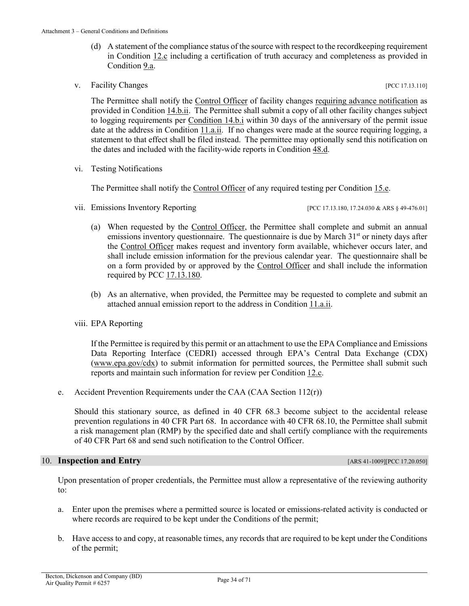- (d) A statement of the compliance status of the source with respect to the recordkeeping requirement in [Condition 12.c](#page-35-4) including a certification of truth accuracy and completeness as provided in [Condition](#page-31-3) 9.a.
- <span id="page-33-0"></span>v. Facility Changes **Exercífical** Property and the set of the set of the set of the set of the set of the set of the set of the set of the set of the set of the set of the set of the set of the set of the set of the set of

The Permittee shall notify the [Control Officer](#page-41-1) of facility changes [requiring advance notification](#page-43-0) as provided i[n Condition 14.b.ii.](#page-36-4) The Permittee shall submit a copy of all other facility changes subject to logging requirements per [Condition 14.b.i](#page-36-3) within 30 days of the anniversary of the permit issue date at the address in [Condition](#page-34-0) 11.a.ii. If no changes were made at the source requiring logging, a statement to that effect shall be filed instead. The permittee may optionally send this notification on the dates and included with the facility-wide reports in Condition 48.d.

vi. Testing Notifications

The Permittee shall notify the [Control Officer](#page-41-1) of any required testing per [Condition 15.e.](#page-37-0)

vii. Emissions Inventory Reporting [PC[C 17.13.180,](https://tinyurl.com/y2zf94nt) [17.24.030](https://tinyurl.com/yxmajjn7) & ARS [§ 49-476.01\]](https://tinyurl.com/yxkstqch)

- (a) When requested by the [Control Officer,](#page-41-1) the Permittee shall complete and submit an annual emissions inventory questionnaire. The questionnaire is due by March  $31<sup>st</sup>$  or ninety days after the [Control Officer](#page-41-1) makes request and inventory form available, whichever occurs later, and shall include emission information for the previous calendar year. The questionnaire shall be on a form provided by or approved by the [Control Officer](#page-41-1) and shall include the information required by [PCC 17.13.180.](https://tinyurl.com/y2zf94nt)
- (b) As an alternative, when provided, the Permittee may be requested to complete and submit an attached annual emission report to the address in [Condition](#page-34-0) 11.a.ii.

#### viii. EPA Reporting

If the Permittee is required by this permit or an attachment to use the EPA Compliance and Emissions Data Reporting Interface (CEDRI) accessed through EPA's Central Data Exchange (CDX) [\(www.epa.gov/cdx\)](http://www.epa.gov/cdx) to submit information for permitted sources, the Permittee shall submit such reports and maintain such information for review per [Condition 12.c.](#page-35-4)

e. Accident Prevention Requirements under the CAA (CAA Section 112(r))

Should this stationary source, as defined in 40 CFR 68.3 become subject to the accidental release prevention regulations in 40 CFR Part 68. In accordance with 40 CFR 68.10, the Permittee shall submit a risk management plan (RMP) by the specified date and shall certify compliance with the requirements of 40 CFR Part 68 and send such notification to the Control Officer.

#### 10. **Inspection and Entry Entry <b>Entry Entry** *Entry <b>Entry ARS 41-1009[\]\[PCC 17.20.050\]](https://tinyurl.com/y673xmeg)*

Upon presentation of proper credentials, the Permittee must allow a representative of the reviewing authority to:

- a. Enter upon the premises where a permitted source is located or emissions-related activity is conducted or where records are required to be kept under the Conditions of the permit;
- b. Have access to and copy, at reasonable times, any records that are required to be kept under the Conditions of the permit;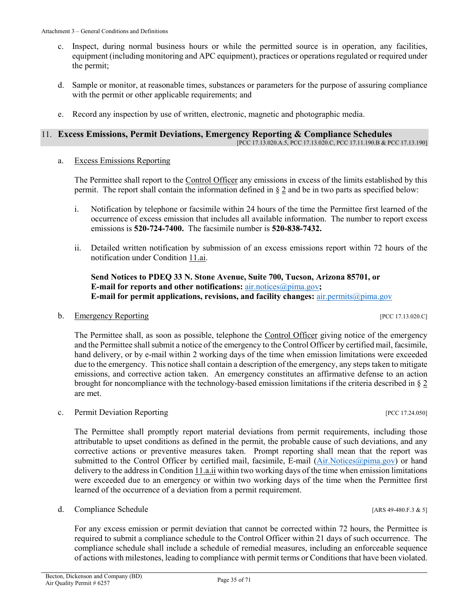equipment (including monitoring and APC equipment), practices or operations regulated or required under the permit;

c. Inspect, during normal business hours or while the permitted source is in operation, any facilities,

- d. Sample or monitor, at reasonable times, substances or parameters for the purpose of assuring compliance with the permit or other applicable requirements; and
- e. Record any inspection by use of written, electronic, magnetic and photographic media.

## <span id="page-34-1"></span>11. **Excess Emissions, Permit Deviations, Emergency Reporting & Compliance Schedules**

[PC[C 17.13.020.A.5,](https://tinyurl.com/y2whqkle) PC[C 17.13.020.C,](https://tinyurl.com/y2whqkle) PCC 17.11.190.B & PC[C 17.13.190\]](https://tinyurl.com/y39rx3ce)

#### <span id="page-34-3"></span>a. [Excess Emissions Reporting](#page-42-0)

The Permittee shall report to the Control Officer any emissions in excess of the limits established by this permit. The report shall contain the information defined in [§](#page-42-0) 2 and be in two parts as specified below:

- <span id="page-34-4"></span>i. Notification by telephone or facsimile within 24 hours of the time the Permittee first learned of the occurrence of excess emission that includes all available information. The number to report excess emissions is **520-724-7400.** The facsimile number is **520-838-7432.**
- <span id="page-34-0"></span>ii. Detailed written notification by submission of an excess emissions report within 72 hours of the notification under [Condition 11.ai.](#page-34-4)

**Send Notices to PDEQ 33 N. Stone Avenue, Suite 700, Tucson, Arizona 85701, or E-mail for reports and other notifications:** [air.notices@pima.gov](mailto:air.notices@pima.gov)**; E-mail for permit applications, revisions, and facility changes:** [air.permits@pima.gov](mailto:air.permits@pima.gov)

#### <span id="page-34-5"></span>b. [Emergency Reporting](#page-42-1) [\[PCC 17.13.020.C\]](https://tinyurl.com/y2whqkle)

The Permittee shall, as soon as possible, telephone the [Control Officer](#page-41-1) giving notice of the emergency and the Permittee shall submit a notice of the emergency to th[e Control Officer](#page-41-1) by certified mail, facsimile, hand delivery, or by e-mail within 2 working days of the time when emission limitations were exceeded due to the emergency. This notice shall contain a description of the emergency, any steps taken to mitigate emissions, and corrective action taken. An emergency constitutes an affirmative defense to an action brought for noncompliance with the technology-based emission limitations if the criteria described in [§](#page-42-1) 2 are met.

#### <span id="page-34-2"></span>c. Permit Deviation Reporting [PCC 17.24.050]

The Permittee shall promptly report material deviations from permit requirements, including those attributable to upset conditions as defined in the permit, the probable cause of such deviations, and any corrective actions or preventive measures taken. Prompt reporting shall mean that the report was submitted to the Control Officer by certified mail, facsimile, E-mail [\(Air.Notices@pima.gov\)](mailto:Air.Notices@pima.gov) or hand delivery to the address in [Condition 11.a.ii](#page-34-0) within two working days of the time when emission limitations were exceeded due to an emergency or within two working days of the time when the Permittee first learned of the occurrence of a deviation from a permit requirement.

d. Compliance Schedule [ARS 49-480.F.3 & 5]

For any excess emission or permit deviation that cannot be corrected within 72 hours, the Permittee is required to submit a compliance schedule to the Control Officer within 21 days of such occurrence. The compliance schedule shall include a schedule of remedial measures, including an enforceable sequence of actions with milestones, leading to compliance with permit terms or Conditions that have been violated.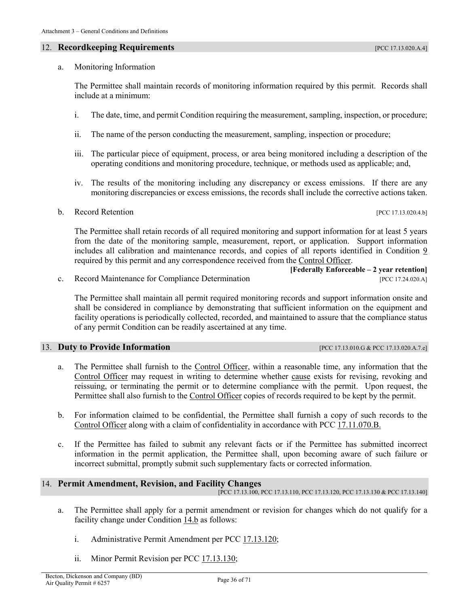#### <span id="page-35-2"></span>12. **Recordkeeping Requirements** *PCC 17.13.020.A.4***]**

#### a. Monitoring Information

The Permittee shall maintain records of monitoring information required by this permit. Records shall include at a minimum:

- i. The date, time, and permit Condition requiring the measurement, sampling, inspection, or procedure;
- ii. The name of the person conducting the measurement, sampling, inspection or procedure;
- iii. The particular piece of equipment, process, or area being monitored including a description of the operating conditions and monitoring procedure, technique, or methods used as applicable; and,
- iv. The results of the monitoring including any discrepancy or excess emissions. If there are any monitoring discrepancies or excess emissions, the records shall include the corrective actions taken.
- b. Record Retention [\[PCC 17.13.020.4.b\]](https://tinyurl.com/y2whqkle)

The Permittee shall retain records of all required monitoring and support information for at least 5 years from the date of the monitoring sample, measurement, report, or application. Support information includes all calibration and maintenance records, and copies of all reports identified in [Condition 9](#page-31-2) required by this permit and any correspondence received from the [Control Officer.](#page-41-1)

<span id="page-35-4"></span>c. Record Maintenance for Compliance Determination [\[PCC 17.24.020.A\]](https://tinyurl.com/y62zwv83)

The Permittee shall maintain all permit required monitoring records and support information onsite and shall be considered in compliance by demonstrating that sufficient information on the equipment and facility operations is periodically collected, recorded, and maintained to assure that the compliance status of any permit Condition can be readily ascertained at any time.

#### 13. **Duty to Provide Information** [PCC [17.13.010.G](https://tinyurl.com/ya23abh3) [& PCC 17.13.020.A.7.e\]](https://tinyurl.com/y2whqkle)

- a. The Permittee shall furnish to the [Control Officer,](#page-41-1) within a reasonable time, any information that the [Control Officer](#page-41-1) may request in writing to determine whether [cause](#page-40-1) exists for revising, revoking and reissuing, or terminating the permit or to determine compliance with the permit. Upon request, the Permittee shall also furnish to the [Control Officer](#page-41-1) copies of records required to be kept by the permit.
- <span id="page-35-1"></span>b. For information claimed to be confidential, the Permittee shall furnish a copy of such records to the [Control Officer](#page-41-1) along with a claim of confidentiality in accordance with [PCC 17.11.070.B.](https://tinyurl.com/yxhtkkew)
- c. If the Permittee has failed to submit any relevant facts or if the Permittee has submitted incorrect information in the permit application, the Permittee shall, upon becoming aware of such failure or incorrect submittal, promptly submit such supplementary facts or corrected information.

#### <span id="page-35-0"></span>14. **Permit Amendment, Revision, and Facility Changes**

[PC[C 17.13.100,](https://tinyurl.com/y5ug46gn) PCC [17.13.110,](https://tinyurl.com/y5p6yuan) PCC [17.13.120,](https://tinyurl.com/y2r9tfg2) PC[C 17.13.130](https://tinyurl.com/y39z74p2) & PC[C 17.13.140\]](https://tinyurl.com/y3ttw8kb)

- <span id="page-35-3"></span>a. The Permittee shall apply for a permit amendment or revision for changes which do not qualify for a facility change under [Condition 14.b](#page-36-2) as follows:
	- i. Administrative Permit Amendment per [PCC 17.13.120;](https://tinyurl.com/y2r9tfg2)
	- ii. Minor Permit Revision per [PCC 17.13.130;](https://tinyurl.com/y39z74p2)

**[Federally Enforceable – 2 year retention]**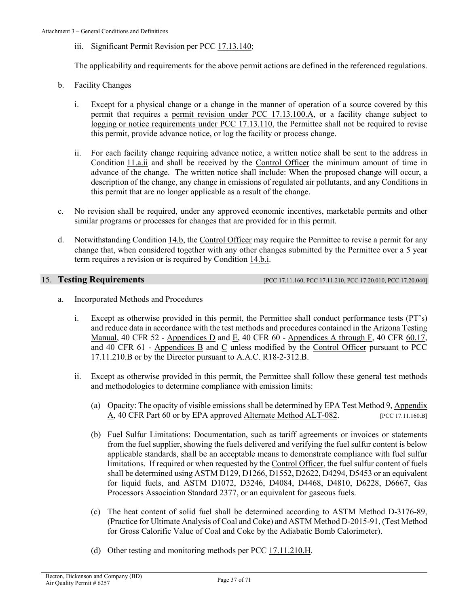iii. Significant Permit Revision per [PCC 17.13.140;](https://tinyurl.com/y3ttw8kb)

The applicability and requirements for the above permit actions are defined in the referenced regulations.

- <span id="page-36-3"></span><span id="page-36-2"></span>b. Facility Changes
	- i. Except for a physical change or a change in the manner of operation of a source covered by this permit that requires a [permit revision under PCC 17.13.100.A,](#page-42-2) or a facility change subject to logging [or notice requirements under PCC 17.13.110,](#page-43-1) the Permittee shall not be required to revise this permit, provide advance notice, or log the facility or process change.
	- ii. For each [facility change requiring advance notice,](#page-43-0) a written notice shall be sent to the address in [Condition](#page-34-0) 11.a.ii and shall be received by the [Control Officer](#page-41-1) the minimum amount of time in advance of the change. The written notice shall include: When the proposed change will occur, a description of the change, any change in emissions of [regulated air pollutants,](#page-50-1) and any Conditions in this permit that are no longer applicable as a result of the change.
- <span id="page-36-4"></span><span id="page-36-1"></span>c. No revision shall be required, under any approved economic incentives, marketable permits and other similar programs or processes for changes that are provided for in this permit.
- d. Notwithstanding [Condition 14.b,](#page-36-2) the [Control Officer](#page-41-1) may require the Permittee to revise a permit for any change that, when considered together with any other changes submitted by the Permittee over a 5 year term requires a revision or is required by [Condition 14.b.i.](#page-42-2)

15. **Testing Requirements [PC[C 17.11.160,](https://tinyurl.com/y53qjcmd) PC[C 17.11.210,](https://tinyurl.com/y7ou53b8) PC[C 17.20.010,](https://tinyurl.com/yxphefja) PC[C 17.20.040\]](https://tinyurl.com/y5pqwkg8)** 

- <span id="page-36-5"></span><span id="page-36-0"></span>a. Incorporated Methods and Procedures
	- i. Except as otherwise provided in this permit, the Permittee shall conduct performance tests (PT's) and reduce data in accordance with the test methods and procedures contained in th[e Arizona Testing](https://legacy.azdeq.gov/environ/air/compliance/download/manual.pdf)  [Manual,](https://legacy.azdeq.gov/environ/air/compliance/download/manual.pdf) 40 CFR 52 - [Appendices D](https://tinyurl.com/40-CFR-Part-52-Appendix-D) and [E,](https://tinyurl.com/40-CFR-Part-52-Appendix-E) 40 CFR 60 - [Appendices A through F,](https://tinyurl.com/40-CFR-60-APPENDICES) 40 CFR 60.17, and 40 CFR 61 - [Appendices B](https://tinyurl.com/40-CFR-61-Appendix-B) and [C](https://tinyurl.com/40-CFR-Part-61-Appendix-C) unless modified by the [Control Officer](#page-41-1) pursuant to [PCC](https://tinyurl.com/y7ou53b8)  [17.11.210.B](https://tinyurl.com/y7ou53b8) or by the [Director](#page-41-4) pursuant to A.A.C. [R18-2-312.B.](https://tinyurl.com/R18-2-00-x)
	- ii. Except as otherwise provided in this permit, the Permittee shall follow these general test methods and methodologies to determine compliance with emission limits:
		- (a) Opacity: The opacity of visible emissions shall be determined by EPA Test Method 9[, Appendix](https://tinyurl.com/40-CFR-60-APPENDICES)  [A, 40 CFR Part 60](https://tinyurl.com/40-CFR-60-APPENDICES) or by EPA approved [Alternate Method ALT-082.](https://www3.epa.gov/ttn/emc/approalt/ALT082.pdf) [\[PCC 17.11.160.B\]](https://tinyurl.com/y53qjcmd)
		- (b) Fuel Sulfur Limitations: Documentation, such as tariff agreements or invoices or statements from the fuel supplier, showing the fuels delivered and verifying the fuel sulfur content is below applicable standards, shall be an acceptable means to demonstrate compliance with fuel sulfur limitations. If required or when requested by th[e Control Officer,](#page-41-1) the fuel sulfur content of fuels shall be determined using ASTM D129, D1266, D1552, D2622, D4294, D5453 or an equivalent for liquid fuels, and ASTM D1072, D3246, D4084, D4468, D4810, D6228, D6667, Gas Processors Association Standard 2377, or an equivalent for gaseous fuels.
		- (c) The heat content of solid fuel shall be determined according to ASTM Method D-3176-89, (Practice for Ultimate Analysis of Coal and Coke) and ASTM Method D-2015-91, (Test Method for Gross Calorific Value of Coal and Coke by the Adiabatic Bomb Calorimeter).
		- (d) Other testing and monitoring methods per PCC [17.11.210.H.](https://tinyurl.com/y7ou53b8)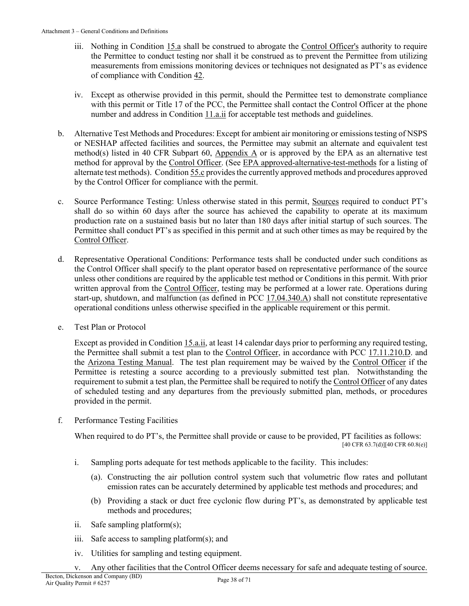- iii. Nothing in Condition 15.a shall be construed to abrogate the [Control Officer's](#page-41-1) authority to require the Permittee to conduct testing nor shall it be construed as to prevent the Permittee from utilizing measurements from emissions monitoring devices or techniques not designated as PT's as evidence of compliance with [Condition 42.](#page-7-4)
- iv. Except as otherwise provided in this permit, should the Permittee test to demonstrate compliance with this permit or Title 17 of the PCC, the Permittee shall contact the Control Officer at the phone number and address in [Condition](#page-34-0) 11.a.ii for acceptable test methods and guidelines.
- b. Alternative Test Methods and Procedures: Except for ambient air monitoring or emissions testing of NSPS or NESHAP affected facilities and sources, the Permittee may submit an alternate and equivalent test method(s) listed in [40 CFR Subpart 60, Appendix A](https://tinyurl.com/40-CFR-60-APPENDICES) or is approved by the EPA as an alternative test method for approval by the [Control Officer.](#page-41-1) (See [EPA approved-alternative-test-methods](https://www.epa.gov/emc/broadly-applicable-approved-alternative-test-methods) for a listing of alternate test methods). Conditio[n 55.c](#page-17-1) provides the currently approved methods and procedures approved by the Control Officer for compliance with the permit.
- c. Source Performance Testing: Unless otherwise stated in this permit, [Sources](#page-51-1) required to conduct PT's shall do so within 60 days after the source has achieved the capability to operate at its maximum production rate on a sustained basis but no later than 180 days after initial startup of such sources. The Permittee shall conduct PT's as specified in this permit and at such other times as may be required by the [Control Officer.](#page-41-1)
- d. Representative Operational Conditions: Performance tests shall be conducted under such conditions as the Control Officer shall specify to the plant operator based on representative performance of the source unless other conditions are required by the applicable test method or Conditions in this permit. With prior written approval from the [Control Officer,](#page-41-1) testing may be performed at a lower rate. Operations during start-up, shutdown, and malfunction (as defined in PCC [17.04.340.A\)](https://tinyurl.com/y9gh9owd) shall not constitute representative operational conditions unless otherwise specified in the applicable requirement or this permit.
- <span id="page-37-0"></span>e. Test Plan or Protocol

Except as provided in [Condition 15.a.ii,](#page-36-5) at least 14 calendar days prior to performing any required testing, the Permittee shall submit a test plan to the [Control Officer,](#page-41-1) in accordance with [PCC 17.11.210.D.](https://tinyurl.com/y7ou53b8) and the [Arizona Testing Manual.](https://legacy.azdeq.gov/environ/air/compliance/download/manual.pdf) The test plan requirement may be waived by the [Control Officer](#page-41-1) if the Permittee is retesting a source according to a previously submitted test plan. Notwithstanding the requirement to submit a test plan, the Permittee shall be required to notify th[e Control Officer](#page-41-1) of any dates of scheduled testing and any departures from the previously submitted plan, methods, or procedures provided in the permit.

f. Performance Testing Facilities

When required to do PT's, the Permittee shall provide or cause to be provided, PT facilities as follows: [40 CFR 63.7(d)][40 CFR 60.8(e)]

- i. Sampling ports adequate for test methods applicable to the facility. This includes:
	- (a). Constructing the air pollution control system such that volumetric flow rates and pollutant emission rates can be accurately determined by applicable test methods and procedures; and
	- (b) Providing a stack or duct free cyclonic flow during PT's, as demonstrated by applicable test methods and procedures;
- ii. Safe sampling platform(s);
- iii. Safe access to sampling platform(s); and
- iv. Utilities for sampling and testing equipment.
- v. Any other facilities that the Control Officer deems necessary for safe and adequate testing of source.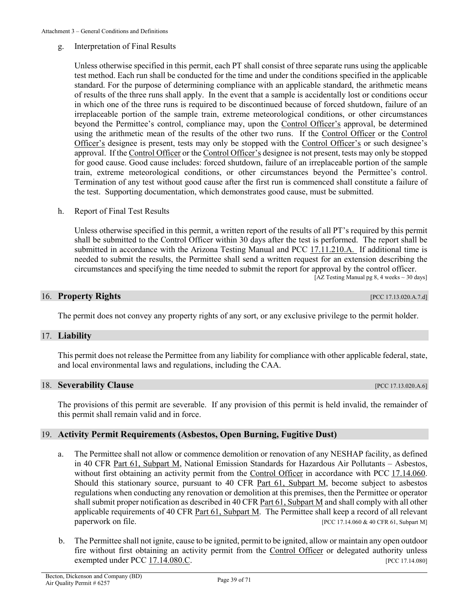#### g. Interpretation of Final Results

Unless otherwise specified in this permit, each PT shall consist of three separate runs using the applicable test method. Each run shall be conducted for the time and under the conditions specified in the applicable standard. For the purpose of determining compliance with an applicable standard, the arithmetic means of results of the three runs shall apply. In the event that a sample is accidentally lost or conditions occur in which one of the three runs is required to be discontinued because of forced shutdown, failure of an irreplaceable portion of the sample train, extreme meteorological conditions, or other circumstances beyond the Permittee's control, compliance may, upon the [Control Officer's](#page-41-1) approval, be determined using the arithmetic mean of the results of the other two runs. If the [Control Officer](#page-41-1) or the [Control](#page-41-1)  [Officer's](#page-41-1) designee is present, tests may only be stopped with the [Control Officer's](#page-41-1) or such designee's approval. If th[e Control Officer](#page-41-1) or th[e Control Officer's](#page-41-1) designee is not present, tests may only be stopped for good cause. Good cause includes: forced shutdown, failure of an irreplaceable portion of the sample train, extreme meteorological conditions, or other circumstances beyond the Permittee's control. Termination of any test without good cause after the first run is commenced shall constitute a failure of the test. Supporting documentation, which demonstrates good cause, must be submitted.

<span id="page-38-2"></span>h. Report of Final Test Results

Unless otherwise specified in this permit, a written report of the results of all PT's required by this permit shall be submitted to the Control Officer within 30 days after the test is performed. The report shall be submitted in accordance with the Arizona Testing Manual and [PCC 17.11.210.A.](https://tinyurl.com/y7ou53b8) If additional time is needed to submit the results, the Permittee shall send a written request for an extension describing the circumstances and specifying the time needed to submit the report for approval by the control officer. [\[AZ Testing Manual pg 8, 4 weeks ~ 30 days\]](https://tinyurl.com/y2jrup8l)

#### 16. **Property Rights** [PCC 17.13.020.A.7.d]

The permit does not convey any property rights of any sort, or any exclusive privilege to the permit holder.

#### 17. **Liability**

This permit does not release the Permittee from any liability for compliance with other applicable federal, state, and local environmental laws and regulations, including the CAA.

#### 18. **Severability Clause 18. Severability Clause 18. Severability Clause 18. Severability Clause 18. Severability Clause 18. Severability Clause 18. Severability Clause 18. Severability Clause 18. Severabil**

The provisions of this permit are severable. If any provision of this permit is held invalid, the remainder of this permit shall remain valid and in force.

#### <span id="page-38-1"></span>19. **Activity Permit Requirements (Asbestos, Open Burning, Fugitive Dust)**

- a. The Permittee shall not allow or commence demolition or renovation of any NESHAP facility, as defined in [40 CFR Part 61, Subpart M,](https://tinyurl.com/40-cfr-61-M) National Emission Standards for Hazardous Air Pollutants – Asbestos, without first obtaining an activity permit from the [Control Officer](#page-41-1) in accordance with PCC [17.14.060.](https://tinyurl.com/y92xpbjm) Should this stationary source, pursuant to [40 CFR Part 61, Subpart M,](https://tinyurl.com/40-cfr-61-M) become subject to asbestos regulations when conducting any renovation or demolition at this premises, then the Permittee or operator shall submit proper notification as described in [40 CFR Part 61, Subpart M](https://tinyurl.com/40-cfr-61-M) and shall comply with all other applicable requirements of [40 CFR Part 61, Subpart M.](https://tinyurl.com/40-cfr-61-M) The Permittee shall keep a record of all relevant paperwork on file. [\[PCC 17.14.060](https://tinyurl.com/y92xpbjm) [& 40 CFR 61, Subpart M\]](https://tinyurl.com/40-cfr-61-M)
- <span id="page-38-0"></span>b. The Permittee shall not ignite, cause to be ignited, permit to be ignited, allow or maintain any open outdoor fire without first obtaining an activity permit from the [Control Officer](#page-41-1) or delegated authority unless exempted under [PCC 17.14.080.C.](https://tinyurl.com/y7julhh9) [PCC 17.14.080]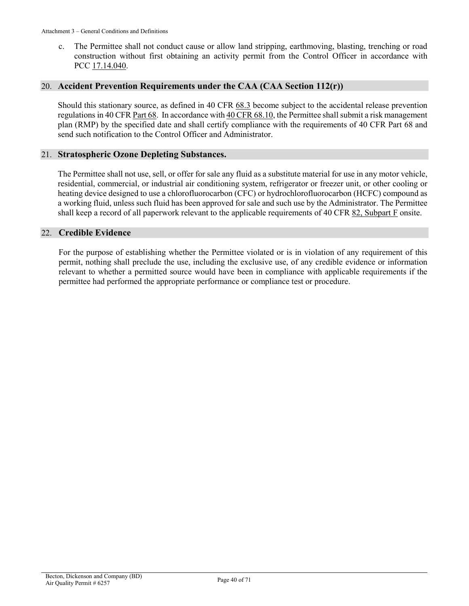c. The Permittee shall not conduct cause or allow land stripping, earthmoving, blasting, trenching or road construction without first obtaining an activity permit from the Control Officer in accordance with PCC [17.14.040.](https://tinyurl.com/yakzyw8v)

#### 20. **Accident Prevention Requirements under the CAA (CAA Section 112(r))**

Should this stationary source, as defined in [40 CFR 68.3](https://tinyurl.com/ya4aq7vw) become subject to the accidental release prevention regulations i[n 40 CFR Part 68.](https://tinyurl.com/40-cfr-68-incl) In accordance wit[h 40 CFR 68.10,](https://tinyurl.com/y98mjpzj) the Permittee shall submit a risk management plan (RMP) by the specified date and shall certify compliance with the requirements of 40 CFR Part 68 and send such notification to the Control Officer and Administrator.

#### 21. **Stratospheric Ozone Depleting Substances.**

The Permittee shall not use, sell, or offer for sale any fluid as a substitute material for use in any motor vehicle, residential, commercial, or industrial air conditioning system, refrigerator or freezer unit, or other cooling or heating device designed to use a chlorofluorocarbon (CFC) or hydrochlorofluorocarbon (HCFC) compound as a working fluid, unless such fluid has been approved for sale and such use by the Administrator. The Permittee shall keep a record of all paperwork relevant to the applicable requirements of 40 CFR  $82$ , Subpart F onsite.

#### 22. **Credible Evidence**

For the purpose of establishing whether the Permittee violated or is in violation of any requirement of this permit, nothing shall preclude the use, including the exclusive use, of any credible evidence or information relevant to whether a permitted source would have been in compliance with applicable requirements if the permittee had performed the appropriate performance or compliance test or procedure.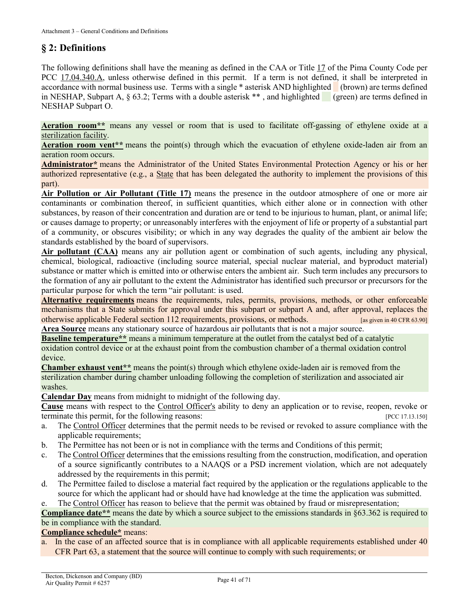## <span id="page-40-0"></span>**§ 2: Definitions**

The following definitions shall have the meaning as defined in the CAA or [Title 17](https://tinyurl.com/y7xc7jvc) of the Pima County Code per [PCC 17.04.340.A,](https://tinyurl.com/y9gh9owd) unless otherwise defined in this permit. If a term is not defined, it shall be interpreted in accordance with normal business use. Terms with a single \* asterisk AND highlighted (brown) are terms defined in NESHAP, Subpart A,  $\S$  63.2; Terms with a double asterisk \*\*, and highlighted (green) are terms defined in NESHAP Subpart O.

<span id="page-40-2"></span>**Aeration room\*\*** means any vessel or room that is used to facilitate off-gassing of ethylene oxide at a [sterilization](#page-51-2) facility.

**Aeration room vent\*\*** means the point(s) through which the evacuation of ethylene oxide-laden air from an aeration room occurs.

<span id="page-40-5"></span>**Administrator\*** means the Administrator of the United States Environmental Protection Agency or his or her authorized representative (e.g., a State that has been delegated the authority to implement the provisions of this part).

<span id="page-40-3"></span>**Air Pollution or Air Pollutant (Title 17)** means the presence in the outdoor atmosphere of one or more air contaminants or combination thereof, in sufficient quantities, which either alone or in connection with other substances, by reason of their concentration and duration are or tend to be injurious to human, plant, or animal life; or causes damage to property; or unreasonably interferes with the enjoyment of life or property of a substantial part of a community, or obscures visibility; or which in any way degrades the quality of the ambient air below the standards established by the board of supervisors.

<span id="page-40-6"></span>**Air pollutant (CAA)** means any air pollution agent or combination of such agents, including any physical, chemical, biological, radioactive (including source material, special nuclear material, and byproduct material) substance or matter which is emitted into or otherwise enters the ambient air. Such term includes any precursors to the formation of any air pollutant to the extent the Administrator has identified such precursor or precursors for the particular purpose for which the term "air pollutant: is used.

**Alternative requirements** means the requirements, rules, permits, provisions, methods, or other enforceable mechanisms that a State submits for approval under this subpart or subpart A and, after approval, replaces the otherwise applicable Federal section 112 requirements, provisions, or methods. [as given in 40 CFR 63.90] **Area Source** means any stationary source of hazardous air pollutants that is not a major source.

<span id="page-40-1"></span>**Baseline temperature\*\*** means a minimum temperature at the outlet from the catalyst bed of a catalytic

oxidation control device or at the exhaust point from the combustion chamber of a thermal oxidation control device.

**Chamber exhaust vent\*\*** means the point(s) through which ethylene oxide-laden air is removed from the sterilization chamber during chamber unloading following the completion of sterilization and associated air washes.

<span id="page-40-4"></span>**Calendar Day** means from midnight to midnight of the following day.

**Cause** means with respect to the [Control Officer's](#page-41-1) ability to deny an application or to revise, reopen, revoke or terminate this permit, for the following reasons: [\[PCC 17.13.150\]](https://tinyurl.com/y2c32y2e)

- a. The [Control Officer](#page-41-1) determines that the permit needs to be revised or revoked to assure compliance with the applicable requirements;
- b. The Permittee has not been or is not in compliance with the terms and Conditions of this permit;
- c. The [Control Officer](#page-41-1) determines that the emissions resulting from the construction, modification, and operation of a source significantly contributes to a NAAQS or a PSD increment violation, which are not adequately addressed by the requirements in this permit;
- d. The Permittee failed to disclose a material fact required by the application or the regulations applicable to the source for which the applicant had or should have had knowledge at the time the application was submitted.

e. The [Control Officer](#page-41-1) has reason to believe that the permit was obtained by fraud or misrepresentation;

**Compliance date\*\*** means the date by which a source subject to the emissions standards in §63.362 is required to be in compliance with the standard.

#### **Compliance schedule\*** means:

a. In the case of an affected source that is in compliance with all applicable requirements established under 40 CFR Part 63, a statement that the source will continue to comply with such requirements; or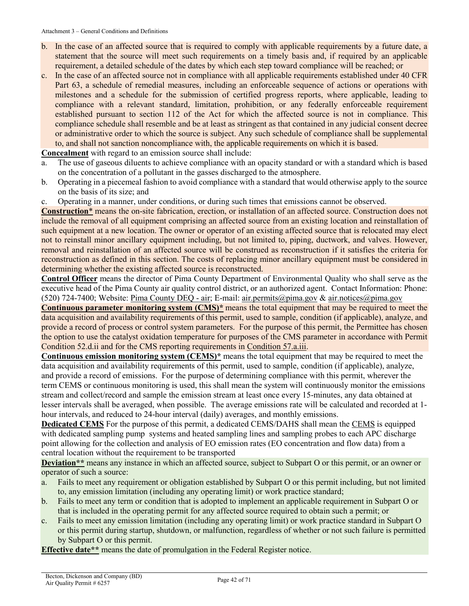- b. In the case of an affected source that is required to comply with applicable requirements by a future date, a statement that the source will meet such requirements on a timely basis and, if required by an applicable requirement, a detailed schedule of the dates by which each step toward compliance will be reached; or
- c. In the case of an affected source not in compliance with all applicable requirements established under 40 CFR Part 63, a schedule of remedial measures, including an enforceable sequence of actions or operations with milestones and a schedule for the submission of certified progress reports, where applicable, leading to compliance with a relevant standard, limitation, prohibition, or any federally enforceable requirement established pursuant to section 112 of the Act for which the affected source is not in compliance. This compliance schedule shall resemble and be at least as stringent as that contained in any judicial consent decree or administrative order to which the source is subject. Any such schedule of compliance shall be supplemental to, and shall not sanction noncompliance with, the applicable requirements on which it is based.

<span id="page-41-2"></span>**Concealment** with regard to an emission source shall include:

- a. The use of gaseous diluents to achieve compliance with an opacity standard or with a standard which is based on the concentration of a pollutant in the gasses discharged to the atmosphere.
- b. Operating in a piecemeal fashion to avoid compliance with a standard that would otherwise apply to the source on the basis of its size; and
- c. Operating in a manner, under conditions, or during such times that emissions cannot be observed.

**Construction**\* means the on-site fabrication, erection, or installation of an affected source. Construction does not include the removal of all equipment comprising an affected source from an existing location and reinstallation of such equipment at a new location. The owner or operator of an existing affected source that is relocated may elect not to reinstall minor ancillary equipment including, but not limited to, piping, ductwork, and valves. However, removal and reinstallation of an affected source will be construed as reconstruction if it satisfies the criteria for reconstruction as defined in this section. The costs of replacing minor ancillary equipment must be considered in determining whether the existing affected source is reconstructed.

<span id="page-41-1"></span>**Control Officer** means the director of Pima County Department of Environmental Quality who shall serve as the executive head of the Pima County air quality control district, or an authorized agent. Contact Information: Phone: (520) 724-7400; Website: [Pima County DEQ -](http://webcms.pima.gov/government/environmental_quality/) air; E-mail: [air.permits@pima.gov](mailto:air.permits@pima.gov) & [air.notices@pima.gov](file://Central.pima.gov/Centralfs/DEQ/_Shared%20Data/Air/0%20-%20Stationary%20Sources/Permits/Pending%20Permits/6257/Permitting/2021/6257-001P/Draft%20Docs/air.notices@pima.gov)

**Continuous parameter monitoring system (CMS)\*** means the total equipment that may be required to meet the data acquisition and availability requirements of this permit, used to sample, condition (if applicable), analyze, and provide a record of process or control system parameters. For the purpose of this permit, the Permittee has chosen the option to use the catalyst oxidation temperature for purposes of the CMS parameter in accordance with Permit Condition 52.d.ii and for the CMS reporting requirements in [Condition](#page-61-0) 57.a.iii.

<span id="page-41-0"></span>**Continuous emission monitoring system (CEMS)\*** means the total equipment that may be required to meet the data acquisition and availability requirements of this permit, used to sample, condition (if applicable), analyze, and provide a record of emissions. For the purpose of determining compliance with this permit, wherever the term CEMS or continuous monitoring is used, this shall mean the system will continuously monitor the emissions stream and collect/record and sample the emission stream at least once every 15-minutes, any data obtained at lesser intervals shall be averaged, when possible. The average emissions rate will be calculated and recorded at 1 hour intervals, and reduced to 24-hour interval (daily) averages, and monthly emissions.

<span id="page-41-3"></span>**Dedicated CEMS** For the purpose of this permit, a dedicated CEMS/DAHS shall mean the [CEMS](#page-41-0) is equipped with dedicated sampling pump systems and heated sampling lines and sampling probes to each APC discharge point allowing for the collection and analysis of EO emission rates (EO concentration and flow data) from a central location without the requirement to be transported

**Deviation\*\*** means any instance in which an affected source, subject to Subpart O or this permit, or an owner or operator of such a source:

- a. Fails to meet any requirement or obligation established by Subpart O or this permit including, but not limited to, any emission limitation (including any operating limit) or work practice standard;
- b. Fails to meet any term or condition that is adopted to implement an applicable requirement in Subpart O or that is included in the operating permit for any affected source required to obtain such a permit; or
- c. Fails to meet any emission limitation (including any operating limit) or work practice standard in Subpart O or this permit during startup, shutdown, or malfunction, regardless of whether or not such failure is permitted by Subpart O or this permit.

<span id="page-41-4"></span>**Effective date\*\*** means the date of promulgation in the Federal Register notice.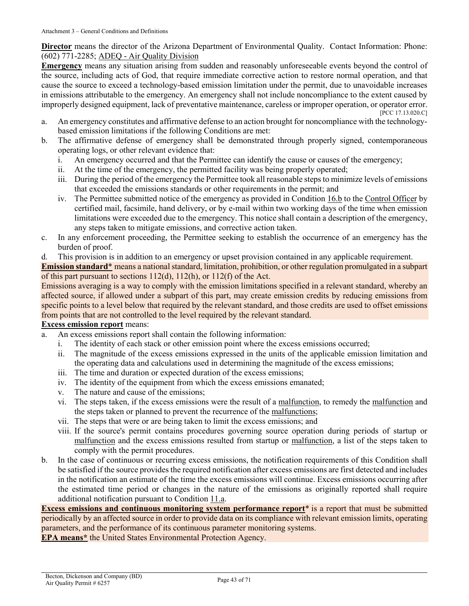**Director** means the director of the Arizona Department of Environmental Quality. Contact Information: Phone: (602) 771-2285; ADEQ - [Air Quality Division](https://azdeq.gov/AQ)

<span id="page-42-1"></span>**Emergency** means any situation arising from sudden and reasonably unforeseeable events beyond the control of the source, including acts of God, that require immediate corrective action to restore normal operation, and that cause the source to exceed a technology-based emission limitation under the permit, due to unavoidable increases in emissions attributable to the emergency. An emergency shall not include noncompliance to the extent caused by improperly designed equipment, lack of preventative maintenance, careless or improper operation, or operator error. [\[PCC 17.13.020.C\]](https://tinyurl.com/y2whqkle)

- a. An emergency constitutes and affirmative defense to an action brought for noncompliance with the technologybased emission limitations if the following Conditions are met:
- b. The affirmative defense of emergency shall be demonstrated through properly signed, contemporaneous operating logs, or other relevant evidence that:
	- i. An emergency occurred and that the Permittee can identify the cause or causes of the emergency;
	- ii. At the time of the emergency, the permitted facility was being properly operated;
	- iii. During the period of the emergency the Permittee took all reasonable steps to minimize levels of emissions that exceeded the emissions standards or other requirements in the permit; and
	- iv. The Permittee submitted notice of the emergency as provided i[n Condition 16.b](#page-34-5) to the [Control Officer](#page-41-1) by certified mail, facsimile, hand delivery, or by e-mail within two working days of the time when emission limitations were exceeded due to the emergency. This notice shall contain a description of the emergency, any steps taken to mitigate emissions, and corrective action taken.
- c. In any enforcement proceeding, the Permittee seeking to establish the occurrence of an emergency has the burden of proof.
- d. This provision is in addition to an emergency or upset provision contained in any applicable requirement.

**Emission standard**\* means a national standard, limitation, prohibition, or other regulation promulgated in a subpart of this part pursuant to sections 112(d), 112(h), or 112(f) of the Act.

Emissions averaging is a way to comply with the emission limitations specified in a relevant standard, whereby an affected source, if allowed under a subpart of this part, may create emission credits by reducing emissions from specific points to a level below that required by the relevant standard, and those credits are used to offset emissions from points that are not controlled to the level required by the relevant standard.

#### <span id="page-42-0"></span>**Excess emission report** means:

- a. An excess emissions report shall contain the following information:
	- i. The identity of each stack or other emission point where the excess emissions occurred;
	- ii. The magnitude of the excess emissions expressed in the units of the applicable emission limitation and the operating data and calculations used in determining the magnitude of the excess emissions;
	- iii. The time and duration or expected duration of the excess emissions;
	- iv. The identity of the equipment from which the excess emissions emanated;
	- v. The nature and cause of the emissions;
	- vi. The steps taken, if the excess emissions were the result of a [malfunction,](#page-47-2) to remedy the [malfunction](#page-47-2) and the steps taken or planned to prevent the recurrence of the [malfunctions;](#page-47-2)
	- vii. The steps that were or are being taken to limit the excess emissions; and
	- viii. If the source's permit contains procedures governing source operation during periods of startup or [malfunction](#page-47-2) and the excess emissions resulted from startup or [malfunction,](#page-47-2) a list of the steps taken to comply with the permit procedures.
- b. In the case of continuous or recurring excess emissions, the notification requirements of this Condition shall be satisfied if the source provides the required notification after excess emissions are first detected and includes in the notification an estimate of the time the excess emissions will continue. Excess emissions occurring after the estimated time period or changes in the nature of the emissions as originally reported shall require additional notification pursuant t[o Condition 11.a.](#page-34-3)

<span id="page-42-2"></span>**Excess emissions and continuous monitoring system performance report**\* is a report that must be submitted periodically by an affected source in order to provide data on its compliance with relevant emission limits, operating parameters, and the performance of its continuous parameter monitoring systems.

**EPA means\*** the United States Environmental Protection Agency.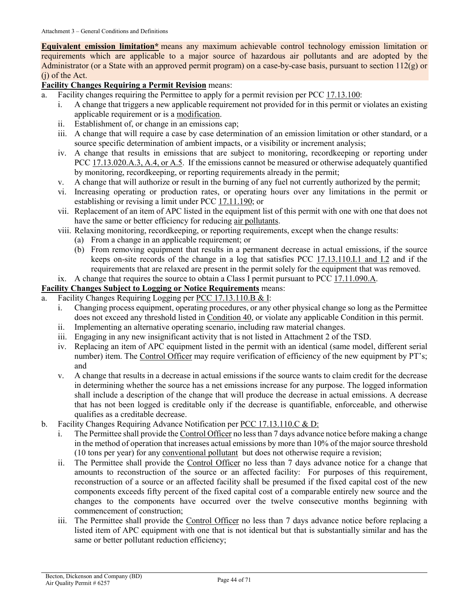**Equivalent emission limitation\*** means any maximum achievable control technology emission limitation or requirements which are applicable to a major source of hazardous air pollutants and are adopted by the Administrator (or a State with an approved permit program) on a case-by-case basis, pursuant to section 112(g) or (j) of the Act.

### **Facility Changes Requiring a Permit Revision means:**

- a. Facility changes requiring the Permittee to apply for a permit revision per [PCC 17.13.100:](https://tinyurl.com/y5ug46gn)
	- i. A change that triggers a new applicable requirement not provided for in this permit or violates an existing applicable requirement or is a modification.
	- ii. Establishment of, or change in an emissions cap;
	- iii. A change that will require a case by case determination of an emission limitation or other standard, or a source specific determination of ambient impacts, or a visibility or increment analysis;
	- iv. A change that results in emissions that are subject to monitoring, recordkeeping or reporting under PCC [17.13.020.A.3, A.4, or A.5.](https://tinyurl.com/y2whqkle) If the emissions cannot be measured or otherwise adequately quantified by monitoring, recordkeeping, or reporting requirements already in the permit;
	- v. A change that will authorize or result in the burning of any fuel not currently authorized by the permit;
	- vi. Increasing operating or production rates, or operating hours over any limitations in the permit or establishing or revising a limit under [PCC 17.11.190;](https://tinyurl.com/y9szaoyu) or
	- vii. Replacement of an item of APC listed in the equipment list of this permit with one with one that does not have the same or better efficiency for reducing [air pollutants.](#page-40-3)
	- viii. Relaxing monitoring, recordkeeping, or reporting requirements, except when the change results:
		- (a) From a change in an applicable requirement; or
		- (b) From removing equipment that results in a permanent decrease in actual emissions, if the source keeps on-site records of the change in a log that satisfies [PCC 17.13.110.I.1 and I.2](https://tinyurl.com/y5p6yuan) and if the requirements that are relaxed are present in the permit solely for the equipment that was removed.
	- ix. A change that requires the source to obtain a Class I permit pursuant to [PCC 17.11.090.A.](https://tinyurl.com/yat2yhct)

#### <span id="page-43-1"></span>**Facility Changes Subject to Logging or Notice Requirements** means:

- a. Facility Changes Requiring Logging per [PCC 17.13.110.B & I:](https://tinyurl.com/y5p6yuan)
	- i. Changing process equipment, operating procedures, or any other physical change so long as the Permittee does not exceed any threshold listed in [Condition 40,](#page-7-2) or violate any applicable Condition in this permit.
	- ii. Implementing an alternative operating scenario, including raw material changes.
	- iii. Engaging in any new insignificant activity that is not listed in Attachment 2 of the TSD.
	- iv. Replacing an item of APC equipment listed in the permit with an identical (same model, different serial number) item. The [Control Officer](#page-41-1) may require verification of efficiency of the new equipment by PT's; and
	- v. A change that results in a decrease in actual emissions if the source wants to claim credit for the decrease in determining whether the source has a net emissions increase for any purpose. The logged information shall include a description of the change that will produce the decrease in actual emissions. A decrease that has not been logged is creditable only if the decrease is quantifiable, enforceable, and otherwise qualifies as a creditable decrease.
- <span id="page-43-0"></span>b. Facility Changes Requiring Advance Notification per [PCC 17.13.110.C & D:](https://tinyurl.com/y5p6yuan)
	- i. The Permittee shall provide the [Control Officer](#page-41-1) no less than 7 days advance notice before making a change in the method of operation that increases actual emissions by more than 10% of the major source threshold (10 tons per year) for any [conventional pollutant](#page-50-0) but does not otherwise require a revision;
	- ii. The Permittee shall provide the [Control Officer](#page-41-1) no less than 7 days advance notice for a change that amounts to reconstruction of the source or an affected facility: For purposes of this requirement, reconstruction of a source or an affected facility shall be presumed if the fixed capital cost of the new components exceeds fifty percent of the fixed capital cost of a comparable entirely new source and the changes to the components have occurred over the twelve consecutive months beginning with commencement of construction;
	- iii. The Permittee shall provide the [Control Officer](#page-41-1) no less than 7 days advance notice before replacing a listed item of APC equipment with one that is not identical but that is substantially similar and has the same or better pollutant reduction efficiency;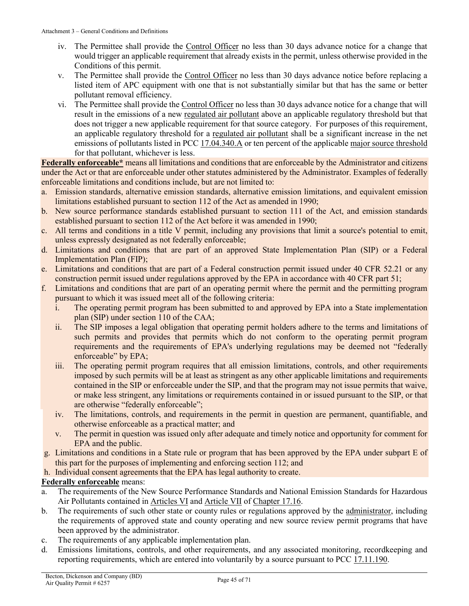- iv. The Permittee shall provide the [Control Officer](#page-41-1) no less than 30 days advance notice for a change that would trigger an applicable requirement that already exists in the permit, unless otherwise provided in the Conditions of this permit.
- v. The Permittee shall provide the [Control Officer](#page-41-1) no less than 30 days advance notice before replacing a listed item of APC equipment with one that is not substantially similar but that has the same or better pollutant removal efficiency.
- vi. The Permittee shall provide the [Control Officer](#page-41-1) no less than 30 days advance notice for a change that will result in the emissions of a new [regulated air pollutant](#page-50-1) above an applicable regulatory threshold but that does not trigger a new applicable requirement for that source category. For purposes of this requirement, an applicable regulatory threshold for a [regulated air pollutant](#page-50-1) shall be a significant increase in the net emissions of pollutants listed i[n PCC 17.04.340.A](https://tinyurl.com/y9gh9owd) or ten percent of the applicabl[e major source threshold](#page-45-1) for that pollutant, whichever is less.

<span id="page-44-0"></span>**Federally enforceable\*** means all limitations and conditions that are enforceable by the Administrator and citizens under the Act or that are enforceable under other statutes administered by the Administrator. Examples of federally enforceable limitations and conditions include, but are not limited to:

- a. Emission standards, alternative emission standards, alternative emission limitations, and equivalent emission limitations established pursuant to section 112 of the Act as amended in 1990;
- b. New source performance standards established pursuant to section 111 of the Act, and emission standards established pursuant to section 112 of the Act before it was amended in 1990;
- c. All terms and conditions in a title V permit, including any provisions that limit a source's potential to emit, unless expressly designated as not federally enforceable;
- d. Limitations and conditions that are part of an approved State Implementation Plan (SIP) or a Federal Implementation Plan (FIP);
- e. Limitations and conditions that are part of a Federal construction permit issued under 40 CFR 52.21 or any construction permit issued under regulations approved by the EPA in accordance with 40 CFR part 51;
- f. Limitations and conditions that are part of an operating permit where the permit and the permitting program pursuant to which it was issued meet all of the following criteria:
	- i. The operating permit program has been submitted to and approved by EPA into a State implementation plan (SIP) under section 110 of the CAA;
	- ii. The SIP imposes a legal obligation that operating permit holders adhere to the terms and limitations of such permits and provides that permits which do not conform to the operating permit program requirements and the requirements of EPA's underlying regulations may be deemed not "federally enforceable" by EPA;
	- iii. The operating permit program requires that all emission limitations, controls, and other requirements imposed by such permits will be at least as stringent as any other applicable limitations and requirements contained in the SIP or enforceable under the SIP, and that the program may not issue permits that waive, or make less stringent, any limitations or requirements contained in or issued pursuant to the SIP, or that are otherwise "federally enforceable";
	- iv. The limitations, controls, and requirements in the permit in question are permanent, quantifiable, and otherwise enforceable as a practical matter; and
	- v. The permit in question was issued only after adequate and timely notice and opportunity for comment for EPA and the public.
- g. Limitations and conditions in a State rule or program that has been approved by the EPA under subpart E of this part for the purposes of implementing and enforcing section 112; and
- h. Individual consent agreements that the EPA has legal authority to create.

#### **Federally enforceable** means:

- a. The requirements of the New Source Performance Standards and National Emission Standards for Hazardous Air Pollutants contained in [Articles VI](https://tinyurl.com/PCC-17-16-articleIV) and [Article VII](https://tinyurl.com/PCC-17-16-articleVII) of [Chapter 17.16.](https://tinyurl.com/yxlchvn9)
- b. The requirements of such other state or county rules or regulations approved by the [administrator,](#page-40-5) including the requirements of approved state and county operating and new source review permit programs that have been approved by the administrator.
- c. The requirements of any applicable implementation plan.
- d. Emissions limitations, controls, and other requirements, and any associated monitoring, recordkeeping and reporting requirements, which are entered into voluntarily by a source pursuant to [PCC 17.11.190.](https://tinyurl.com/y9szaoyu)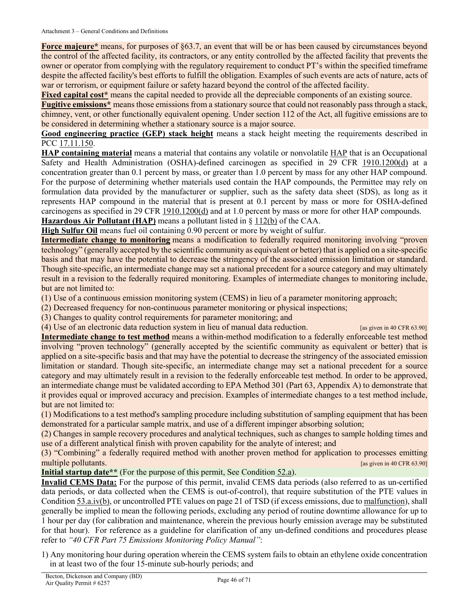<span id="page-45-3"></span>**Force majeure\*** means, for purposes of §63.7, an event that will be or has been caused by circumstances beyond the control of the affected facility, its contractors, or any entity controlled by the affected facility that prevents the owner or operator from complying with the regulatory requirement to conduct PT's within the specified timeframe despite the affected facility's best efforts to fulfill the obligation. Examples of such events are acts of nature, acts of war or terrorism, or equipment failure or safety hazard beyond the control of the affected facility.

**Fixed capital cost\*** means the capital needed to provide all the depreciable components of an existing source.

**Fugitive emissions\*** means those emissions from a stationary source that could not reasonably pass through a stack, chimney, vent, or other functionally equivalent opening. Under section 112 of the Act, all fugitive emissions are to be considered in determining whether a stationary source is a major source.

**Good engineering practice (GEP) stack height** means a stack height meeting the requirements described in PCC [17.11.150.](https://tinyurl.com/y5o5pvjn)

**HAP containing material** means a material that contains any volatile or nonvolatile [HAP](#page-45-0) that is an Occupational Safety and Health Administration (OSHA)-defined carcinogen as specified in [29 CFR 1910.1200\(d\)](https://tinyurl.com/40-CFR-1919-1200-d) at a concentration greater than 0.1 percent by mass, or greater than 1.0 percent by mass for any other HAP compound. For the purpose of determining whether materials used contain the HAP compounds, the Permittee may rely on formulation data provided by the manufacturer or supplier, such as the safety data sheet (SDS), as long as it represents HAP compound in the material that is present at 0.1 percent by mass or more for OSHA-defined carcinogens as specified in [29 CFR 1910.1200\(d\)](https://tinyurl.com/40-CFR-1919-1200-d) and at 1.0 percent by mass or more for other HAP compounds.

<span id="page-45-0"></span>**Hazardous Air Pollutant (HAP)** means a pollutant listed in [§ 112\(b\)](https://tinyurl.com/y6o35l45) of the CAA.

**High Sulfur Oil** means fuel oil containing 0.90 percent or more by weight of sulfur.

**Intermediate change to monitoring** means a modification to federally required monitoring involving "proven technology" (generally accepted by the scientific community as equivalent or better) that is applied on a site-specific basis and that may have the potential to decrease the stringency of the associated emission limitation or standard. Though site-specific, an intermediate change may set a national precedent for a source category and may ultimately result in a revision to the federally required monitoring. Examples of intermediate changes to monitoring include, but are not limited to:

(1) Use of a continuous emission monitoring system (CEMS) in lieu of a parameter monitoring approach;

(2) Decreased frequency for non-continuous parameter monitoring or physical inspections;

(3) Changes to quality control requirements for parameter monitoring; and

(4) Use of an electronic data reduction system in lieu of manual data reduction. [as given in 40 CFR 63.90]

**Intermediate change to test method** means a within-method modification to a federally enforceable test method involving "proven technology" (generally accepted by the scientific community as equivalent or better) that is applied on a site-specific basis and that may have the potential to decrease the stringency of the associated emission limitation or standard. Though site-specific, an intermediate change may set a national precedent for a source category and may ultimately result in a revision to the federally enforceable test method. In order to be approved, an intermediate change must be validated according to EPA Method 301 (Part 63, Appendix A) to demonstrate that it provides equal or improved accuracy and precision. Examples of intermediate changes to a test method include, but are not limited to:

(1) Modifications to a test method's sampling procedure including substitution of sampling equipment that has been demonstrated for a particular sample matrix, and use of a different impinger absorbing solution;

(2) Changes in sample recovery procedures and analytical techniques, such as changes to sample holding times and use of a different analytical finish with proven capability for the analyte of interest; and

(3) "Combining" a federally required method with another proven method for application to processes emitting multiple pollutants. **Example 10 CFR 63.90 In the contract of the contract of the contract of the contract of the contract of the contract of the contract of the contract of the contract of the contract of the contract** 

<span id="page-45-1"></span>**Initial startup date\*\*** (For the purpose of this permit, See Condition [52.a\)](#page-53-1).

<span id="page-45-2"></span>**Invalid CEMS Data:** For the purpose of this permit, invalid CEMS data periods (also referred to as un-certified data periods, or data collected when the CEMS is out-of-control), that require substitution of the PTE values in Conditio[n 53.a.iv\(b\),](#page-15-1) or uncontrolled PTE values on page 21 of TSD (if excess emissions, due t[o malfunction\)](#page-47-2), shall generally be implied to mean the following periods, excluding any period of routine downtime allowance for up to 1 hour per day (for calibration and maintenance, wherein the previous hourly emission average may be substituted for that hour). For reference as a guideline for clarification of any un-defined conditions and procedures please refer to *"40 CFR Part 75 Emissions Monitoring Policy Manual"*:

1) Any monitoring hour during operation wherein the CEMS system fails to obtain an ethylene oxide concentration in at least two of the four 15-minute sub-hourly periods; and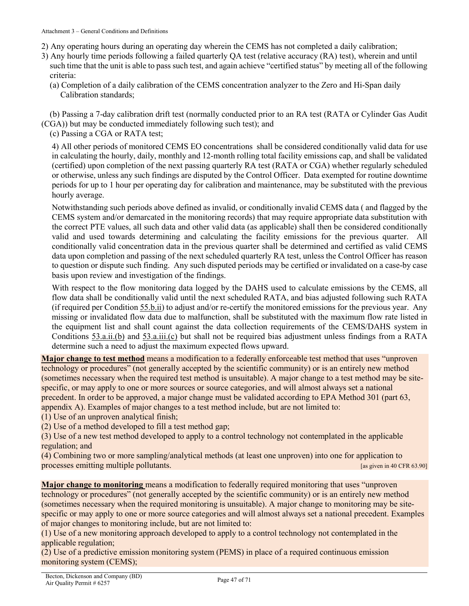- 2) Any operating hours during an operating day wherein the CEMS has not completed a daily calibration;
- 3) Any hourly time periods following a failed quarterly QA test (relative accuracy (RA) test), wherein and until such time that the unit is able to pass such test, and again achieve "certified status" by meeting all of the following criteria:
	- (a) Completion of a daily calibration of the CEMS concentration analyzer to the Zero and Hi-Span daily Calibration standards;

 (b) Passing a 7-day calibration drift test (normally conducted prior to an RA test (RATA or Cylinder Gas Audit (CGA)) but may be conducted immediately following such test); and

(c) Passing a CGA or RATA test;

4) All other periods of monitored CEMS EO concentrations shall be considered conditionally valid data for use in calculating the hourly, daily, monthly and 12-month rolling total facility emissions cap, and shall be validated (certified) upon completion of the next passing quarterly RA test (RATA or CGA) whether regularly scheduled or otherwise, unless any such findings are disputed by the Control Officer. Data exempted for routine downtime periods for up to 1 hour per operating day for calibration and maintenance, may be substituted with the previous hourly average.

Notwithstanding such periods above defined as invalid, or conditionally invalid CEMS data ( and flagged by the CEMS system and/or demarcated in the monitoring records) that may require appropriate data substitution with the correct PTE values, all such data and other valid data (as applicable) shall then be considered conditionally valid and used towards determining and calculating the facility emissions for the previous quarter. All conditionally valid concentration data in the previous quarter shall be determined and certified as valid CEMS data upon completion and passing of the next scheduled quarterly RA test, unless the Control Officer has reason to question or dispute such finding. Any such disputed periods may be certified or invalidated on a case-by case basis upon review and investigation of the findings.

With respect to the flow monitoring data logged by the DAHS used to calculate emissions by the CEMS, all flow data shall be conditionally valid until the next scheduled RATA, and bias adjusted following such RATA (if required per Condition [55.b.ii\)](#page-17-3) to adjust and/or re-certify the monitored emissions for the previous year. Any missing or invalidated flow data due to malfunction, shall be substituted with the maximum flow rate listed in the equipment list and shall count against the data collection requirements of the CEMS/DAHS system in Conditions [53.a.ii.\(b\)](#page-14-8) and [53.a.iii.\(c\)](#page-15-1) but shall not be required bias adjustment unless findings from a RATA determine such a need to adjust the maximum expected flows upward.

**Major change to test method** means a modification to a federally enforceable test method that uses "unproven technology or procedures" (not generally accepted by the scientific community) or is an entirely new method (sometimes necessary when the required test method is unsuitable). A major change to a test method may be sitespecific, or may apply to one or more sources or source categories, and will almost always set a national precedent. In order to be approved, a major change must be validated according to EPA Method 301 (part 63, appendix A). Examples of major changes to a test method include, but are not limited to:

(1) Use of an unproven analytical finish;

(2) Use of a method developed to fill a test method gap;

(3) Use of a new test method developed to apply to a control technology not contemplated in the applicable regulation; and

(4) Combining two or more sampling/analytical methods (at least one unproven) into one for application to processes emitting multiple pollutants. [as given in 40 CFR 63.90]

**Major change to monitoring** means a modification to federally required monitoring that uses "unproven technology or procedures" (not generally accepted by the scientific community) or is an entirely new method (sometimes necessary when the required monitoring is unsuitable). A major change to monitoring may be sitespecific or may apply to one or more source categories and will almost always set a national precedent. Examples of major changes to monitoring include, but are not limited to:

(1) Use of a new monitoring approach developed to apply to a control technology not contemplated in the applicable regulation;

(2) Use of a predictive emission monitoring system (PEMS) in place of a required continuous emission monitoring system (CEMS);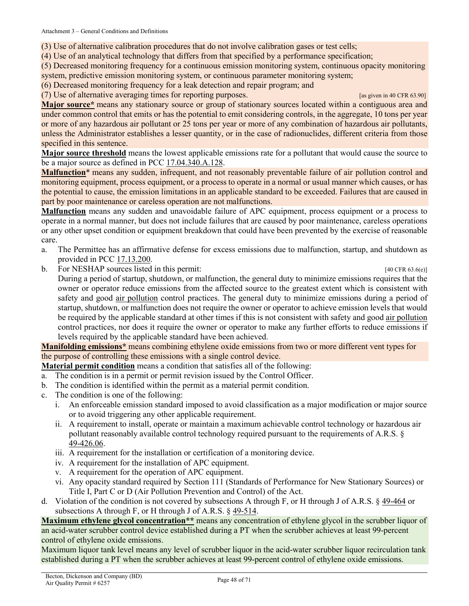(3) Use of alternative calibration procedures that do not involve calibration gases or test cells;

(4) Use of an analytical technology that differs from that specified by a performance specification;

(5) Decreased monitoring frequency for a continuous emission monitoring system, continuous opacity monitoring system, predictive emission monitoring system, or continuous parameter monitoring system;

(6) Decreased monitoring frequency for a leak detection and repair program; and

(7) Use of alternative averaging times for reporting purposes. [as given in 40 CFR 63.90]

**Major source\*** means any stationary source or group of stationary sources located within a contiguous area and under common control that emits or has the potential to emit considering controls, in the aggregate, 10 tons per year or more of any hazardous air pollutant or 25 tons per year or more of any combination of hazardous air pollutants, unless the Administrator establishes a lesser quantity, or in the case of radionuclides, different criteria from those specified in this sentence.

**Major source threshold** means the lowest applicable emissions rate for a pollutant that would cause the source to be a major source as defined in PCC [17.04.340.A.128.](https://tinyurl.com/y9gh9owd)

<span id="page-47-2"></span>**Malfunction**\* means any sudden, infrequent, and not reasonably preventable failure of air pollution control and monitoring equipment, process equipment, or a process to operate in a normal or usual manner which causes, or has the potential to cause, the emission limitations in an applicable standard to be exceeded. Failures that are caused in part by poor maintenance or careless operation are not malfunctions.

<span id="page-47-1"></span>**Malfunction** means any sudden and unavoidable failure of APC equipment, process equipment or a process to operate in a normal manner, but does not include failures that are caused by poor maintenance, careless operations or any other upset condition or equipment breakdown that could have been prevented by the exercise of reasonable care.

- a. The Permittee has an affirmative defense for excess emissions due to malfunction, startup, and shutdown as provided in PCC [17.13.200.](https://tinyurl.com/y49knu68)
- b. For NESHAP sources listed in this permit: [40 CFR 63.6(e)]

During a period of startup, shutdown, or malfunction, the general duty to minimize emissions requires that the owner or operator reduce emissions from the affected source to the greatest extent which is consistent with safety and good [air pollution](#page-40-3) control practices. The general duty to minimize emissions during a period of startup, shutdown, or malfunction does not require the owner or operator to achieve emission levels that would be required by the applicable standard at other times if this is not consistent with safety and good [air pollution](#page-40-3) control practices, nor does it require the owner or operator to make any further efforts to reduce emissions if levels required by the applicable standard have been achieved.

**Manifolding emissions\*** means combining ethylene oxide emissions from two or more different vent types for the purpose of controlling these emissions with a single control device.

<span id="page-47-0"></span>**Material permit condition** means a condition that satisfies all of the following:

- a. The condition is in a permit or permit revision issued by the Control Officer.
- b. The condition is identified within the permit as a material permit condition.
- c. The condition is one of the following:
	- i. An enforceable emission standard imposed to avoid classification as a major modification or major source or to avoid triggering any other applicable requirement.
	- ii. A requirement to install, operate or maintain a maximum achievable control technology or hazardous air pollutant reasonably available control technology required pursuant to the requirements of A.R.S. § [49-426.06.](https://tinyurl.com/ybw3xl2j)
	- iii. A requirement for the installation or certification of a monitoring device.
	- iv. A requirement for the installation of APC equipment.
	- v. A requirement for the operation of APC equipment.
	- vi. Any opacity standard required by Section 111 (Standards of Performance for New Stationary Sources) or Title I, Part C or D (Air Pollution Prevention and Control) of the Act.
- d. Violation of the condition is not covered by subsections A through F, or H through J of A.R.S. § [49-464](https://www.azleg.gov/viewdocument/?docName=https://www.azleg.gov/ars/49/00464.htm) or subsections A through F, or H through J of A.R.S. § [49-514.](https://www.azleg.gov/viewdocument/?docName=https://www.azleg.gov/ars/49/00514.htm)

**Maximum ethylene glycol concentration\*\*** means any concentration of ethylene glycol in the scrubber liquor of an acid-water scrubber control device established during a PT when the scrubber achieves at least 99-percent control of ethylene oxide emissions.

Maximum liquor tank level means any level of scrubber liquor in the acid-water scrubber liquor recirculation tank established during a PT when the scrubber achieves at least 99-percent control of ethylene oxide emissions.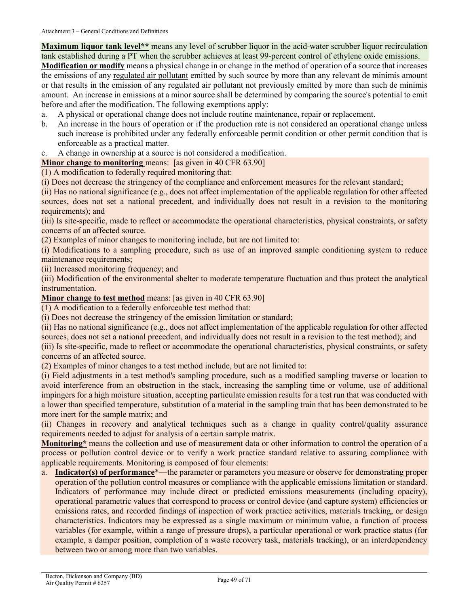**Maximum liquor tank level\*\*** means any level of scrubber liquor in the acid-water scrubber liquor recirculation tank established during a PT when the scrubber achieves at least 99-percent control of ethylene oxide emissions.

**Modification or modify** means a physical change in or change in the method of operation of a source that increases the emissions of any [regulated air pollutant](#page-50-1) emitted by such source by more than any relevant de minimis amount or that results in the emission of any [regulated air pollutant](#page-50-1) not previously emitted by more than such de minimis amount. An increase in emissions at a minor source shall be determined by comparing the source's potential to emit before and after the modification. The following exemptions apply:

- a. A physical or operational change does not include routine maintenance, repair or replacement.
- b. An increase in the hours of operation or if the production rate is not considered an operational change unless such increase is prohibited under any federally enforceable permit condition or other permit condition that is enforceable as a practical matter.
- A change in ownership at a source is not considered a modification.

**Minor change to monitoring** means: [as given in 40 CFR 63.90]

(1) A modification to federally required monitoring that:

(i) Does not decrease the stringency of the compliance and enforcement measures for the relevant standard;

(ii) Has no national significance (e.g., does not affect implementation of the applicable regulation for other affected sources, does not set a national precedent, and individually does not result in a revision to the monitoring requirements); and

(iii) Is site-specific, made to reflect or accommodate the operational characteristics, physical constraints, or safety concerns of an affected source.

(2) Examples of minor changes to monitoring include, but are not limited to:

(i) Modifications to a sampling procedure, such as use of an improved sample conditioning system to reduce maintenance requirements;

(ii) Increased monitoring frequency; and

(iii) Modification of the environmental shelter to moderate temperature fluctuation and thus protect the analytical instrumentation.

**Minor change to test method** means: [as given in 40 CFR 63.90]

(1) A modification to a federally enforceable test method that:

(i) Does not decrease the stringency of the emission limitation or standard;

(ii) Has no national significance (e.g., does not affect implementation of the applicable regulation for other affected sources, does not set a national precedent, and individually does not result in a revision to the test method); and

(iii) Is site-specific, made to reflect or accommodate the operational characteristics, physical constraints, or safety concerns of an affected source.

(2) Examples of minor changes to a test method include, but are not limited to:

(i) Field adjustments in a test method's sampling procedure, such as a modified sampling traverse or location to avoid interference from an obstruction in the stack, increasing the sampling time or volume, use of additional impingers for a high moisture situation, accepting particulate emission results for a test run that was conducted with a lower than specified temperature, substitution of a material in the sampling train that has been demonstrated to be more inert for the sample matrix; and

(ii) Changes in recovery and analytical techniques such as a change in quality control/quality assurance requirements needed to adjust for analysis of a certain sample matrix.

**Monitoring\*** means the collection and use of measurement data or other information to control the operation of a process or pollution control device or to verify a work practice standard relative to assuring compliance with applicable requirements. Monitoring is composed of four elements:

a. **Indicator(s) of performance**\*—the parameter or parameters you measure or observe for demonstrating proper operation of the pollution control measures or compliance with the applicable emissions limitation or standard. Indicators of performance may include direct or predicted emissions measurements (including opacity), operational parametric values that correspond to process or control device (and capture system) efficiencies or emissions rates, and recorded findings of inspection of work practice activities, materials tracking, or design characteristics. Indicators may be expressed as a single maximum or minimum value, a function of process variables (for example, within a range of pressure drops), a particular operational or work practice status (for example, a damper position, completion of a waste recovery task, materials tracking), or an interdependency between two or among more than two variables.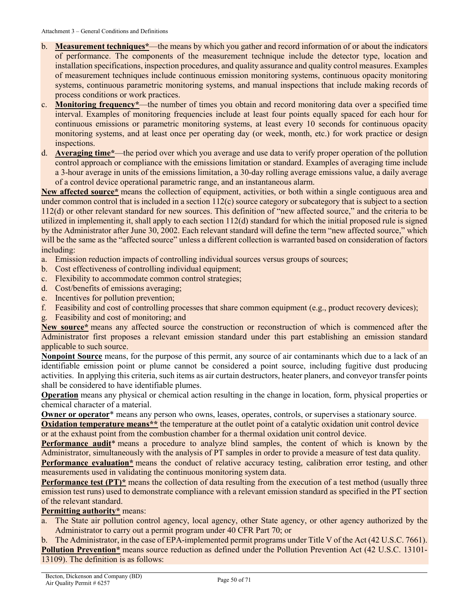- b. **Measurement techniques\***—the means by which you gather and record information of or about the indicators of performance. The components of the measurement technique include the detector type, location and installation specifications, inspection procedures, and quality assurance and quality control measures. Examples of measurement techniques include continuous emission monitoring systems, continuous opacity monitoring systems, continuous parametric monitoring systems, and manual inspections that include making records of process conditions or work practices.
- c. **Monitoring frequency\***—the number of times you obtain and record monitoring data over a specified time interval. Examples of monitoring frequencies include at least four points equally spaced for each hour for continuous emissions or parametric monitoring systems, at least every 10 seconds for continuous opacity monitoring systems, and at least once per operating day (or week, month, etc.) for work practice or design inspections.
- d. **Averaging time\***—the period over which you average and use data to verify proper operation of the pollution control approach or compliance with the emissions limitation or standard. Examples of averaging time include a 3-hour average in units of the emissions limitation, a 30-day rolling average emissions value, a daily average of a control device operational parametric range, and an instantaneous alarm.

**New affected source\*** means the collection of equipment, activities, or both within a single contiguous area and under common control that is included in a section  $112(c)$  source category or subcategory that is subject to a section 112(d) or other relevant standard for new sources. This definition of "new affected source," and the criteria to be utilized in implementing it, shall apply to each section 112(d) standard for which the initial proposed rule is signed by the Administrator after June 30, 2002. Each relevant standard will define the term "new affected source," which will be the same as the "affected source" unless a different collection is warranted based on consideration of factors including:

- a. Emission reduction impacts of controlling individual sources versus groups of sources;
- b. Cost effectiveness of controlling individual equipment;
- c. Flexibility to accommodate common control strategies;
- d. Cost/benefits of emissions averaging;
- e. Incentives for pollution prevention;
- f. Feasibility and cost of controlling processes that share common equipment (e.g., product recovery devices);
- g. Feasibility and cost of monitoring; and

**New source\*** means any affected source the construction or reconstruction of which is commenced after the Administrator first proposes a relevant emission standard under this part establishing an emission standard applicable to such source.

<span id="page-49-0"></span>**Nonpoint Source** means, for the purpose of this permit, any source of air contaminants which due to a lack of an identifiable emission point or plume cannot be considered a point source, including fugitive dust producing activities. In applying this criteria, such items as air curtain destructors, heater planers, and conveyor transfer points shall be considered to have identifiable plumes.

**Operation** means any physical or chemical action resulting in the change in location, form, physical properties or chemical character of a material.

**Owner or operator**<sup>\*</sup> means any person who owns, leases, operates, controls, or supervises a stationary source.

**Oxidation temperature means\*\*** the temperature at the outlet point of a catalytic oxidation unit control device or at the exhaust point from the combustion chamber for a thermal oxidation unit control device.

**Performance audit\*** means a procedure to analyze blind samples, the content of which is known by the Administrator, simultaneously with the analysis of PT samples in order to provide a measure of test data quality.

**Performance evaluation\*** means the conduct of relative accuracy testing, calibration error testing, and other measurements used in validating the continuous monitoring system data.

**Performance test (PT)<sup>\*</sup>** means the collection of data resulting from the execution of a test method (usually three emission test runs) used to demonstrate compliance with a relevant emission standard as specified in the PT section of the relevant standard.

#### **Permitting authority\*** means:

a. The State air pollution control agency, local agency, other State agency, or other agency authorized by the Administrator to carry out a permit program under 40 CFR Part 70; or

b. The Administrator, in the case of EPA-implemented permit programs under Title V of the Act (42 U.S.C. 7661). **Pollution Prevention\*** means source reduction as defined under the Pollution Prevention Act (42 U.S.C. 13101-13109). The definition is as follows: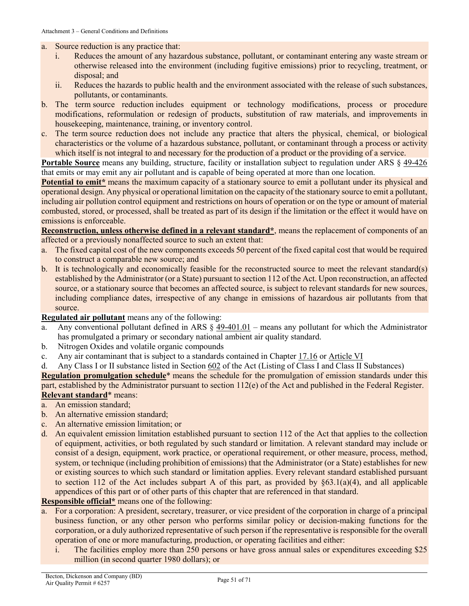#### a. Source reduction is any practice that:

- i. Reduces the amount of any hazardous substance, pollutant, or contaminant entering any waste stream or otherwise released into the environment (including fugitive emissions) prior to recycling, treatment, or disposal; and
- ii. Reduces the hazards to public health and the environment associated with the release of such substances, pollutants, or contaminants.
- b. The term source reduction includes equipment or technology modifications, process or procedure modifications, reformulation or redesign of products, substitution of raw materials, and improvements in housekeeping, maintenance, training, or inventory control.
- c. The term source reduction does not include any practice that alters the physical, chemical, or biological characteristics or the volume of a hazardous substance, pollutant, or contaminant through a process or activity which itself is not integral to and necessary for the production of a product or the providing of a service.

**Portable Source** means any building, structure, facility or installation subject to regulation under ARS § [49-426](https://www.azleg.gov/viewdocument/?docName=https://www.azleg.gov/ars/49/00426.htm) that emits or may emit any air pollutant and is capable of being operated at more than one location.

<span id="page-50-1"></span>**Potential to emit<sup>\*</sup>** means the maximum capacity of a stationary source to emit a pollutant under its physical and operational design. Any physical or operational limitation on the capacity of the stationary source to emit a pollutant, including air pollution control equipment and restrictions on hours of operation or on the type or amount of material combusted, stored, or processed, shall be treated as part of its design if the limitation or the effect it would have on emissions is enforceable.

**Reconstruction, unless otherwise defined in a relevant standard\***, means the replacement of components of an affected or a previously nonaffected source to such an extent that:

- a. The fixed capital cost of the new components exceeds 50 percent of the fixed capital cost that would be required to construct a comparable new source; and
- b. It is technologically and economically feasible for the reconstructed source to meet the relevant standard(s) established by the Administrator (or a State) pursuant to section 112 of the Act. Upon reconstruction, an affected source, or a stationary source that becomes an affected source, is subject to relevant standards for new sources, including compliance dates, irrespective of any change in emissions of hazardous air pollutants from that source.

#### **Regulated air pollutant** means any of the following:

- <span id="page-50-0"></span>a. Any conventional pollutant defined in ARS  $\S$  [49-401.01](https://tinyurl.com/ARS-49-401-01) – means any pollutant for which the Administrator has promulgated a primary or secondary national ambient air quality standard.
- b. Nitrogen Oxides and volatile organic compounds
- c. Any air contaminant that is subject to a standards contained in Chapter [17.16](https://tinyurl.com/y7uokuy8) or [Article VI](https://tinyurl.com/y9fxud5g)
- d. Any Class I or II substance listed in Section [602](https://tinyurl.com/yy37p3q3) of the Act (Listing of Class I and Class II Substances)

**Regulation promulgation schedule**\* means the schedule for the promulgation of emission standards under this part, established by the Administrator pursuant to section 112(e) of the Act and published in the Federal Register. **Relevant standard**\* means:

- a. An emission standard;
- b. An alternative emission standard;
- c. An alternative emission limitation; or
- d. An equivalent emission limitation established pursuant to section 112 of the Act that applies to the collection of equipment, activities, or both regulated by such standard or limitation. A relevant standard may include or consist of a design, equipment, work practice, or operational requirement, or other measure, process, method, system, or technique (including prohibition of emissions) that the Administrator (or a State) establishes for new or existing sources to which such standard or limitation applies. Every relevant standard established pursuant to section 112 of the Act includes subpart A of this part, as provided by  $\S 63.1(a)(4)$ , and all applicable appendices of this part or of other parts of this chapter that are referenced in that standard.

#### **Responsible official\*** means one of the following:

- a. For a corporation: A president, secretary, treasurer, or vice president of the corporation in charge of a principal business function, or any other person who performs similar policy or decision-making functions for the corporation, or a duly authorized representative of such person if the representative is responsible for the overall operation of one or more manufacturing, production, or operating facilities and either:
	- i. The facilities employ more than 250 persons or have gross annual sales or expenditures exceeding \$25 million (in second quarter 1980 dollars); or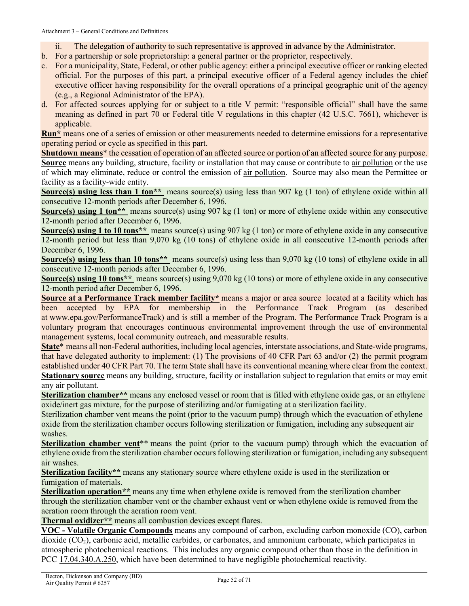- ii. The delegation of authority to such representative is approved in advance by the Administrator.
- b. For a partnership or sole proprietorship: a general partner or the proprietor, respectively.
- c. For a municipality, State, Federal, or other public agency: either a principal executive officer or ranking elected official. For the purposes of this part, a principal executive officer of a Federal agency includes the chief executive officer having responsibility for the overall operations of a principal geographic unit of the agency (e.g., a Regional Administrator of the EPA).
- d. For affected sources applying for or subject to a title V permit: "responsible official" shall have the same meaning as defined in part 70 or Federal title V regulations in this chapter (42 U.S.C. 7661), whichever is applicable.

**Run\*** means one of a series of emission or other measurements needed to determine emissions for a representative operating period or cycle as specified in this part.

<span id="page-51-1"></span>**Shutdown means**\* the cessation of operation of an affected source or portion of an affected source for any purpose. **Source** means any building, structure, facility or installation that may cause or contribute to [air pollution](#page-40-3) or the use of which may eliminate, reduce or control the emission of [air pollution.](#page-40-3) Source may also mean the Permittee or facility as a facility-wide entity.

**Source(s) using less than 1 ton\*\*** means source(s) using less than 907 kg (1 ton) of ethylene oxide within all consecutive 12-month periods after December 6, 1996.

**Source(s) using 1 ton\*\*** means source(s) using 907 kg (1 ton) or more of ethylene oxide within any consecutive 12-month period after December 6, 1996.

**Source(s) using 1 to 10 tons\*\*** means source(s) using 907 kg (1 ton) or more of ethylene oxide in any consecutive 12-month period but less than 9,070 kg (10 tons) of ethylene oxide in all consecutive 12-month periods after December 6, 1996.

**Source(s) using less than 10 tons\*\*** means source(s) using less than 9,070 kg (10 tons) of ethylene oxide in all consecutive 12-month periods after December 6, 1996.

**Source(s) using 10 tons\*\*** means source(s) using 9,070 kg (10 tons) or more of ethylene oxide in any consecutive 12-month period after December 6, 1996.

<span id="page-51-3"></span>**Source at a Performance Track member facility\*** means a major or [area source](#page-40-1) located at a facility which has been accepted by EPA for membership in the Performance Track Program (as described at www.epa.gov/PerformanceTrack) and is still a member of the Program. The Performance Track Program is a voluntary program that encourages continuous environmental improvement through the use of environmental management systems, local community outreach, and measurable results.

**State**\* means all non-Federal authorities, including local agencies, interstate associations, and State-wide programs, that have delegated authority to implement: (1) The provisions of 40 CFR Part 63 and/or (2) the permit program established under 40 CFR Part 70. The term State shall have its conventional meaning where clear from the context. **Stationary source** means any building, structure, facility or installation subject to regulation that emits or may emit any air pollutant.

<span id="page-51-0"></span>**Sterilization chamber\*\*** means any enclosed vessel or room that is filled with ethylene oxide gas, or an ethylene oxide/inert gas mixture, for the purpose of sterilizing and/or fumigating at a sterilization facility.

Sterilization chamber vent means the point (prior to the vacuum pump) through which the evacuation of ethylene oxide from the sterilization chamber occurs following sterilization or fumigation, including any subsequent air washes.

**Sterilization chamber vent**\*\* means the point (prior to the vacuum pump) through which the evacuation of ethylene oxide from the sterilization chamber occurs following sterilization or fumigation, including any subsequent air washes.

<span id="page-51-2"></span>**Sterilization facility\*\*** means any [stationary source](#page-51-3) where ethylene oxide is used in the sterilization or fumigation of materials.

**Sterilization operation\*\*** means any time when ethylene oxide is removed from the sterilization chamber through the sterilization chamber vent or the chamber exhaust vent or when ethylene oxide is removed from the aeration room through the aeration room vent.

**Thermal oxidizer\*\*** means all combustion devices except flares.

**VOC - Volatile Organic Compounds** means any compound of carbon, excluding carbon monoxide (CO), carbon dioxide (CO2), carbonic acid, metallic carbides, or carbonates, and ammonium carbonate, which participates in atmospheric photochemical reactions. This includes any organic compound other than those in the definition in [PCC 17.04.340.A.250,](https://tinyurl.com/y9gh9owd) which have been determined to have negligible photochemical reactivity.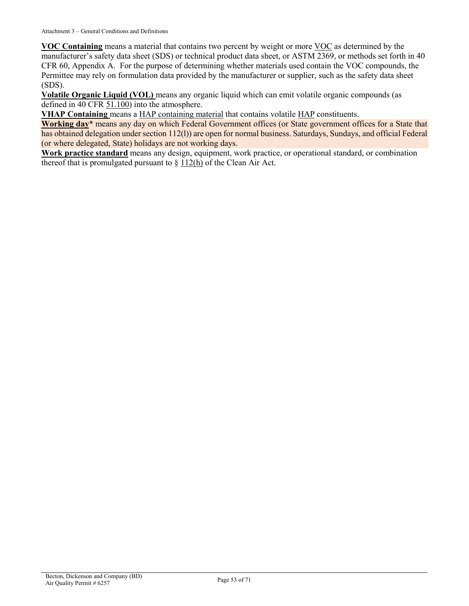**VOC Containing** means a material that contains two percent by weight or more [VOC](#page-51-0) as determined by the manufacturer's safety data sheet (SDS) or technical product data sheet, or ASTM 2369, or methods set forth in 40 CFR 60, Appendix A. For the purpose of determining whether materials used contain the VOC compounds, the Permittee may rely on formulation data provided by the manufacturer or supplier, such as the safety data sheet (SDS).

**Volatile Organic Liquid (VOL)** means any organic liquid which can emit volatile organic compounds (as defined in [40 CFR 51.100\)](https://tinyurl.com/40-CFR-51-100-def) into the atmosphere.

**VHAP Containing** means [a HAP containing material](#page-45-3) that contains volatile [HAP](#page-45-0) constituents.

**Working day**\* means any day on which Federal Government offices (or State government offices for a State that has obtained delegation under section 112(l)) are open for normal business. Saturdays, Sundays, and official Federal (or where delegated, State) holidays are not working days.

**Work practice standard** means any design, equipment, work practice, or operational standard, or combination thereof that is promulgated pursuant to  $\S 112(h)$  of the Clean Air Act.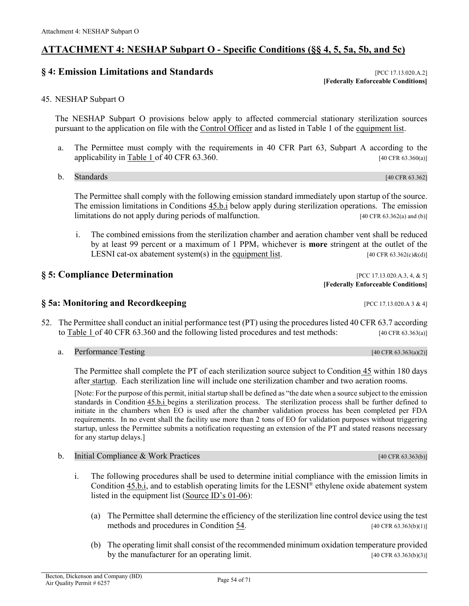## <span id="page-53-0"></span>**ATTACHMENT 4: NESHAP Subpart O - Specific Conditions (§§ 4, 5, 5a, 5b, and 5c)**

## **§ 4: Emission Limitations and Standards** [\[PCC 17.13.020.A.2\]](https://tinyurl.com/y2whqkle)

**[[Federally Enforceable](#page-44-0) Conditions]**

#### 45. NESHAP Subpart O

The NESHAP Subpart O provisions below apply to affected commercial stationary sterilization sources pursuant to the application on file with the [Control Officer](#page-41-1) and as listed in Table 1 of the [equipment list.](#page-23-0)

- a. The Permittee must comply with the requirements in 40 CFR Part 63, Subpart A according to the applicability in [Table 1 of 40 CFR 63.360.](https://www.ecfr.gov/cgi-bin/text-idx?SID=888518f37fa104504e861a47c7f36c32&mc=true&node=sp40.11.63.o&rgn=div6#se40.11.63_1360)  $[40 \text{ CFR } 63.360$
- b. Standards [40 CFR 63.362]

The Permittee shall comply with the following emission standard immediately upon startup of the source. The emission limitations in Conditions [45.b.i](#page-53-2) below apply during sterilization operations. The emission limitations do not apply during periods of malfunction. [40 CFR 63.362(a) and (b)]

<span id="page-53-2"></span>i. The combined emissions from the sterilization chamber and aeration chamber vent shall be reduced by at least 99 percent or a maximum of 1 PPMv whichever is **more** stringent at the outlet of the LESNI cat-ox abatement system(s) in the [equipment list.](#page-23-0)  $[40 \text{ CFR } 63.362(c) \& (d)]$ 

## **§ 5: Compliance Determination b pcc** 17.13.020.A.3, 4, & 5]

- **§ 5a: Monitoring and Recordkeeping [PCC 17.13.020.A 3 & 4]**
- <span id="page-53-1"></span>52. The Permittee shall conduct an initial performance test (PT) using the procedures listed 40 CFR 63.7 according to [Table 1 of 40 CFR 63.360](https://www.ecfr.gov/cgi-bin/text-idx?SID=888518f37fa104504e861a47c7f36c32&mc=true&node=sp40.11.63.o&rgn=div6#se40.11.63_1360) and the following listed procedures and test methods: [40 CFR 63.363(a)]
	- a. Performance Testing  $[40 \text{ CFR } 63.363(a)(2)]$

The Permittee shall complete the PT of each sterilization source subject to [Condition](#page-9-0) 45 within 180 days after [startup.](#page-45-1) Each sterilization line will include one sterilization chamber and two aeration rooms.

[Note: For the purpose of this permit, initial startup shall be defined as "the date when a source subject to the emission standards in [Condition](#page-53-2) 45.b.i begins a sterilization process. The sterilization process shall be further defined to initiate in the chambers when EO is used after the chamber validation process has been completed per FDA requirements. In no event shall the facility use more than 2 tons of EO for validation purposes without triggering startup, unless the Permittee submits a notification requesting an extension of the PT and stated reasons necessary for any startup delays.]

- <span id="page-53-3"></span>b. Initial Compliance & Work Practices  $[40 \text{ CFR } 63.363(b)]$ 
	- i. The following procedures shall be used to determine initial compliance with the emission limits in [Condition](#page-53-2) 45.b.i, and to establish operating limits for the LESNI® ethylene oxide abatement system listed in the equipment list [\(Source ID's 01-06\)](#page-23-1):
		- (a) The Permittee shall determine the efficiency of the sterilization line control device using the test methods and procedures in Condition  $54$ . [40 CFR 63.363(b)(1)]
		- (b) The operating limit shall consist of the recommended minimum oxidation temperature provided by the manufacturer for an operating limit. [40 CFR 63.363(b)(3)]

**[[Federally Enforceable](#page-44-0) Conditions]**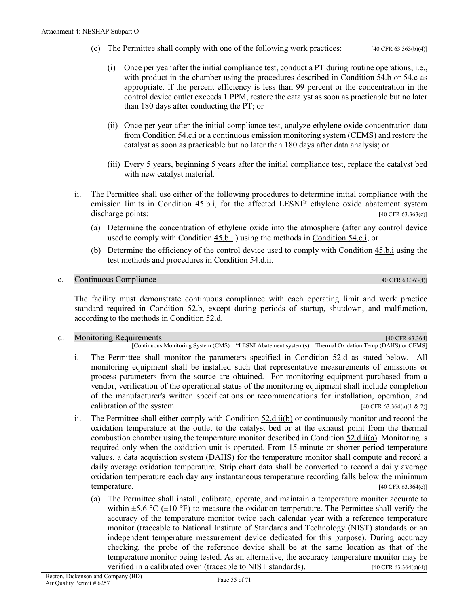- (c) The Permittee shall comply with one of the following work practices:  $[40 \text{ CFR } 63.363(b) \cdot (4)]$ 
	- (i) Once per year after the initial compliance test, conduct a PT during routine operations, i.e., with product in the chamber using the procedures described in [Condition](#page-58-1) 54.b or [54.c](#page-60-0) as appropriate. If the percent efficiency is less than 99 percent or the concentration in the control device outlet exceeds 1 PPM, restore the catalyst as soon as practicable but no later than 180 days after conducting the PT; or
	- (ii) Once per year after the initial compliance test, analyze ethylene oxide concentration data from [Condition 54.c.i](#page-60-1) or a continuous emission monitoring system (CEMS) and restore the catalyst as soon as practicable but no later than 180 days after data analysis; or
	- (iii) Every 5 years, beginning 5 years after the initial compliance test, replace the catalyst bed with new catalyst material.
- <span id="page-54-3"></span>ii. The Permittee shall use either of the following procedures to determine initial compliance with the emission limits in [Condition 45.b.i,](#page-53-2) for the affected LESNI® ethylene oxide abatement system discharge points: [40 CFR 63.363(c)]
	- (a) Determine the concentration of ethylene oxide into the atmosphere (after any control device used to comply wit[h Condition 45.b.i](#page-53-2) ) using the methods in [Condition](#page-60-1) 54.c.i; or
	- (b) Determine the efficiency of the control device used to comply with [Condition 45.b.i](#page-9-9) using the test methods and procedures in [Condition 54.d.ii.](#page-66-1)

#### c. Continuous Compliance  $[40 \text{ CFR } 63.363(f)]$

The facility must demonstrate continuous compliance with each operating limit and work practice standard required in [Condition 52.b,](#page-53-3) except during periods of startup, shutdown, and malfunction, according to the methods in [Condition 52.d.](#page-54-1)

#### <span id="page-54-1"></span><span id="page-54-0"></span>d. Monitoring Requirements **and the contract of the contract of the contract of the contract of the contract of the contract of the contract of the contract of the contract of the contract of the contract of the contract o**

[Continuous Monitoring System (CMS) – "LESNI Abatement system(s) – Thermal Oxidation Temp (DAHS) or CEMS]

- i. The Permittee shall monitor the parameters specified in [Condition 52.d](#page-54-1) as stated below. All monitoring equipment shall be installed such that representative measurements of emissions or process parameters from the source are obtained. For monitoring equipment purchased from a vendor, verification of the operational status of the monitoring equipment shall include completion of the manufacturer's written specifications or recommendations for installation, operation, and calibration of the system.  $[40 \text{ CFR } 63.364(a)(1 \& 2)]$
- <span id="page-54-2"></span>ii. The Permittee shall either comply with [Condition 52.d.ii\(b\)](#page-55-0) or continuously monitor and record the oxidation temperature at the outlet to the catalyst bed or at the exhaust point from the thermal combustion chamber using the temperature monitor described in [Condition 52.d.ii\(a\).](#page-54-2) Monitoring is required only when the oxidation unit is operated. From 15-minute or shorter period temperature values, a data acquisition system (DAHS) for the temperature monitor shall compute and record a daily average oxidation temperature. Strip chart data shall be converted to record a daily average oxidation temperature each day any instantaneous temperature recording falls below the minimum temperature. [40 CFR 63.364(c)]
	- (a) The Permittee shall install, calibrate, operate, and maintain a temperature monitor accurate to within  $\pm$ 5.6 °C ( $\pm$ 10 °F) to measure the oxidation temperature. The Permittee shall verify the accuracy of the temperature monitor twice each calendar year with a reference temperature monitor (traceable to National Institute of Standards and Technology (NIST) standards or an independent temperature measurement device dedicated for this purpose). During accuracy checking, the probe of the reference device shall be at the same location as that of the temperature monitor being tested. As an alternative, the accuracy temperature monitor may be verified in a calibrated oven (traceable to NIST standards).  $[40 \text{ CFR } 63.364(c)(4)]$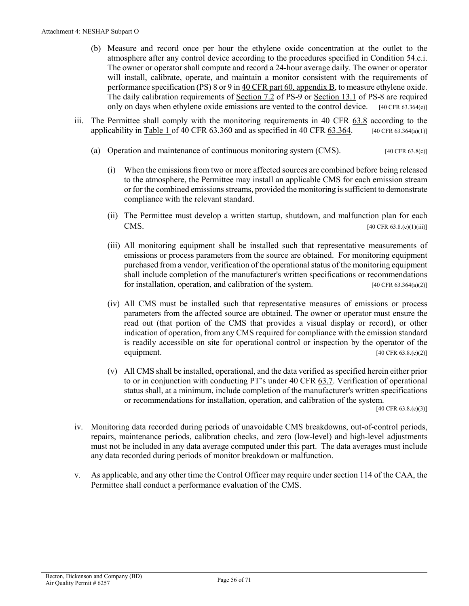- <span id="page-55-0"></span>(b) Measure and record once per hour the ethylene oxide concentration at the outlet to the atmosphere after any control device according to the procedures specified in [Condition 54.c.i.](#page-60-1)  The owner or operator shall compute and record a 24-hour average daily. The owner or operator will install, calibrate, operate, and maintain a monitor consistent with the requirements of performance specification (PS) 8 or 9 i[n 40 CFR part 60, appendix B,](https://www.ecfr.gov/current/title-40/part-60/appendix-Appendix%20B%20to%20Part%2060) to measure ethylene oxide. The daily calibration requirements of [Section 7.2](https://tinyurl.com/2p9yz9js) of PS-9 or [Section 13.1](https://tinyurl.com/2p9yz9js) of PS-8 are required only on days when ethylene oxide emissions are vented to the control device. [40 CFR 63.364(e)]
- <span id="page-55-2"></span>iii. The Permittee shall comply with the monitoring requirements in [40 CFR 63.8](https://tinyurl.com/40-CFR-63-8) according to the applicability in [Table 1 of 40 CFR 63.360](https://www.ecfr.gov/cgi-bin/text-idx?SID=888518f37fa104504e861a47c7f36c32&mc=true&node=sp40.11.63.o&rgn=div6#se40.11.63_1360) and as specified in 40 CFR  $63.364$ . [40 CFR 63.364(a)(1)]
	- (a) Operation and maintenance of continuous monitoring system (CMS). [40 CFR 63.8(c)]
		- (i) When the emissions from two or more affected sources are combined before being released to the atmosphere, the Permittee may install an applicable CMS for each emission stream or for the combined emissions streams, provided the monitoring is sufficient to demonstrate compliance with the relevant standard.
		- (ii) The Permittee must develop a written startup, shutdown, and malfunction plan for each **CMS.** [40 CFR 63.8.(c)(1)(iii)]
		- (iii) All monitoring equipment shall be installed such that representative measurements of emissions or process parameters from the source are obtained. For monitoring equipment purchased from a vendor, verification of the operational status of the monitoring equipment shall include completion of the manufacturer's written specifications or recommendations for installation, operation, and calibration of the system. [40 CFR 63.364(a)(2)]
		- (iv) All CMS must be installed such that representative measures of emissions or process parameters from the affected source are obtained. The owner or operator must ensure the read out (that portion of the CMS that provides a visual display or record), or other indication of operation, from any CMS required for compliance with the emission standard is readily accessible on site for operational control or inspection by the operator of the equipment. [40 CFR 63.8.(c)(2)]
		- (v) All CMS shall be installed, operational, and the data verified as specified herein either prior to or in conjunction with conducting PT's under 40 CFR [63.7.](https://tinyurl.com/2stw6x5d) Verification of operational status shall, at a minimum, include completion of the manufacturer's written specifications or recommendations for installation, operation, and calibration of the system.

 $[40 \text{ CFR } 63.8 \cdot (c)(3)]$ 

- iv. Monitoring data recorded during periods of unavoidable CMS breakdowns, out-of-control periods, repairs, maintenance periods, calibration checks, and zero (low-level) and high-level adjustments must not be included in any data average computed under this part. The data averages must include any data recorded during periods of monitor breakdown or malfunction.
- <span id="page-55-1"></span>v. As applicable, and any other time the Control Officer may require under section 114 of the CAA, the Permittee shall conduct a performance evaluation of the CMS.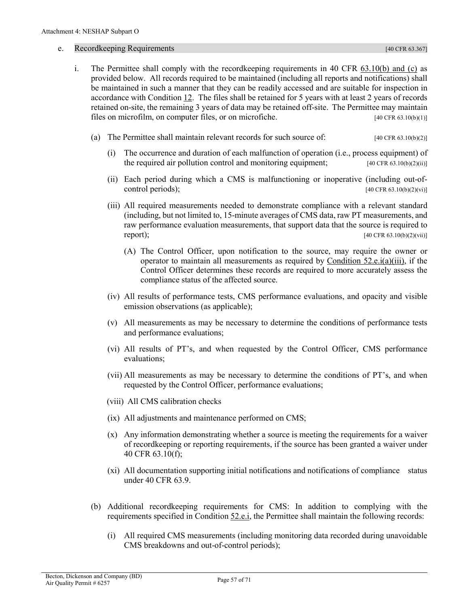#### <span id="page-56-1"></span>e. Recordkeeping Requirements [40 CFR 63.367]

- <span id="page-56-0"></span>i. The Permittee shall comply with the recordkeeping requirements in 40 CFR [63.10\(b\) and \(c\)](https://tinyurl.com/40-CFR-63-10) as provided below. All records required to be maintained (including all reports and notifications) shall be maintained in such a manner that they can be readily accessed and are suitable for inspection in accordance with [Condition 12.](#page-35-2) The files shall be retained for 5 years with at least 2 years of records retained on-site, the remaining 3 years of data may be retained off-site.The Permittee may maintain files on microfilm, on computer files, or on microfiche. [40 CFR 63.10(b)(1)]
	- (a) The Permittee shall maintain relevant records for such source of: [40 CFR 63.10(b)(2)]
		- (i) The occurrence and duration of each malfunction of operation (i.e., process equipment) of the required air pollution control and monitoring equipment;  $[40 \text{ CFR } 63.10(b)(2)(ii)]$
		- (ii) Each period during which a CMS is malfunctioning or inoperative (including out-ofcontrol periods);  $[40 \text{ CFR } 63.10(b)(2)(vi)]$
		- (iii) All required measurements needed to demonstrate compliance with a relevant standard (including, but not limited to, 15-minute averages of CMS data, raw PT measurements, and raw performance evaluation measurements, that support data that the source is required to **report);** [40 CFR 63.10(b)(2)(vii)]
			- (A) The Control Officer, upon notification to the source, may require the owner or operator to maintain all measurements as required by [Condition 52.e.i\(a\)\(iii\),](#page-56-0) if the Control Officer determines these records are required to more accurately assess the compliance status of the affected source.
		- (iv) All results of performance tests, CMS performance evaluations, and opacity and visible emission observations (as applicable);
		- (v) All measurements as may be necessary to determine the conditions of performance tests and performance evaluations;
		- (vi) All results of PT's, and when requested by the Control Officer, CMS performance evaluations;
		- (vii) All measurements as may be necessary to determine the conditions of PT's, and when requested by the Control Officer, performance evaluations;
		- (viii) All CMS calibration checks
		- (ix) All adjustments and maintenance performed on CMS;
		- (x) Any information demonstrating whether a source is meeting the requirements for a waiver of recordkeeping or reporting requirements, if the source has been granted a waiver under 40 CFR 63.10(f);
		- (xi) All documentation supporting initial notifications and notifications of compliance status under 40 CFR 63.9.
	- (b) Additional recordkeeping requirements for CMS: In addition to complying with the requirements specified in [Condition 52.e.i,](#page-56-1) the Permittee shall maintain the following records:
		- (i) All required CMS measurements (including monitoring data recorded during unavoidable CMS breakdowns and out-of-control periods);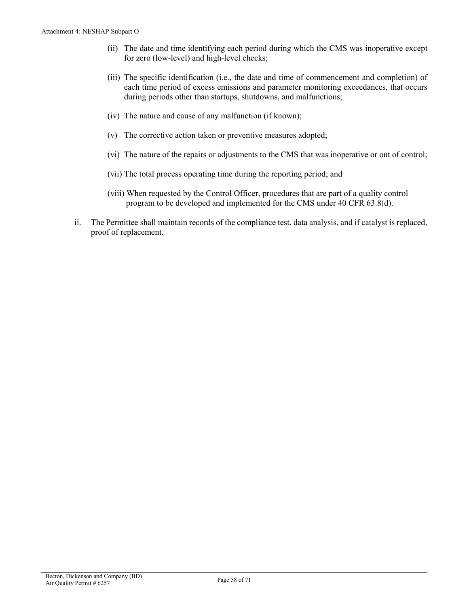- <span id="page-57-0"></span>(ii) The date and time identifying each period during which the CMS was inoperative except for zero (low-level) and high-level checks;
- (iii) The specific identification (i.e., the date and time of commencement and completion) of each time period of excess emissions and parameter monitoring exceedances, that occurs during periods other than startups, shutdowns, and malfunctions;
- (iv) The nature and cause of any malfunction (if known);
- (v) The corrective action taken or preventive measures adopted;
- (vi) The nature of the repairs or adjustments to the CMS that was inoperative or out of control;
- (vii) The total process operating time during the reporting period; and
- (viii) When requested by the Control Officer, procedures that are part of a quality control program to be developed and implemented for the CMS under 40 CFR 63.8(d).
- ii. The Permittee shall maintain records of the compliance test, data analysis, and if catalyst is replaced, proof of replacement.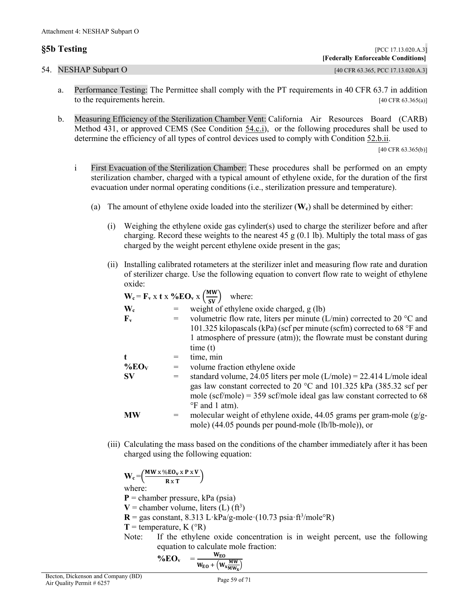<span id="page-58-0"></span>

| §5b Testing          | [PCC 17.13.020.A.3]                |
|----------------------|------------------------------------|
|                      | [Federally Enforceable Conditions] |
| 54. NESHAP Subpart O | [40 CFR 63.365, PCC 17.13.020.A.3] |

- a. Performance Testing: The Permittee shall comply with the PT requirements in 40 CFR 63.7 in addition to the requirements herein. [40 CFR 63.365(a)]
- <span id="page-58-1"></span>b. Measuring Efficiency of the Sterilization Chamber Vent: California Air Resources Board (CARB) Method 431, or approved CEMS (See [Condition 54.c.i\)](#page-60-1), or the following procedures shall be used to determine the efficiency of all types of control devices used to comply with [Condition 52.b.ii.](#page-54-3)

[40 CFR 63.365(b)]

- i First Evacuation of the Sterilization Chamber: These procedures shall be performed on an empty sterilization chamber, charged with a typical amount of ethylene oxide, for the duration of the first evacuation under normal operating conditions (i.e., sterilization pressure and temperature).
	- (a) The amount of ethylene oxide loaded into the sterilizer (**Wc**) shall be determined by either:
		- (i) Weighing the ethylene oxide gas cylinder(s) used to charge the sterilizer before and after charging. Record these weights to the nearest 45 g  $(0.1 \text{ lb})$ . Multiply the total mass of gas charged by the weight percent ethylene oxide present in the gas;
		- (ii) Installing calibrated rotameters at the sterilizer inlet and measuring flow rate and duration of sterilizer charge. Use the following equation to convert flow rate to weight of ethylene oxide:

| $W_c = F_v x t x \% EO_v x (\frac{MW}{sv})$ |     | where:                                                                           |
|---------------------------------------------|-----|----------------------------------------------------------------------------------|
| $\mathbf{W}_{\mathbf{c}}$                   |     | weight of ethylene oxide charged, g (lb)                                         |
| $\mathbf{F}_{\mathbf{v}}$                   |     | volumetric flow rate, liters per minute (L/min) corrected to 20 $\degree$ C and  |
|                                             |     | 101.325 kilopascals (kPa) (scf per minute (scfm) corrected to 68 $\degree$ F and |
|                                             |     | 1 atmosphere of pressure (atm)); the flowrate must be constant during            |
|                                             |     | time(t)                                                                          |
| t                                           |     | time, min                                                                        |
| $\%$ EO <sub>V</sub>                        | $=$ | volume fraction ethylene oxide                                                   |
| $S_{V}$                                     | $=$ | standard volume, 24.05 liters per mole $(L/mole) = 22.414 L/mole$ ideal          |
|                                             |     | gas law constant corrected to 20 $^{\circ}$ C and 101.325 kPa (385.32 scf per    |
|                                             |     | mole (scf/mole) = $359$ scf/mole ideal gas law constant corrected to 68          |
|                                             |     | <sup>o</sup> F and 1 atm).                                                       |
| <b>MW</b>                                   |     | molecular weight of ethylene oxide, 44.05 grams per gram-mole $(g/g -$           |
|                                             |     | mole) (44.05 pounds per pound-mole (lb/lb-mole)), or                             |

(iii) Calculating the mass based on the conditions of the chamber immediately after it has been charged using the following equation:

 $W_c = \left(\frac{MW \times \%EO_v \times P \times V}{R \times T}\right)$ where: **P** = chamber pressure, kPa (psia)  $V =$  chamber volume, liters (L) (ft<sup>3</sup>)  $R = gas constant, 8.313 L·kPa/g-mode (10.73 psia·ft<sup>3</sup>/mole<sup>o</sup>R)$  $T =$  temperature, K ( $\circ$ R) Note: If the ethylene oxide concentration is in weight percent, use the following equation to calculate mole fraction:

$$
\% \mathbf{EO}_{v} = \frac{W_{E0}}{W_{E0} + \left(W_{x} \frac{MW}{MW_{x}}\right)}
$$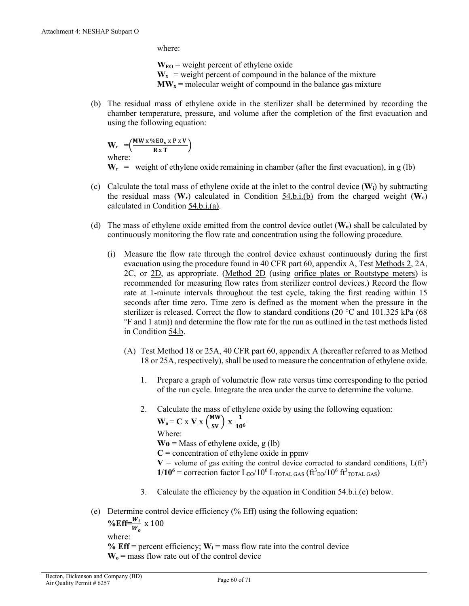where:

 $W_{E0}$  = weight percent of ethylene oxide  $W_x$  = weight percent of compound in the balance of the mixture  $\bf{MW}_{x}$  = molecular weight of compound in the balance gas mixture

(b) The residual mass of ethylene oxide in the sterilizer shall be determined by recording the chamber temperature, pressure, and volume after the completion of the first evacuation and using the following equation:

 $W_r = \left(\frac{MW \times \%EO_v \times P \times V}{R \times T}\right)$ where:

 $W_r$  = weight of ethylene oxide remaining in chamber (after the first evacuation), in g (lb)

- (c) Calculate the total mass of ethylene oxide at the inlet to the control device  $(\mathbf{W}_i)$  by subtracting the residual mass  $(\mathbf{W}_r)$  calculated in [Condition 54.b.i.\(b\)](#page-66-1) from the charged weight  $(\mathbf{W}_c)$ calculated in [Condition 54.b.i.\(a\).](#page-66-1)
- (d) The mass of ethylene oxide emitted from the control device outlet (**Wo**) shall be calculated by continuously monitoring the flow rate and concentration using the following procedure.
	- (i) Measure the flow rate through the control device exhaust continuously during the first evacuation using the procedure found in 40 CFR part 60, appendix A, Test Methods 2, 2A, 2C, or 2D, as appropriate. (Method 2D (using orifice plates or Rootstype meters) is recommended for measuring flow rates from sterilizer control devices.) Record the flow rate at 1-minute intervals throughout the test cycle, taking the first reading within 15 seconds after time zero. Time zero is defined as the moment when the pressure in the sterilizer is released. Correct the flow to standard conditions (20  $^{\circ}$ C and 101.325 kPa (68) °F and 1 atm)) and determine the flow rate for the run as outlined in the test methods listed in [Condition 54.b.](#page-58-1)
		- (A) Test Method 18 or 25A, 40 CFR part 60, appendix A (hereafter referred to as Method 18 or 25A, respectively), shall be used to measure the concentration of ethylene oxide.
			- 1. Prepare a graph of volumetric flow rate versus time corresponding to the period of the run cycle. Integrate the area under the curve to determine the volume.
			- 2. Calculate the mass of ethylene oxide by using the following equation: **W**<sub>o</sub> = **C** x **V** x  $\left(\frac{MW}{SV}\right)$  x  $\frac{1}{10^6}$

Where:

 $\mathbf{W_0}$  = Mass of ethylene oxide, g (lb)

 $C =$  concentration of ethylene oxide in ppmv

 $V =$  volume of gas exiting the control device corrected to standard conditions,  $L(f<sup>3</sup>)$ 

 $1/10^6$  = correction factor  $L_{E0}/10^6$   $L_{\text{TOTAL GAS}}$  ( $\text{ft}^3$ <sub>EO</sub>/ $10^6$   $\text{ft}^3$ <sub>TOTAL GAS</sub>)

- 3. Calculate the efficiency by the equation in Condition 54.b.i.(e) below.
- (e) Determine control device efficiency (% Eff) using the following equation: %Eff= $\frac{W_i}{W_o} \times 100$

where:

% **Eff** = percent efficiency;  $W_i$  = mass flow rate into the control device  $W_0$  = mass flow rate out of the control device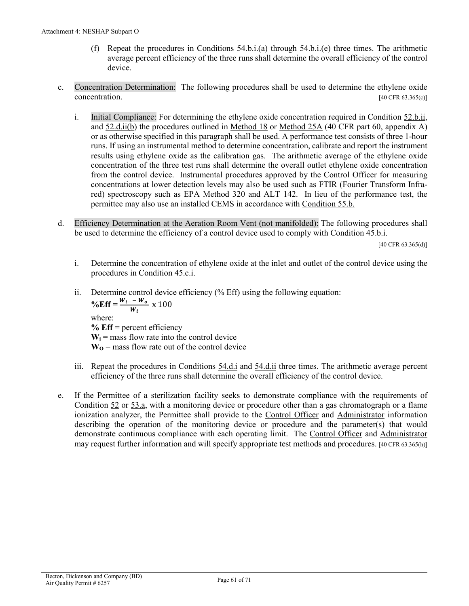- (f) Repeat the procedures in Conditions [54.b.i.\(a\)](#page-66-1) through [54.b.i.\(e\)](#page-66-1) three times. The arithmetic average percent efficiency of the three runs shall determine the overall efficiency of the control device.
- <span id="page-60-1"></span><span id="page-60-0"></span>c. Concentration Determination:The following procedures shall be used to determine the ethylene oxide concentration.  $[40 \text{ CFR } 63.365 \text{(c)}]$ 
	- i. Initial Compliance: For determining the ethylene oxide concentration required in [Condition 52.b.ii,](#page-54-3) and [52.d.ii\(b\)](#page-55-0) the procedures outlined in Method 18 or Method 25A (40 CFR part 60, appendix A) or as otherwise specified in this paragraph shall be used. A performance test consists of three 1-hour runs. If using an instrumental method to determine concentration, calibrate and report the instrument results using ethylene oxide as the calibration gas. The arithmetic average of the ethylene oxide concentration of the three test runs shall determine the overall outlet ethylene oxide concentration from the control device. Instrumental procedures approved by the Control Officer for measuring concentrations at lower detection levels may also be used such as FTIR (Fourier Transform Infrared) spectroscopy such as EPA Method 320 and ALT 142. In lieu of the performance test, the permittee may also use an installed CEMS in accordance with [Condition](#page-17-0) 55.b.
- d. Efficiency Determination at the Aeration Room Vent (not manifolded): The following procedures shall be used to determine the efficiency of a control device used to comply with [Condition](#page-53-2) 45.b.i.

 $[40 \text{ CFR } 63.365 \text{ (d)}]$ 

- i. Determine the concentration of ethylene oxide at the inlet and outlet of the control device using the procedures in Condition 45.c.i.
- ii. Determine control device efficiency (% Eff) using the following equation:  $\% \text{Eff} = \frac{W_{i-} - W_o}{W_i} \times 100$ where:

**% Eff** = percent efficiency  $W_i$  = mass flow rate into the control device  $W_0$  = mass flow rate out of the control device

- iii. Repeat the procedures in [Conditions 54.d.i](#page-66-1) and [54.d.ii](#page-66-1) three times. The arithmetic average percent efficiency of the three runs shall determine the overall efficiency of the control device.
- e. If the Permittee of a sterilization facility seeks to demonstrate compliance with the requirements of Condition [52](#page-14-0) or [53.a,](#page-14-2) with a monitoring device or procedure other than a gas chromatograph or a flame ionization analyzer, the Permittee shall provide to the [Control Officer](#page-41-1) and [Administrator](#page-9-9) information describing the operation of the monitoring device or procedure and the parameter(s) that would demonstrate continuous compliance with each operating limit. The [Control Officer](#page-41-1) and [Administrator](#page-9-9) may request further information and will specify appropriate test methods and procedures. [40 CFR 63.365(h)]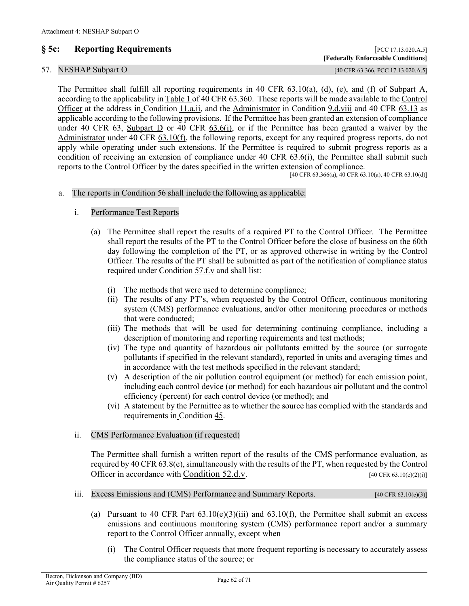## **§ 5c: Reporting Requirements** [PCC 17.13.020.A.5]

## 57. NESHAP Subpart O [40 CFR 63.366, PCC 17.13.020.A.5]

The Permittee shall fulfill all reporting requirements in 40 CFR [63.10\(a\), \(d\), \(e\), and \(f\)](https://tinyurl.com/40-CFR-63-10) of Subpart A, according to the applicability in [Table 1 of 40 CFR 63.360.](https://www.ecfr.gov/cgi-bin/text-idx?SID=888518f37fa104504e861a47c7f36c32&mc=true&node=sp40.11.63.o&rgn=div6#se40.11.63_1360) These reports will be made available to th[e Control](#page-41-1)  [Officer](#page-41-1) at the address in [Condition](#page-34-1) 11.a.ii, and the [Administrator](#page-9-9) in Condition [9.d.viii](https://tinyurl.com/y4hmxls8) and 40 CFR [63.13](https://tinyurl.com/y4hmxls8) as applicable according to the following provisions. If the Permittee has been granted an extension of compliance under 40 CFR 63, [Subpart D](https://tinyurl.com/nsjr433k) or 40 CFR [63.6\(i\),](https://tinyurl.com/y5ala8b3) or if the Permittee has been granted a waiver by the [Administrator](#page-9-9) under 40 CFR [63.10\(f\),](https://tinyurl.com/4hn38bs6) the following reports, except for any required progress reports, do not apply while operating under such extensions. If the Permittee is required to submit progress reports as a condition of receiving an extension of compliance under 40 CFR [63.6\(i\),](https://tinyurl.com/y5ala8b3) the Permittee shall submit such reports to the Control Officer by the dates specified in the written extension of compliance.

 $[40 \text{ CFR } 63.366(a), 40 \text{ CFR } 63.10(a), 40 \text{ CFR } 63.10(d)]$ 

#### <span id="page-61-1"></span>a. The reports in [Condition 56](#page-18-1) shall include the following as applicable:

- i. Performance Test Reports
	- (a) The Permittee shall report the results of a required PT to the Control Officer. The Permittee shall report the results of the PT to the Control Officer before the close of business on the 60th day following the completion of the PT, or as approved otherwise in writing by the Control Officer. The results of the PT shall be submitted as part of the notification of compliance status required under [Condition 57.f.v](#page-66-2) and shall list:
		- (i) The methods that were used to determine compliance;
		- (ii) The results of any PT's, when requested by the Control Officer, continuous monitoring system (CMS) performance evaluations, and/or other monitoring procedures or methods that were conducted;
		- (iii) The methods that will be used for determining continuing compliance, including a description of monitoring and reporting requirements and test methods;
		- (iv) The type and quantity of hazardous air pollutants emitted by the source (or surrogate pollutants if specified in the relevant standard), reported in units and averaging times and in accordance with the test methods specified in the relevant standard;
		- (v) A description of the air pollution control equipment (or method) for each emission point, including each control device (or method) for each hazardous air pollutant and the control efficiency (percent) for each control device (or method); and
		- (vi) A statement by the Permittee as to whether the source has complied with the standards and requirements in [Condition 45.](#page-9-0)

#### <span id="page-61-2"></span>ii. CMS Performance Evaluation (if requested)

The Permittee shall furnish a written report of the results of the CMS performance evaluation, as required by 40 CFR 63.8(e), simultaneously with the results of the PT, when requested by the Control Officer in accordance with [Condition 52.d.v.](#page-55-1) [40 CFR 63.10(e)(2)(i)]

- <span id="page-61-0"></span>iii. Excess Emissions and (CMS) Performance and Summary Reports. [40 CFR 63.10(e)(3)]
	- (a) Pursuant to 40 CFR Part  $(3.10(e)(3)(iii))$  and  $(3.10(f))$ , the Permittee shall submit an excess emissions and continuous monitoring system (CMS) performance report and/or a summary report to the Control Officer annually, except when
		- (i) The Control Officer requests that more frequent reporting is necessary to accurately assess the compliance status of the source; or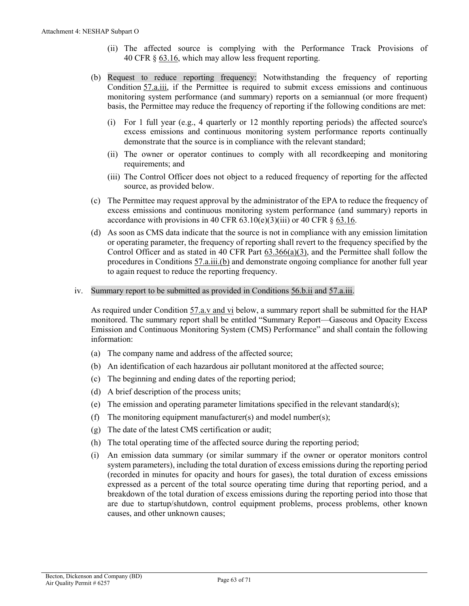- (ii) The affected source is complying with the Performance Track Provisions of 40 CFR § [63.16,](https://tinyurl.com/2xbhxz6f) which may allow less frequent reporting.
- <span id="page-62-0"></span>(b) Request to reduce reporting frequency: Notwithstanding the frequency of reporting [Condition](#page-61-0) 57.a.iii, if the Permittee is required to submit excess emissions and continuous monitoring system performance (and summary) reports on a semiannual (or more frequent) basis, the Permittee may reduce the frequency of reporting if the following conditions are met:
	- (i) For 1 full year (e.g., 4 quarterly or 12 monthly reporting periods) the affected source's excess emissions and continuous monitoring system performance reports continually demonstrate that the source is in compliance with the relevant standard;
	- (ii) The owner or operator continues to comply with all recordkeeping and monitoring requirements; and
	- (iii) The Control Officer does not object to a reduced frequency of reporting for the affected source, as provided below.
- (c) The Permittee may request approval by the administrator of the EPA to reduce the frequency of excess emissions and continuous monitoring system performance (and summary) reports in accordance with provisions in 40 CFR  $(3.10(e)(3)(iii)$  or 40 CFR  $\S$   $(63.16.$  $(63.16.$
- (d) As soon as CMS data indicate that the source is not in compliance with any emission limitation or operating parameter, the frequency of reporting shall revert to the frequency specified by the Control Officer and as stated in 40 CFR Part  $63.366(a)(3)$ , and the Permittee shall follow the procedures i[n Conditions 57.a.iii.\(b\)](#page-62-0) and demonstrate ongoing compliance for another full year to again request to reduce the reporting frequency.
- <span id="page-62-1"></span>iv. Summary report to be submitted as provided in [Conditions 56.b.ii](#page-18-10) and [57.a.iii.](#page-61-0)

As required under Condition  $57.a.v$  and vi below, a summary report shall be submitted for the HAP monitored. The summary report shall be entitled "Summary Report—Gaseous and Opacity Excess Emission and Continuous Monitoring System (CMS) Performance" and shall contain the following information:

- (a) The company name and address of the affected source;
- (b) An identification of each hazardous air pollutant monitored at the affected source;
- (c) The beginning and ending dates of the reporting period;
- (d) A brief description of the process units;
- (e) The emission and operating parameter limitations specified in the relevant standard(s);
- (f) The monitoring equipment manufacturer(s) and model number(s);
- (g) The date of the latest CMS certification or audit;
- (h) The total operating time of the affected source during the reporting period;
- (i) An emission data summary (or similar summary if the owner or operator monitors control system parameters), including the total duration of excess emissions during the reporting period (recorded in minutes for opacity and hours for gases), the total duration of excess emissions expressed as a percent of the total source operating time during that reporting period, and a breakdown of the total duration of excess emissions during the reporting period into those that are due to startup/shutdown, control equipment problems, process problems, other known causes, and other unknown causes;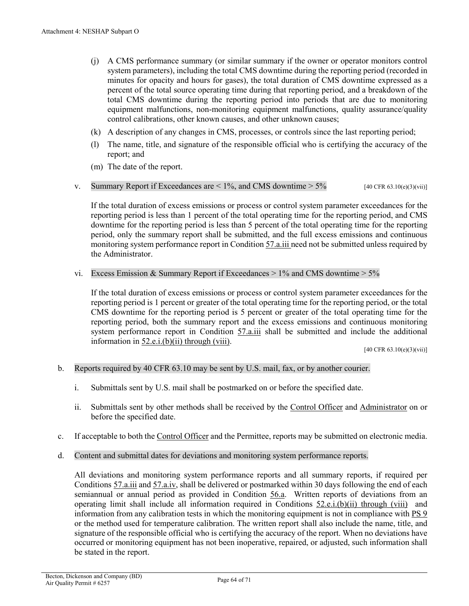- (j) A CMS performance summary (or similar summary if the owner or operator monitors control system parameters), including the total CMS downtime during the reporting period (recorded in minutes for opacity and hours for gases), the total duration of CMS downtime expressed as a percent of the total source operating time during that reporting period, and a breakdown of the total CMS downtime during the reporting period into periods that are due to monitoring equipment malfunctions, non-monitoring equipment malfunctions, quality assurance/quality control calibrations, other known causes, and other unknown causes;
- (k) A description of any changes in CMS, processes, or controls since the last reporting period;
- (l) The name, title, and signature of the responsible official who is certifying the accuracy of the report; and
- (m) The date of the report.
- <span id="page-63-0"></span>v. Summary Report if Exceedances are  $\lt 1\%$ , and CMS downtime  $> 5\%$  [40 CFR 63.10(e)(3)(vii)]

If the total duration of excess emissions or process or control system parameter exceedances for the reporting period is less than 1 percent of the total operating time for the reporting period, and CMS downtime for the reporting period is less than 5 percent of the total operating time for the reporting period, only the summary report shall be submitted, and the full excess emissions and continuous monitoring system performance report i[n Condition 57.a.iii n](#page-61-0)eed not be submitted unless required by the Administrator.

vi. Excess Emission & Summary Report if Exceedances  $> 1\%$  and CMS downtime  $> 5\%$ 

If the total duration of excess emissions or process or control system parameter exceedances for the reporting period is 1 percent or greater of the total operating time for the reporting period, or the total CMS downtime for the reporting period is 5 percent or greater of the total operating time for the reporting period, both the summary report and the excess emissions and continuous monitoring system performance report in [Condition 57.a.iii](#page-61-0) shall be submitted and include the additional information in [52.e.i.\(b\)\(ii\) through \(viii\).](#page-57-0)

[40 CFR 63.10(e)(3)(vii)]

#### b. Reports required by 40 CFR 63.10 may be sent by U.S. mail, fax, or by another courier.

- i. Submittals sent by U.S. mail shall be postmarked on or before the specified date.
- ii. Submittals sent by other methods shall be received by the [Control Officer](#page-41-1) and [Administrator](#page-9-9) on or before the specified date.
- c. If acceptable to both th[e Control Officer](#page-41-1) and the Permittee, reports may be submitted on electronic media.
- d. Content and submittal dates for deviations and monitoring system performance reports.

All deviations and monitoring system performance reports and all summary reports, if required per [Conditions](#page-61-0) 57.a.iii an[d 57.a.iv,](#page-62-1) shall be delivered or postmarked within 30 days following the end of each semiannual or annual period as provided in [Condition 56.a.](#page-18-11) Written reports of deviations from an operating limit shall include all information required in Conditions [52.e.i.\(b\)\(ii\) through \(viii\)](#page-57-0) and information from any calibration tests in which the monitoring equipment is not in compliance with PS 9 or the method used for temperature calibration. The written report shall also include the name, title, and signature of the responsible official who is certifying the accuracy of the report. When no deviations have occurred or monitoring equipment has not been inoperative, repaired, or adjusted, such information shall be stated in the report.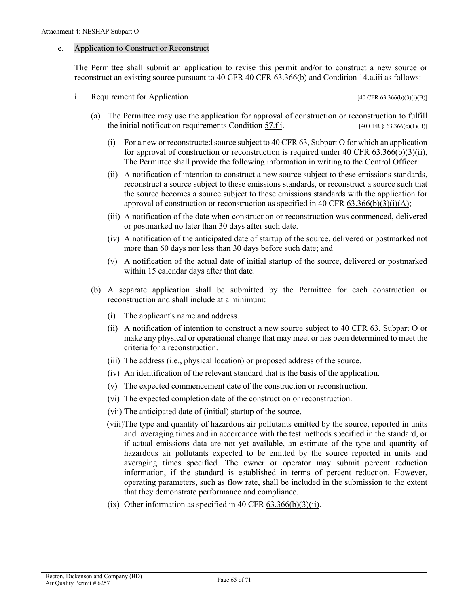#### <span id="page-64-0"></span>e. Application to Construct or Reconstruct

The Permittee shall submit an application to revise this permit and/or to construct a new source or reconstruct an existing source pursuant to [40 CFR 40 CFR 63.366\(b\)](https://tinyurl.com/4wrey8td) and Conditio[n 14.a.iii](#page-35-3) as follows:

i. Requirement for Application  $[40 \text{ CFR } 63.366(b)(3)(i)(B)]$ 

- (a) The Permittee may use the application for approval of construction or reconstruction to fulfill the initial notification requirements Condition  $57.f$  i. [40 CFR § 63.366(c)(1)(B)]
	- (i) For a new or reconstructed source subject to 40 CFR 63, Subpart O for which an application for approval of construction or reconstruction is required under 40 CFR  $(3.366(b)(3)(ii))$ , The Permittee shall provide the following information in writing to the Control Officer:
	- (ii) A notification of intention to construct a new source subject to these emissions standards, reconstruct a source subject to these emissions standards, or reconstruct a source such that the source becomes a source subject to these emissions standards with the application for approval of construction or reconstruction as specified in 40 CFR [63.366\(b\)\(3\)\(i\)\(A\);](https://tinyurl.com/4wrey8td)
	- (iii) A notification of the date when construction or reconstruction was commenced, delivered or postmarked no later than 30 days after such date.
	- (iv) A notification of the anticipated date of startup of the source, delivered or postmarked not more than 60 days nor less than 30 days before such date; and
	- (v) A notification of the actual date of initial startup of the source, delivered or postmarked within 15 calendar days after that date.
- (b) A separate application shall be submitted by the Permittee for each construction or reconstruction and shall include at a minimum:
	- (i) The applicant's name and address.
	- (ii) A notification of intention to construct a new source subject to 40 CFR 63, [Subpart O](https://tinyurl.com/4akdwn77) or make any physical or operational change that may meet or has been determined to meet the criteria for a reconstruction.
	- (iii) The address (i.e., physical location) or proposed address of the source.
	- (iv) An identification of the relevant standard that is the basis of the application.
	- (v) The expected commencement date of the construction or reconstruction.
	- (vi) The expected completion date of the construction or reconstruction.
	- (vii) The anticipated date of (initial) startup of the source.
	- (viii)The type and quantity of hazardous air pollutants emitted by the source, reported in units and averaging times and in accordance with the test methods specified in the standard, or if actual emissions data are not yet available, an estimate of the type and quantity of hazardous air pollutants expected to be emitted by the source reported in units and averaging times specified. The owner or operator may submit percent reduction information, if the standard is established in terms of percent reduction. However, operating parameters, such as flow rate, shall be included in the submission to the extent that they demonstrate performance and compliance.
	- (ix) Other information as specified in 40 CFR  $63.366(b)(3)(ii)$ .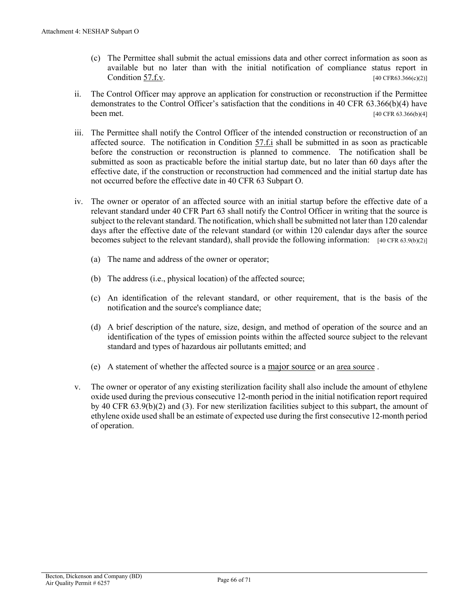- (c) The Permittee shall submit the actual emissions data and other correct information as soon as available but no later than with the initial notification of compliance status report in [Condition](#page-66-2) 57.f.v. [40 CFR63.366(c)(2)]
- ii. The Control Officer may approve an application for construction or reconstruction if the Permittee demonstrates to the Control Officer's satisfaction that the conditions in 40 CFR 63.366(b)(4) have **been met.** [40 CFR 63.366(b)(4]
- iii. The Permittee shall notify the Control Officer of the intended construction or reconstruction of an affected source. The notification in Condition [57.f.i](#page-66-3) shall be submitted in as soon as practicable before the construction or reconstruction is planned to commence. The notification shall be submitted as soon as practicable before the initial startup date, but no later than 60 days after the effective date, if the construction or reconstruction had commenced and the initial startup date has not occurred before the effective date in 40 CFR 63 Subpart O.
- iv. The owner or operator of an affected source with an initial startup before the effective date of a relevant standard under 40 CFR Part 63 shall notify the Control Officer in writing that the source is subject to the relevant standard. The notification, which shall be submitted not later than 120 calendar days after the effective date of the relevant standard (or within 120 calendar days after the source becomes subject to the relevant standard), shall provide the following information: [40 CFR 63.9(b)(2)]
	- (a) The name and address of the owner or operator;
	- (b) The address (i.e., physical location) of the affected source;
	- (c) An identification of the relevant standard, or other requirement, that is the basis of the notification and the source's compliance date;
	- (d) A brief description of the nature, size, design, and method of operation of the source and an identification of the types of emission points within the affected source subject to the relevant standard and types of hazardous air pollutants emitted; and
	- (e) A statement of whether the affected source is [a major source](#page-45-2) or a[n area source](#page-40-1) .
- v. The owner or operator of any existing sterilization facility shall also include the amount of ethylene oxide used during the previous consecutive 12-month period in the initial notification report required by 40 CFR 63.9(b)(2) and (3). For new sterilization facilities subject to this subpart, the amount of ethylene oxide used shall be an estimate of expected use during the first consecutive 12-month period of operation.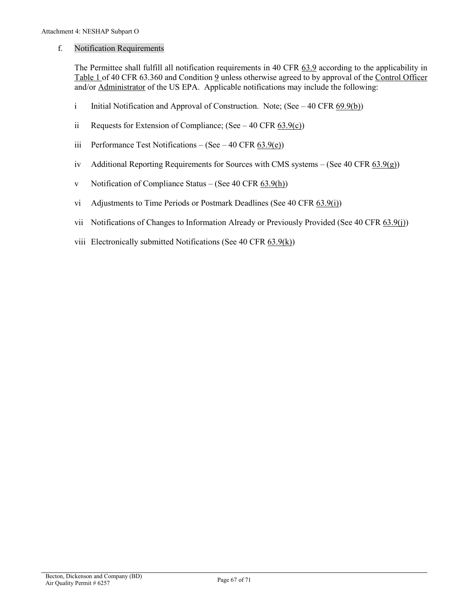#### <span id="page-66-0"></span>f. Notification Requirements

The Permittee shall fulfill all notification requirements in [40 CFR 63.9](https://tinyurl.com/40-CFR-63-9) according to the applicability in [Table 1 of 40 CFR 63.360](https://www.ecfr.gov/cgi-bin/text-idx?SID=888518f37fa104504e861a47c7f36c32&mc=true&node=sp40.11.63.o&rgn=div6#se40.11.63_1360) and Condition [9](#page-31-2) unless otherwise agreed to by approval of the [Control Officer](#page-41-1) and/or [Administrator](#page-9-9) of the US EPA. Applicable notifications may include the following:

- <span id="page-66-3"></span>i Initial Notification and Approval of Construction. Note;  $(See - 40 \text{ CFR } 69.9(b))$
- ii Requests for Extension of Compliance; (See  $-40$  CFR  $\underline{63.9(c)}$ )
- iii Performance Test Notifications (See 40 CFR  $63.9(e)$ )
- iv Additional Reporting Requirements for Sources with CMS systems (See 40 CFR  $(3.9(q))$ )
- <span id="page-66-2"></span>v Notification of Compliance Status – (See 40 CFR  $(3.9(h))$ )
- vi Adjustments to Time Periods or Postmark Deadlines (See 40 CF[R 63.9\(i\)\)](https://tinyurl.com/40-CFR-63-9)
- vii Notifications of Changes to Information Already or Previously Provided (See 40 CFR [63.9\(j\)\)](https://tinyurl.com/40-CFR-63-9)
- <span id="page-66-1"></span>viii Electronically submitted Notifications (See 40 CFR  $(63.9(k))$ )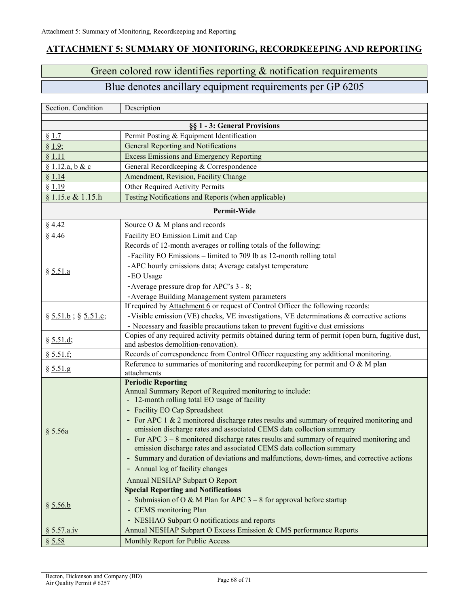## <span id="page-67-0"></span>**ATTACHMENT 5: SUMMARY OF MONITORING, RECORDKEEPING AND REPORTING**

# Green colored row identifies reporting & notification requirements

# Blue denotes ancillary equipment requirements per GP 6205

| Section. Condition          | Description                                                                                       |  |
|-----------------------------|---------------------------------------------------------------------------------------------------|--|
|                             |                                                                                                   |  |
| § 1.7                       | §§ 1 - 3: General Provisions<br>Permit Posting & Equipment Identification                         |  |
| § 1.9;                      | General Reporting and Notifications                                                               |  |
| § 1.11                      | <b>Excess Emissions and Emergency Reporting</b>                                                   |  |
| § 1.12.a, b & c             | General Recordkeeping & Correspondence                                                            |  |
| § 1.14                      | Amendment, Revision, Facility Change                                                              |  |
| § 1.19                      | Other Required Activity Permits                                                                   |  |
| § 1.15.e & 1.15.h           | Testing Notifications and Reports (when applicable)                                               |  |
|                             |                                                                                                   |  |
| Permit-Wide                 |                                                                                                   |  |
| § 4.42                      | Source O & M plans and records                                                                    |  |
| § 4.46                      | Facility EO Emission Limit and Cap                                                                |  |
| § 5.51.a                    | Records of 12-month averages or rolling totals of the following:                                  |  |
|                             | -Facility EO Emissions - limited to 709 lb as 12-month rolling total                              |  |
|                             | -APC hourly emissions data; Average catalyst temperature                                          |  |
|                             | -EO Usage                                                                                         |  |
|                             | -Average pressure drop for APC's 3 - 8;                                                           |  |
|                             | - Average Building Management system parameters                                                   |  |
|                             | If required by Attachment 6 or request of Control Officer the following records:                  |  |
| $\S 5.51.b$ ; $\S 5.51.c$ ; | -Visible emission (VE) checks, VE investigations, VE determinations $\&$ corrective actions       |  |
|                             | - Necessary and feasible precautions taken to prevent fugitive dust emissions                     |  |
| § 5.51.d;                   | Copies of any required activity permits obtained during term of permit (open burn, fugitive dust, |  |
|                             | and asbestos demolition-renovation).                                                              |  |
| § 5.51.f;                   | Records of correspondence from Control Officer requesting any additional monitoring.              |  |
| § 5.51.g                    | Reference to summaries of monitoring and recordkeeping for permit and O & M plan                  |  |
|                             | attachments<br><b>Periodic Reporting</b>                                                          |  |
|                             | Annual Summary Report of Required monitoring to include:                                          |  |
| § 5.56a                     | - 12-month rolling total EO usage of facility                                                     |  |
|                             | - Facility EO Cap Spreadsheet                                                                     |  |
|                             | - For APC 1 & 2 monitored discharge rates results and summary of required monitoring and          |  |
|                             | emission discharge rates and associated CEMS data collection summary                              |  |
|                             | - For APC 3 – 8 monitored discharge rates results and summary of required monitoring and          |  |
|                             | emission discharge rates and associated CEMS data collection summary                              |  |
|                             | - Summary and duration of deviations and malfunctions, down-times, and corrective actions         |  |
|                             | - Annual log of facility changes                                                                  |  |
|                             | Annual NESHAP Subpart O Report                                                                    |  |
| § 5.56.b                    | <b>Special Reporting and Notifications</b>                                                        |  |
|                             | - Submission of O & M Plan for APC $3 - 8$ for approval before startup                            |  |
|                             | - CEMS monitoring Plan                                                                            |  |
|                             | - NESHAO Subpart O notifications and reports                                                      |  |
| § 5.57.a.iv                 | Annual NESHAP Subpart O Excess Emission & CMS performance Reports                                 |  |
| § 5.58                      | Monthly Report for Public Access                                                                  |  |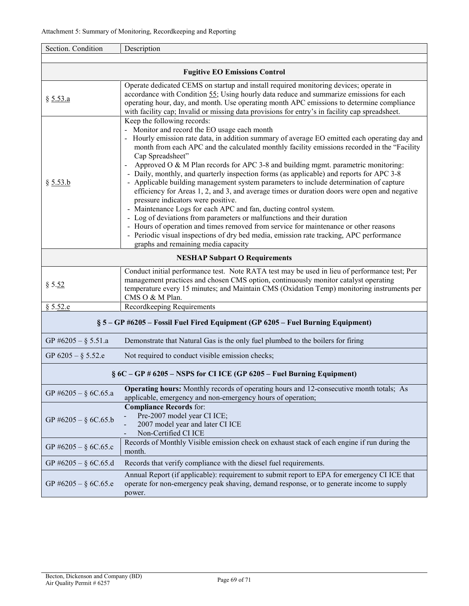| Section. Condition                                                              | Description                                                                                                                                                                                                                                                                                                                                                                                                                                                                                                                                                                                                                                                                                                                                                                                                                                                                                                                                                                                                                                                                                                 |  |
|---------------------------------------------------------------------------------|-------------------------------------------------------------------------------------------------------------------------------------------------------------------------------------------------------------------------------------------------------------------------------------------------------------------------------------------------------------------------------------------------------------------------------------------------------------------------------------------------------------------------------------------------------------------------------------------------------------------------------------------------------------------------------------------------------------------------------------------------------------------------------------------------------------------------------------------------------------------------------------------------------------------------------------------------------------------------------------------------------------------------------------------------------------------------------------------------------------|--|
| <b>Fugitive EO Emissions Control</b>                                            |                                                                                                                                                                                                                                                                                                                                                                                                                                                                                                                                                                                                                                                                                                                                                                                                                                                                                                                                                                                                                                                                                                             |  |
| § 5.53.a                                                                        | Operate dedicated CEMS on startup and install required monitoring devices; operate in<br>accordance with Condition 55; Using hourly data reduce and summarize emissions for each<br>operating hour, day, and month. Use operating month APC emissions to determine compliance<br>with facility cap; Invalid or missing data provisions for entry's in facility cap spreadsheet.                                                                                                                                                                                                                                                                                                                                                                                                                                                                                                                                                                                                                                                                                                                             |  |
| § 5.53.b                                                                        | Keep the following records:<br>- Monitor and record the EO usage each month<br>- Hourly emission rate data, in addition summary of average EO emitted each operating day and<br>month from each APC and the calculated monthly facility emissions recorded in the "Facility<br>Cap Spreadsheet"<br>Approved O $\&$ M Plan records for APC 3-8 and building mgmt. parametric monitoring:<br>$\blacksquare$<br>- Daily, monthly, and quarterly inspection forms (as applicable) and reports for APC 3-8<br>Applicable building management system parameters to include determination of capture<br>efficiency for Areas 1, 2, and 3, and average times or duration doors were open and negative<br>pressure indicators were positive.<br>- Maintenance Logs for each APC and fan, ducting control system.<br>- Log of deviations from parameters or malfunctions and their duration<br>- Hours of operation and times removed from service for maintenance or other reasons<br>- Periodic visual inspections of dry bed media, emission rate tracking, APC performance<br>graphs and remaining media capacity |  |
|                                                                                 | <b>NESHAP Subpart O Requirements</b>                                                                                                                                                                                                                                                                                                                                                                                                                                                                                                                                                                                                                                                                                                                                                                                                                                                                                                                                                                                                                                                                        |  |
| § 5.52                                                                          | Conduct initial performance test. Note RATA test may be used in lieu of performance test; Per<br>management practices and chosen CMS option, continuously monitor catalyst operating<br>temperature every 15 minutes; and Maintain CMS (Oxidation Temp) monitoring instruments per<br>CMS O & M Plan.                                                                                                                                                                                                                                                                                                                                                                                                                                                                                                                                                                                                                                                                                                                                                                                                       |  |
| § 5.52.e                                                                        | Recordkeeping Requirements                                                                                                                                                                                                                                                                                                                                                                                                                                                                                                                                                                                                                                                                                                                                                                                                                                                                                                                                                                                                                                                                                  |  |
| § 5 – GP #6205 – Fossil Fuel Fired Equipment (GP 6205 – Fuel Burning Equipment) |                                                                                                                                                                                                                                                                                                                                                                                                                                                                                                                                                                                                                                                                                                                                                                                                                                                                                                                                                                                                                                                                                                             |  |
| GP #6205 - $\S$ 5.51.a                                                          | Demonstrate that Natural Gas is the only fuel plumbed to the boilers for firing                                                                                                                                                                                                                                                                                                                                                                                                                                                                                                                                                                                                                                                                                                                                                                                                                                                                                                                                                                                                                             |  |
| GP $6205 - \S 5.52.e$                                                           | Not required to conduct visible emission checks;                                                                                                                                                                                                                                                                                                                                                                                                                                                                                                                                                                                                                                                                                                                                                                                                                                                                                                                                                                                                                                                            |  |
| $\S 6C - GP$ # 6205 – NSPS for CI ICE (GP 6205 – Fuel Burning Equipment)        |                                                                                                                                                                                                                                                                                                                                                                                                                                                                                                                                                                                                                                                                                                                                                                                                                                                                                                                                                                                                                                                                                                             |  |
| GP #6205 - $\S$ 6C.65.a                                                         | Operating hours: Monthly records of operating hours and 12-consecutive month totals; As<br>applicable, emergency and non-emergency hours of operation;                                                                                                                                                                                                                                                                                                                                                                                                                                                                                                                                                                                                                                                                                                                                                                                                                                                                                                                                                      |  |
| GP #6205 - $\S$ 6C.65.b                                                         | <b>Compliance Records for:</b><br>Pre-2007 model year CI ICE;<br>2007 model year and later CI ICE<br>Non-Certified CI ICE                                                                                                                                                                                                                                                                                                                                                                                                                                                                                                                                                                                                                                                                                                                                                                                                                                                                                                                                                                                   |  |
| GP #6205 - $\S$ 6C.65.c                                                         | Records of Monthly Visible emission check on exhaust stack of each engine if run during the<br>month.                                                                                                                                                                                                                                                                                                                                                                                                                                                                                                                                                                                                                                                                                                                                                                                                                                                                                                                                                                                                       |  |
| GP #6205 - $\S$ 6C.65.d                                                         | Records that verify compliance with the diesel fuel requirements.                                                                                                                                                                                                                                                                                                                                                                                                                                                                                                                                                                                                                                                                                                                                                                                                                                                                                                                                                                                                                                           |  |
| GP #6205 - $\S$ 6C.65.e                                                         | Annual Report (if applicable): requirement to submit report to EPA for emergency CI ICE that<br>operate for non-emergency peak shaving, demand response, or to generate income to supply<br>power.                                                                                                                                                                                                                                                                                                                                                                                                                                                                                                                                                                                                                                                                                                                                                                                                                                                                                                          |  |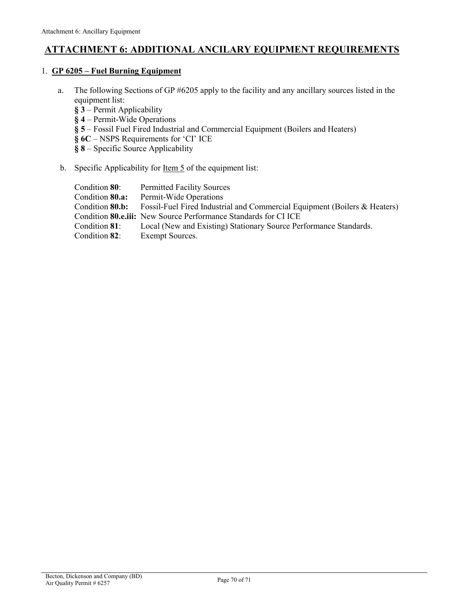## <span id="page-69-0"></span>**ATTACHMENT 6: ADDITIONAL ANCILARY EQUIPMENT REQUIREMENTS**

#### 1. **GP 6205 – [Fuel Burning Equipment](https://webcms.pima.gov/UserFiles/Servers/Server_6/File/Government/Environmental%20Quality/Air/AQ%20Operating%20Permits/General%20Permits/Fuel%20Burning%20Equipment/6205-GP.pdf)**

- a. The following Sections of GP #6205 apply to the facility and any ancillary sources listed in the equipment list:
	- **§ 3** Permit Applicability
	- **§ 4** Permit-Wide Operations
	- **§ 5** Fossil Fuel Fired Industrial and Commercial Equipment (Boilers and Heaters)
	- **§ 6C** NSPS Requirements for 'CI' ICE
	- **§ 8** Specific Source Applicability

#### b. Specific Applicability for <u>Item 5</u> of the equipment list:

| Condition 80:   | <b>Permitted Facility Sources</b>                                         |
|-----------------|---------------------------------------------------------------------------|
| Condition 80.a: | Permit-Wide Operations                                                    |
| Condition 80.b: | Fossil-Fuel Fired Industrial and Commercial Equipment (Boilers & Heaters) |
|                 | Condition <b>80.e.iii:</b> New Source Performance Standards for CI ICE    |
| Condition 81:   | Local (New and Existing) Stationary Source Performance Standards.         |
| Condition 82:   | Exempt Sources.                                                           |